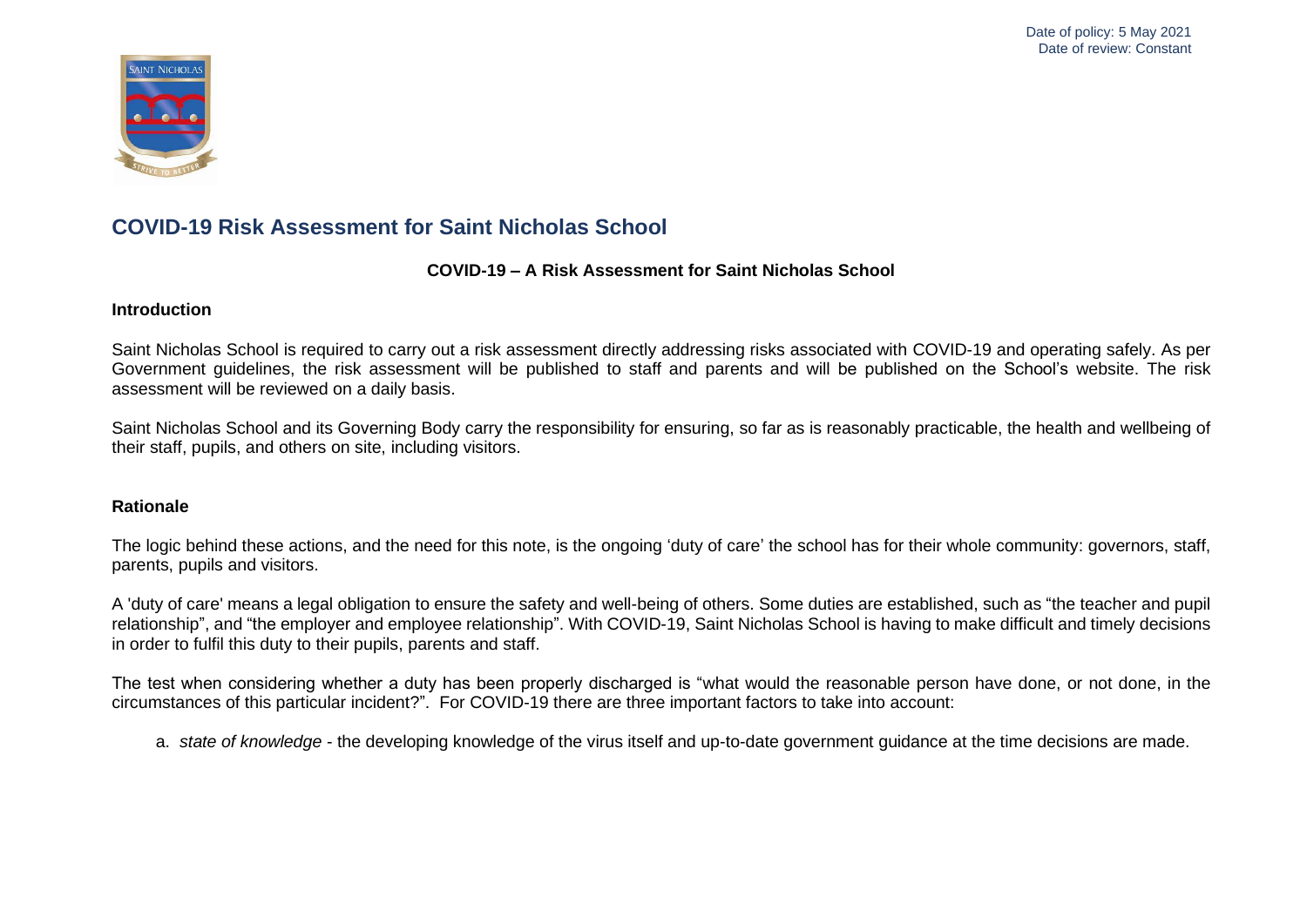

#### **COVID-19 – A Risk Assessment for Saint Nicholas School**

#### **Introduction**

Saint Nicholas School is required to carry out a risk assessment directly addressing risks associated with COVID-19 and operating safely. As per Government guidelines, the risk assessment will be published to staff and parents and will be published on the School's website. The risk assessment will be reviewed on a daily basis.

Saint Nicholas School and its Governing Body carry the responsibility for ensuring, so far as is reasonably practicable, the health and wellbeing of their staff, pupils, and others on site, including visitors.

#### **Rationale**

The logic behind these actions, and the need for this note, is the ongoing 'duty of care' the school has for their whole community: governors, staff, parents, pupils and visitors.

A 'duty of care' means a legal obligation to ensure the safety and well-being of others. Some duties are established, such as "the teacher and pupil relationship", and "the employer and employee relationship". With COVID-19, Saint Nicholas School is having to make difficult and timely decisions in order to fulfil this duty to their pupils, parents and staff.

The test when considering whether a duty has been properly discharged is "what would the reasonable person have done, or not done, in the circumstances of this particular incident?". For COVID-19 there are three important factors to take into account:

a. *state of knowledge* - the developing knowledge of the virus itself and up-to-date government guidance at the time decisions are made.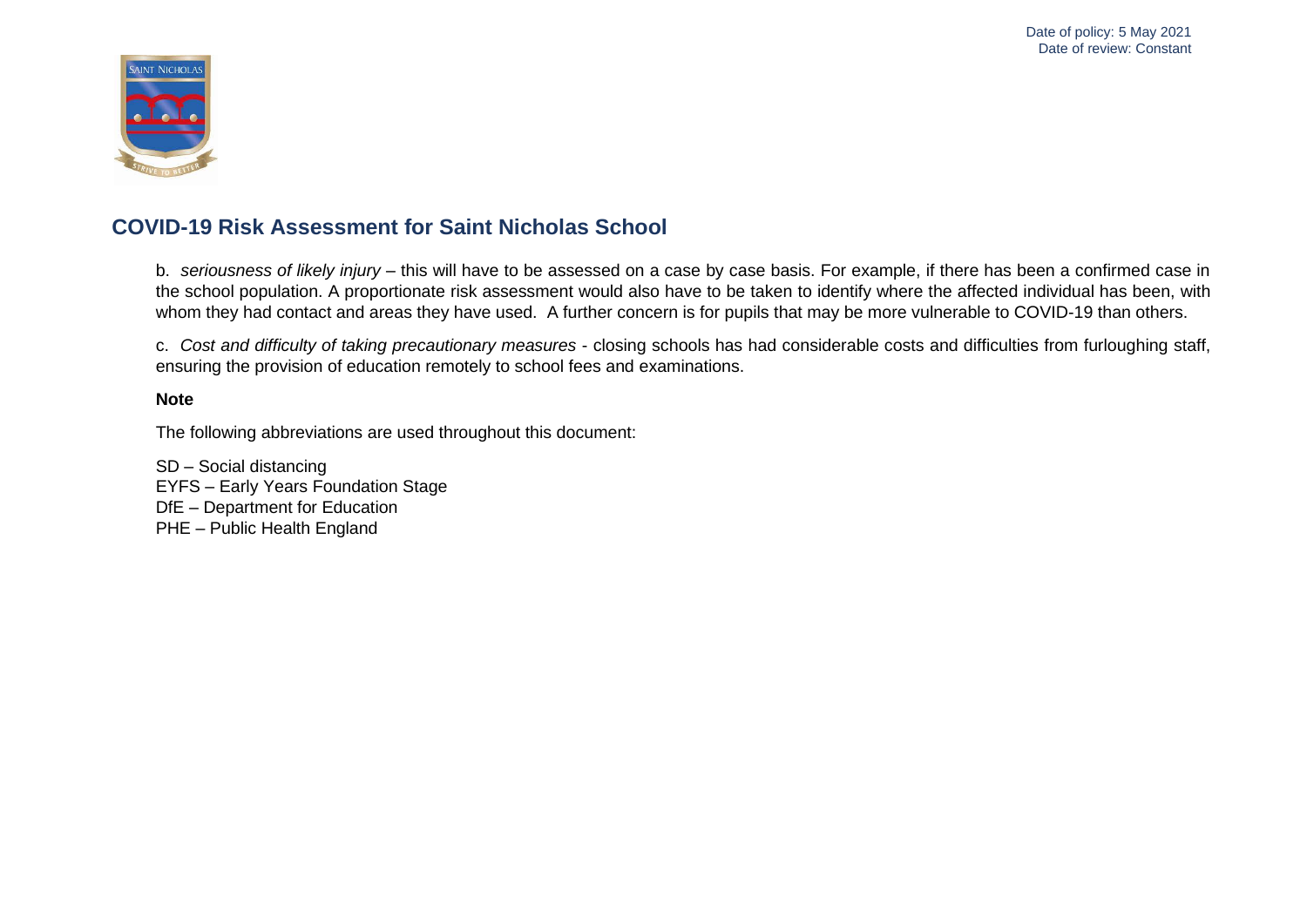

b. *seriousness of likely injury* – this will have to be assessed on a case by case basis. For example, if there has been a confirmed case in the school population. A proportionate risk assessment would also have to be taken to identify where the affected individual has been, with whom they had contact and areas they have used. A further concern is for pupils that may be more vulnerable to COVID-19 than others.

c. *Cost and difficulty of taking precautionary measures* - closing schools has had considerable costs and difficulties from furloughing staff, ensuring the provision of education remotely to school fees and examinations.

#### **Note**

The following abbreviations are used throughout this document:

SD – Social distancing EYFS – Early Years Foundation Stage DfE – Department for Education PHE – Public Health England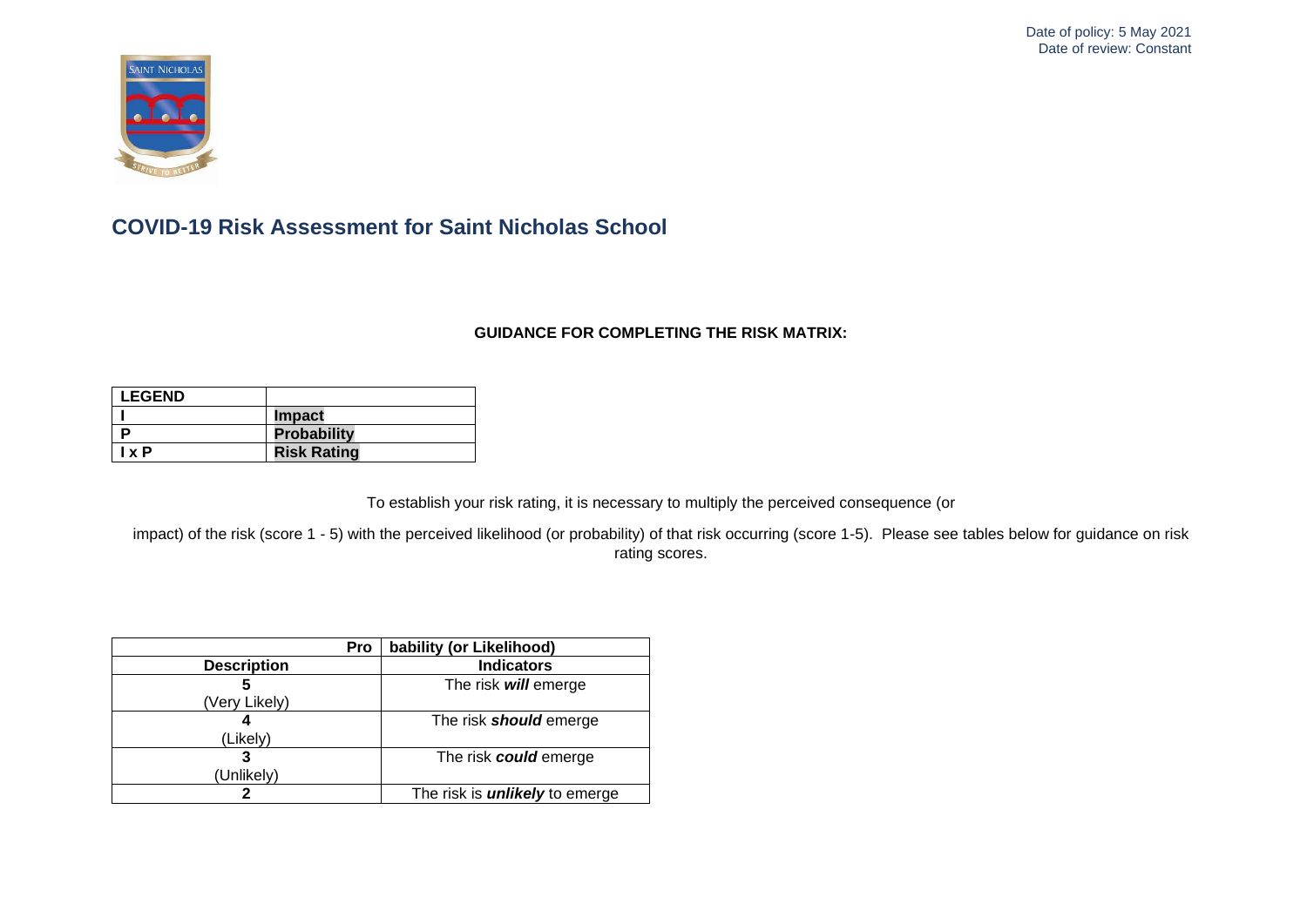

#### **GUIDANCE FOR COMPLETING THE RISK MATRIX:**

| <b>LEGEND</b> |                    |
|---------------|--------------------|
|               | <b>Impact</b>      |
|               | <b>Probability</b> |
| I x P         | <b>Risk Rating</b> |

To establish your risk rating, it is necessary to multiply the perceived consequence (or

impact) of the risk (score 1 - 5) with the perceived likelihood (or probability) of that risk occurring (score 1-5). Please see tables below for guidance on risk rating scores.

| Pro                | bability (or Likelihood)              |
|--------------------|---------------------------------------|
| <b>Description</b> | <b>Indicators</b>                     |
| 5                  | The risk will emerge                  |
| (Very Likely)      |                                       |
|                    | The risk <b>should</b> emerge         |
| (Likely)           |                                       |
| 3                  | The risk could emerge                 |
| (Unlikely)         |                                       |
|                    | The risk is <i>unlikely</i> to emerge |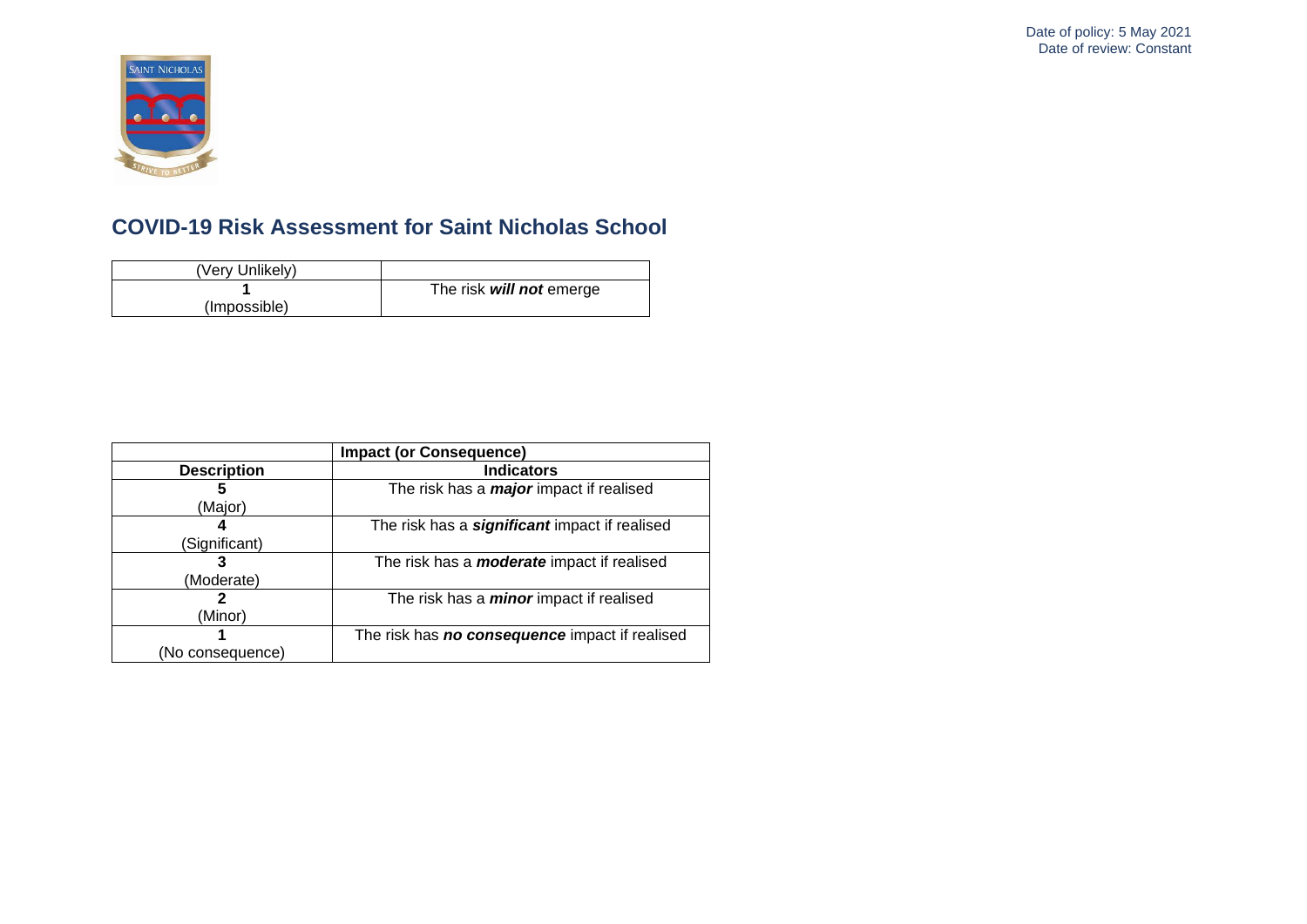

| (Very Unlikely) |                          |
|-----------------|--------------------------|
|                 | The risk will not emerge |
| (Impossible)    |                          |

|                    | <b>Impact (or Consequence)</b>                        |
|--------------------|-------------------------------------------------------|
| <b>Description</b> | <b>Indicators</b>                                     |
|                    | The risk has a <i>major</i> impact if realised        |
| (Major)            |                                                       |
|                    | The risk has a <b>significant</b> impact if realised  |
| (Significant)      |                                                       |
|                    | The risk has a <i>moderate</i> impact if realised     |
| (Moderate)         |                                                       |
|                    | The risk has a <i>minor</i> impact if realised        |
| (Minor)            |                                                       |
|                    | The risk has <b>no consequence</b> impact if realised |
| (No consequence)   |                                                       |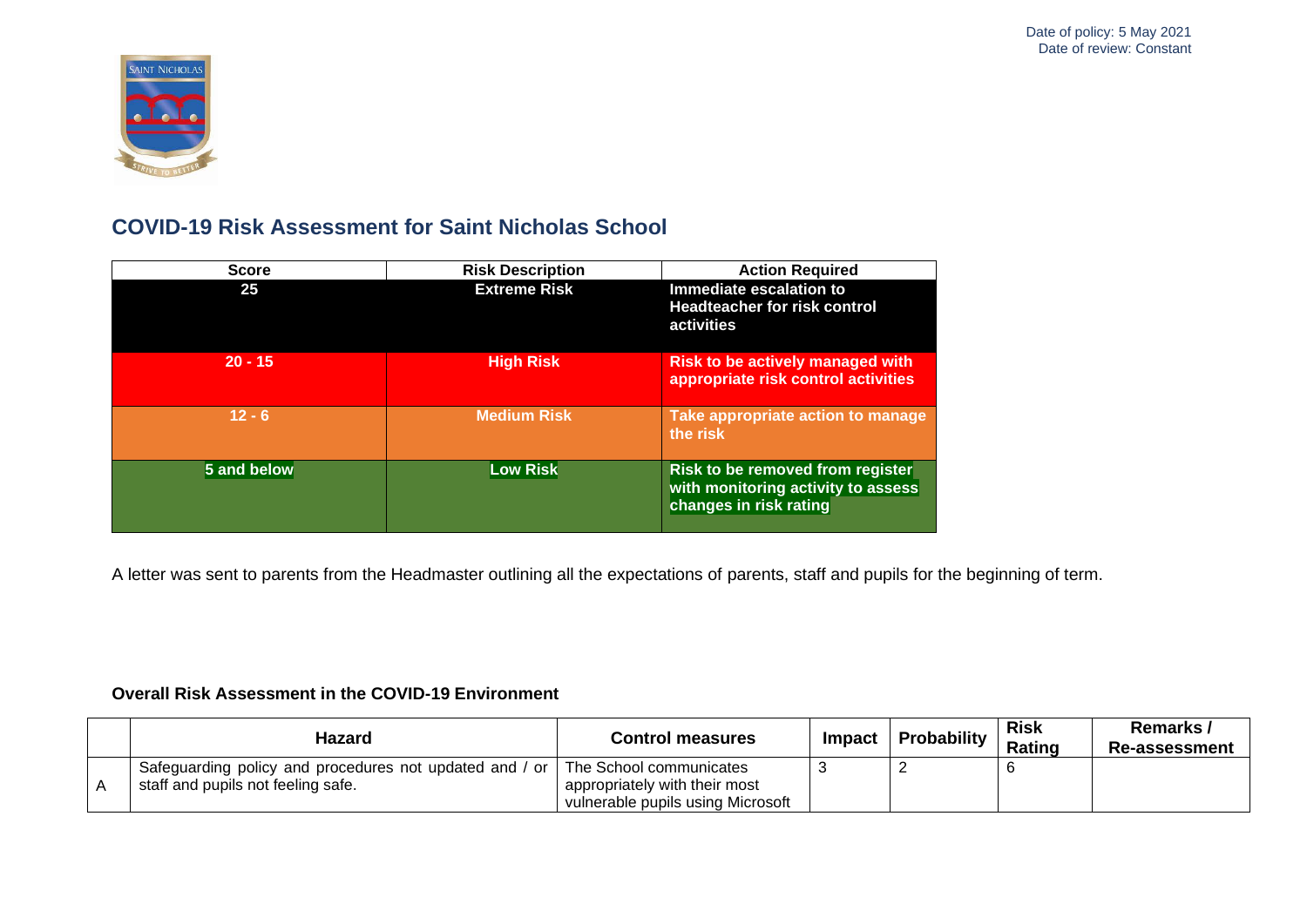

| <b>Score</b> | <b>Risk Description</b> | <b>Action Required</b>                                                                           |
|--------------|-------------------------|--------------------------------------------------------------------------------------------------|
| 25           | <b>Extreme Risk</b>     | Immediate escalation to<br><b>Headteacher for risk control</b><br>activities                     |
| $20 - 15$    | <b>High Risk</b>        | <b>Risk to be actively managed with</b><br>appropriate risk control activities                   |
| $12 - 6$     | <b>Medium Risk</b>      | Take appropriate action to manage<br>the risk                                                    |
| 5 and below  | <b>Low Risk</b>         | Risk to be removed from register<br>with monitoring activity to assess<br>changes in risk rating |

A letter was sent to parents from the Headmaster outlining all the expectations of parents, staff and pupils for the beginning of term.

#### **Overall Risk Assessment in the COVID-19 Environment**

| Hazard                                                  | <b>Control measures</b>           | Impact | Probability | <b>Risk</b><br><b>Rating</b> | Remarks /<br><b>Re-assessment</b> |
|---------------------------------------------------------|-----------------------------------|--------|-------------|------------------------------|-----------------------------------|
| Safeguarding policy and procedures not updated and / or | The School communicates           |        |             |                              |                                   |
| staff and pupils not feeling safe.                      | appropriately with their most     |        |             |                              |                                   |
|                                                         | vulnerable pupils using Microsoft |        |             |                              |                                   |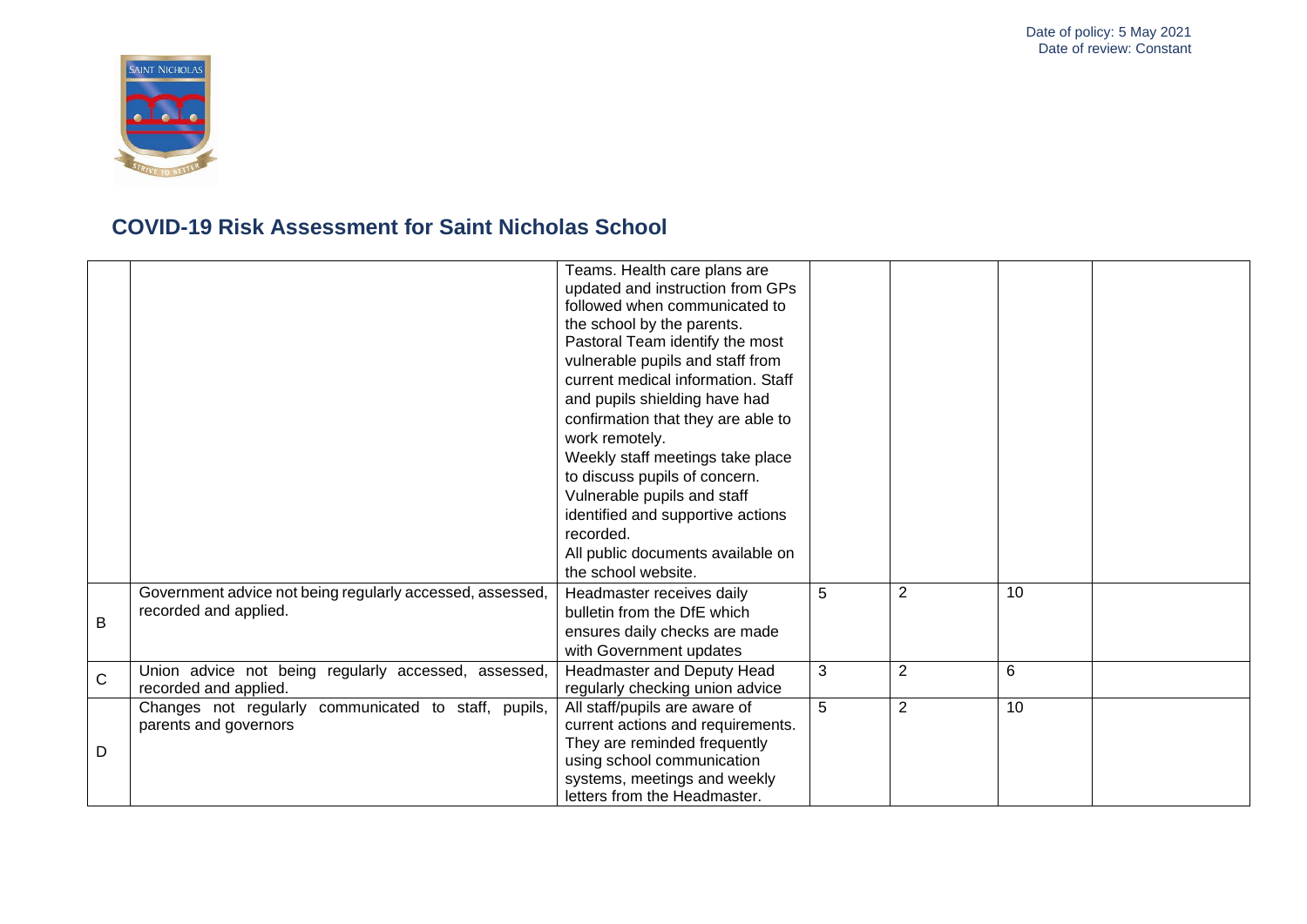

|              |                                                                                    | Teams. Health care plans are<br>updated and instruction from GPs<br>followed when communicated to<br>the school by the parents.<br>Pastoral Team identify the most<br>vulnerable pupils and staff from<br>current medical information. Staff<br>and pupils shielding have had<br>confirmation that they are able to<br>work remotely.<br>Weekly staff meetings take place<br>to discuss pupils of concern.<br>Vulnerable pupils and staff<br>identified and supportive actions<br>recorded.<br>All public documents available on<br>the school website. |   |                |    |  |
|--------------|------------------------------------------------------------------------------------|---------------------------------------------------------------------------------------------------------------------------------------------------------------------------------------------------------------------------------------------------------------------------------------------------------------------------------------------------------------------------------------------------------------------------------------------------------------------------------------------------------------------------------------------------------|---|----------------|----|--|
| B            | Government advice not being regularly accessed, assessed,<br>recorded and applied. | Headmaster receives daily<br>bulletin from the DfE which<br>ensures daily checks are made<br>with Government updates                                                                                                                                                                                                                                                                                                                                                                                                                                    | 5 | 2              | 10 |  |
| $\mathsf{C}$ | Union advice not being regularly accessed, assessed,<br>recorded and applied.      | Headmaster and Deputy Head<br>regularly checking union advice                                                                                                                                                                                                                                                                                                                                                                                                                                                                                           | 3 | $\overline{2}$ | 6  |  |
| D            | Changes not regularly communicated to staff, pupils,<br>parents and governors      | All staff/pupils are aware of<br>current actions and requirements.<br>They are reminded frequently<br>using school communication<br>systems, meetings and weekly<br>letters from the Headmaster.                                                                                                                                                                                                                                                                                                                                                        | 5 | $\overline{2}$ | 10 |  |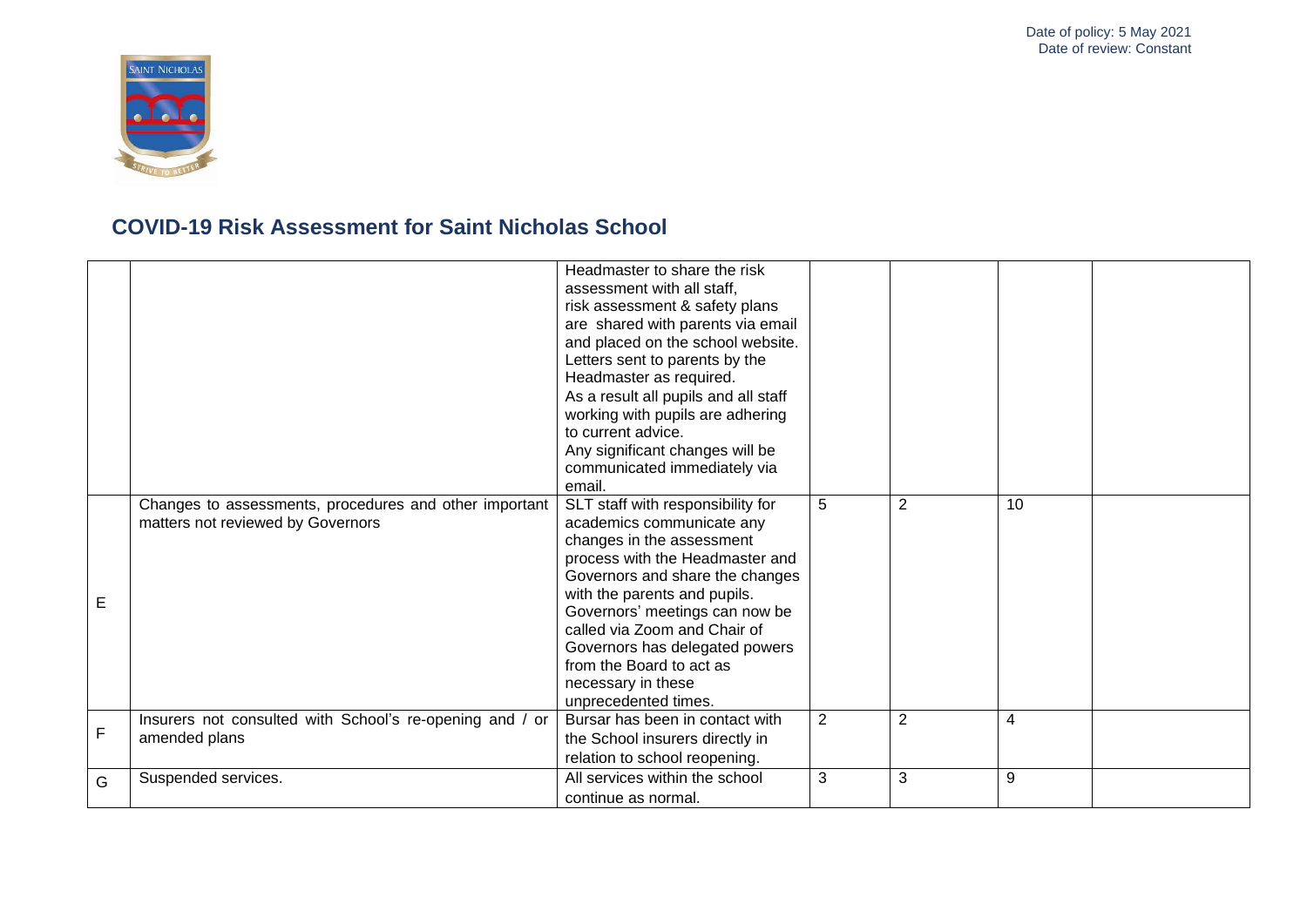

|   |                                                                                             | Headmaster to share the risk<br>assessment with all staff.<br>risk assessment & safety plans<br>are shared with parents via email<br>and placed on the school website.<br>Letters sent to parents by the<br>Headmaster as required.<br>As a result all pupils and all staff<br>working with pupils are adhering<br>to current advice.<br>Any significant changes will be<br>communicated immediately via<br>email. |                |                |                |  |
|---|---------------------------------------------------------------------------------------------|--------------------------------------------------------------------------------------------------------------------------------------------------------------------------------------------------------------------------------------------------------------------------------------------------------------------------------------------------------------------------------------------------------------------|----------------|----------------|----------------|--|
| Е | Changes to assessments, procedures and other important<br>matters not reviewed by Governors | SLT staff with responsibility for<br>academics communicate any<br>changes in the assessment<br>process with the Headmaster and<br>Governors and share the changes<br>with the parents and pupils.<br>Governors' meetings can now be<br>called via Zoom and Chair of<br>Governors has delegated powers<br>from the Board to act as<br>necessary in these<br>unprecedented times.                                    | 5              | $\overline{2}$ | 10             |  |
| F | Insurers not consulted with School's re-opening and / or<br>amended plans                   | Bursar has been in contact with<br>the School insurers directly in<br>relation to school reopening.                                                                                                                                                                                                                                                                                                                | $\overline{2}$ | $\overline{2}$ | $\overline{4}$ |  |
| G | Suspended services.                                                                         | All services within the school<br>continue as normal.                                                                                                                                                                                                                                                                                                                                                              | 3              | 3              | 9              |  |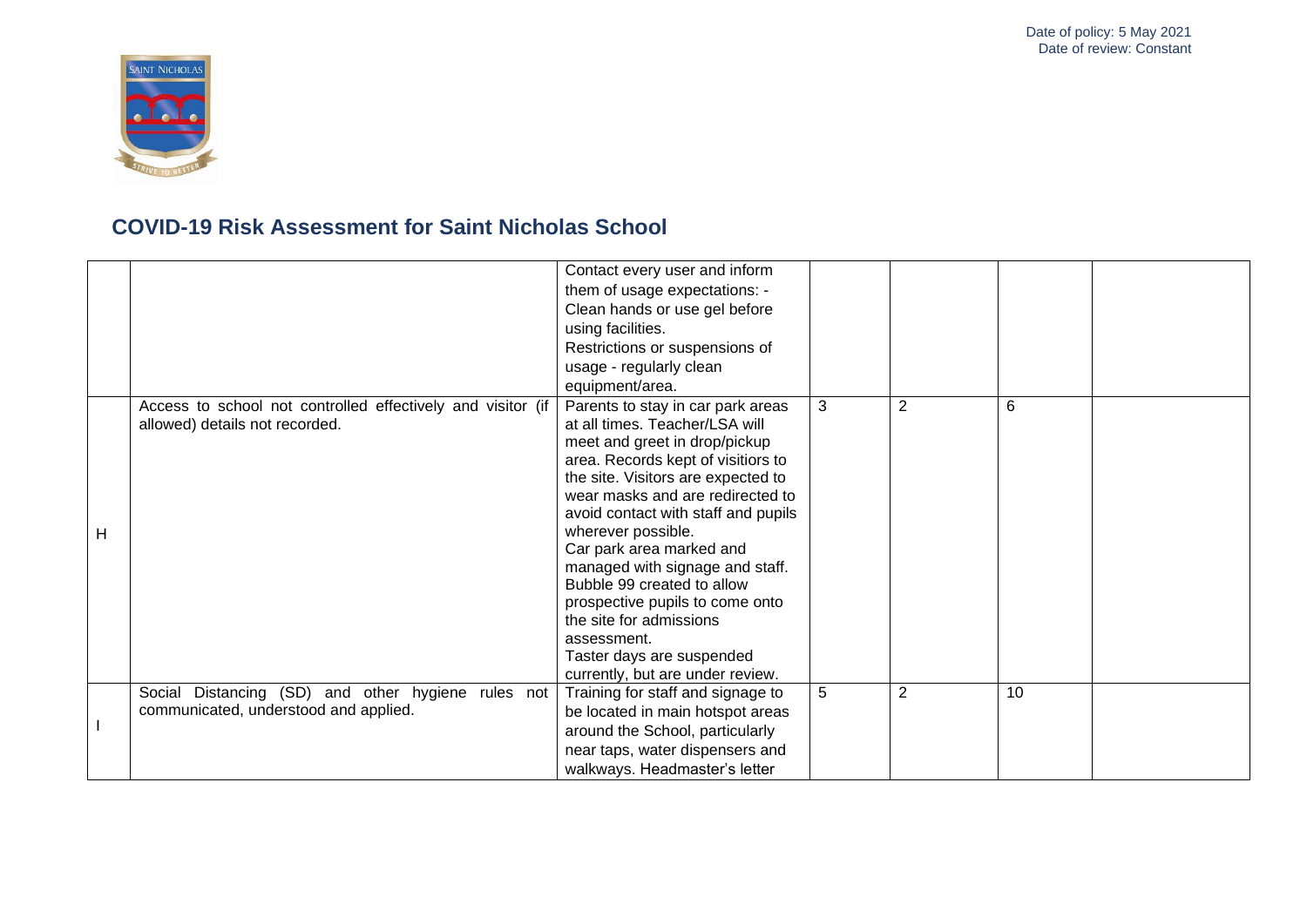

|   |                                                                                               | Contact every user and inform<br>them of usage expectations: -<br>Clean hands or use gel before<br>using facilities.<br>Restrictions or suspensions of<br>usage - regularly clean<br>equipment/area.                                                                                                                                                                                                                                                                                                                         |   |                |    |  |
|---|-----------------------------------------------------------------------------------------------|------------------------------------------------------------------------------------------------------------------------------------------------------------------------------------------------------------------------------------------------------------------------------------------------------------------------------------------------------------------------------------------------------------------------------------------------------------------------------------------------------------------------------|---|----------------|----|--|
| Н | Access to school not controlled effectively and visitor (if<br>allowed) details not recorded. | Parents to stay in car park areas<br>at all times. Teacher/LSA will<br>meet and greet in drop/pickup<br>area. Records kept of visitiors to<br>the site. Visitors are expected to<br>wear masks and are redirected to<br>avoid contact with staff and pupils<br>wherever possible.<br>Car park area marked and<br>managed with signage and staff.<br>Bubble 99 created to allow<br>prospective pupils to come onto<br>the site for admissions<br>assessment.<br>Taster days are suspended<br>currently, but are under review. | 3 | $\overline{2}$ | 6  |  |
|   | Social Distancing (SD) and other hygiene rules not<br>communicated, understood and applied.   | Training for staff and signage to<br>be located in main hotspot areas<br>around the School, particularly<br>near taps, water dispensers and<br>walkways. Headmaster's letter                                                                                                                                                                                                                                                                                                                                                 | 5 | $\overline{2}$ | 10 |  |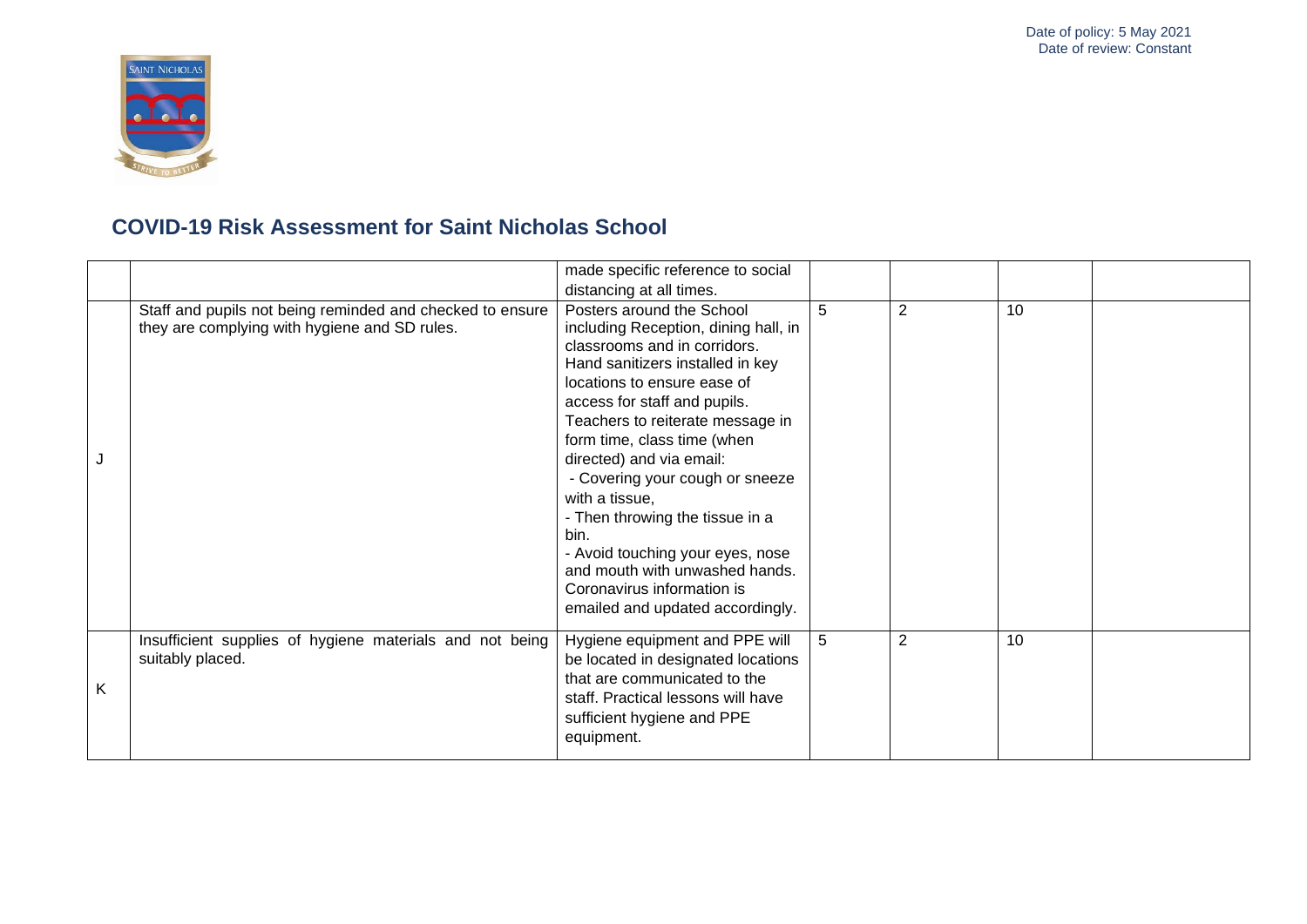

|   |                                                                                                            | made specific reference to social<br>distancing at all times.                                                                                                                                                                                                                                                                                                                                                                                                                                                                               |   |   |    |  |
|---|------------------------------------------------------------------------------------------------------------|---------------------------------------------------------------------------------------------------------------------------------------------------------------------------------------------------------------------------------------------------------------------------------------------------------------------------------------------------------------------------------------------------------------------------------------------------------------------------------------------------------------------------------------------|---|---|----|--|
|   | Staff and pupils not being reminded and checked to ensure<br>they are complying with hygiene and SD rules. | Posters around the School<br>including Reception, dining hall, in<br>classrooms and in corridors.<br>Hand sanitizers installed in key<br>locations to ensure ease of<br>access for staff and pupils.<br>Teachers to reiterate message in<br>form time, class time (when<br>directed) and via email:<br>- Covering your cough or sneeze<br>with a tissue,<br>- Then throwing the tissue in a<br>bin.<br>- Avoid touching your eyes, nose<br>and mouth with unwashed hands.<br>Coronavirus information is<br>emailed and updated accordingly. | 5 | 2 | 10 |  |
| K | Insufficient supplies of hygiene materials and not being<br>suitably placed.                               | Hygiene equipment and PPE will<br>be located in designated locations<br>that are communicated to the<br>staff. Practical lessons will have<br>sufficient hygiene and PPE<br>equipment.                                                                                                                                                                                                                                                                                                                                                      | 5 | 2 | 10 |  |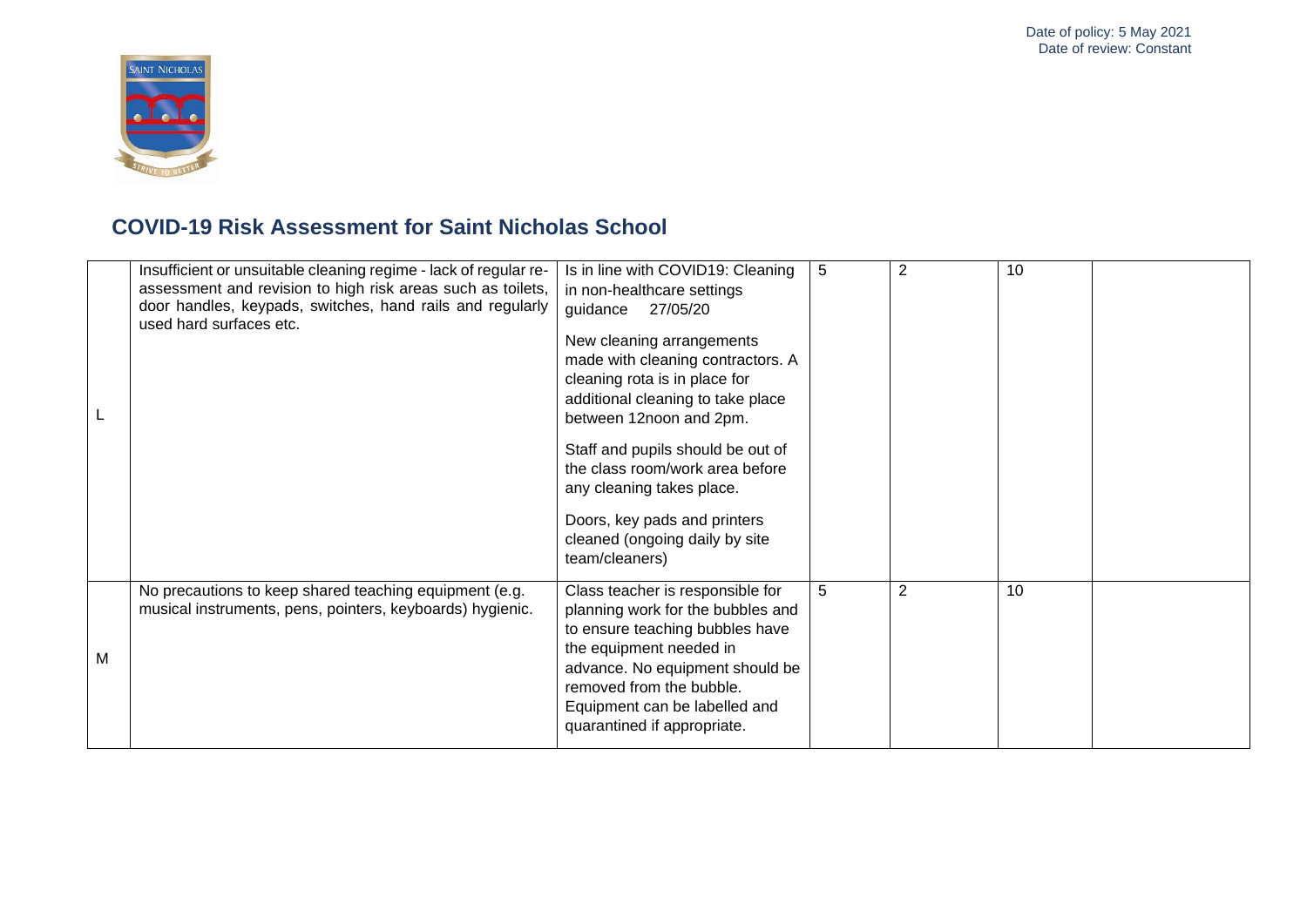

|   | Insufficient or unsuitable cleaning regime - lack of regular re-<br>assessment and revision to high risk areas such as toilets,<br>door handles, keypads, switches, hand rails and regularly<br>used hard surfaces etc. | Is in line with COVID19: Cleaning<br>in non-healthcare settings<br>guidance<br>27/05/20<br>New cleaning arrangements<br>made with cleaning contractors. A<br>cleaning rota is in place for<br>additional cleaning to take place<br>between 12noon and 2pm.<br>Staff and pupils should be out of<br>the class room/work area before<br>any cleaning takes place.<br>Doors, key pads and printers<br>cleaned (ongoing daily by site<br>team/cleaners) | 5 | $\overline{2}$ | 10 |  |
|---|-------------------------------------------------------------------------------------------------------------------------------------------------------------------------------------------------------------------------|-----------------------------------------------------------------------------------------------------------------------------------------------------------------------------------------------------------------------------------------------------------------------------------------------------------------------------------------------------------------------------------------------------------------------------------------------------|---|----------------|----|--|
| M | No precautions to keep shared teaching equipment (e.g.<br>musical instruments, pens, pointers, keyboards) hygienic.                                                                                                     | Class teacher is responsible for<br>planning work for the bubbles and<br>to ensure teaching bubbles have<br>the equipment needed in<br>advance. No equipment should be<br>removed from the bubble.<br>Equipment can be labelled and<br>quarantined if appropriate.                                                                                                                                                                                  | 5 | $\overline{2}$ | 10 |  |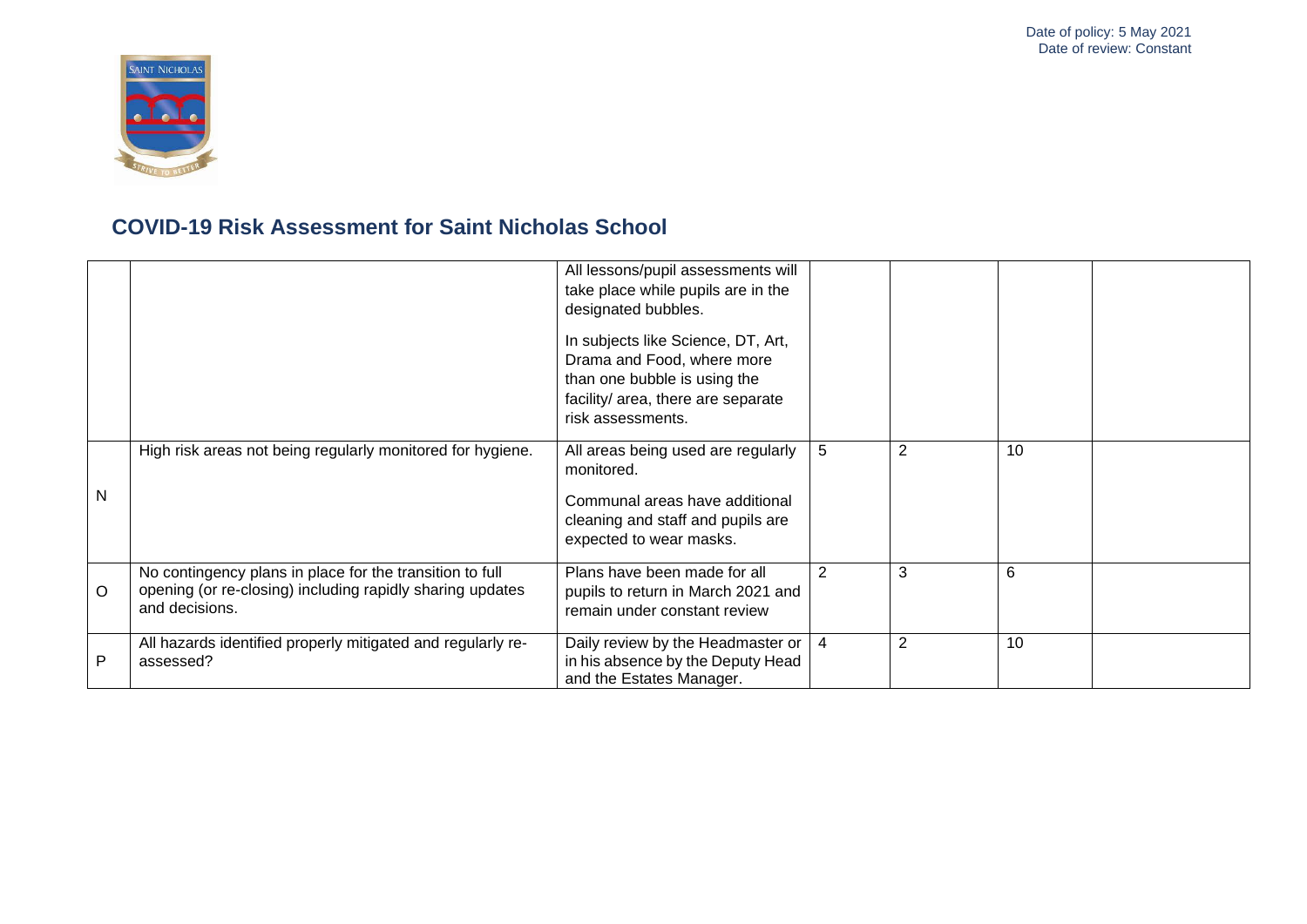

|         |                                                                                                                                         | All lessons/pupil assessments will<br>take place while pupils are in the<br>designated bubbles.<br>In subjects like Science, DT, Art,<br>Drama and Food, where more<br>than one bubble is using the<br>facility/ area, there are separate<br>risk assessments. |   |                |    |  |
|---------|-----------------------------------------------------------------------------------------------------------------------------------------|----------------------------------------------------------------------------------------------------------------------------------------------------------------------------------------------------------------------------------------------------------------|---|----------------|----|--|
| N       | High risk areas not being regularly monitored for hygiene.                                                                              | All areas being used are regularly<br>monitored.<br>Communal areas have additional<br>cleaning and staff and pupils are<br>expected to wear masks.                                                                                                             | 5 | $\overline{2}$ | 10 |  |
| $\circ$ | No contingency plans in place for the transition to full<br>opening (or re-closing) including rapidly sharing updates<br>and decisions. | Plans have been made for all<br>pupils to return in March 2021 and<br>remain under constant review                                                                                                                                                             | 2 | 3              | 6  |  |
| P       | All hazards identified properly mitigated and regularly re-<br>assessed?                                                                | Daily review by the Headmaster or<br>in his absence by the Deputy Head<br>and the Estates Manager.                                                                                                                                                             | 4 | $\overline{2}$ | 10 |  |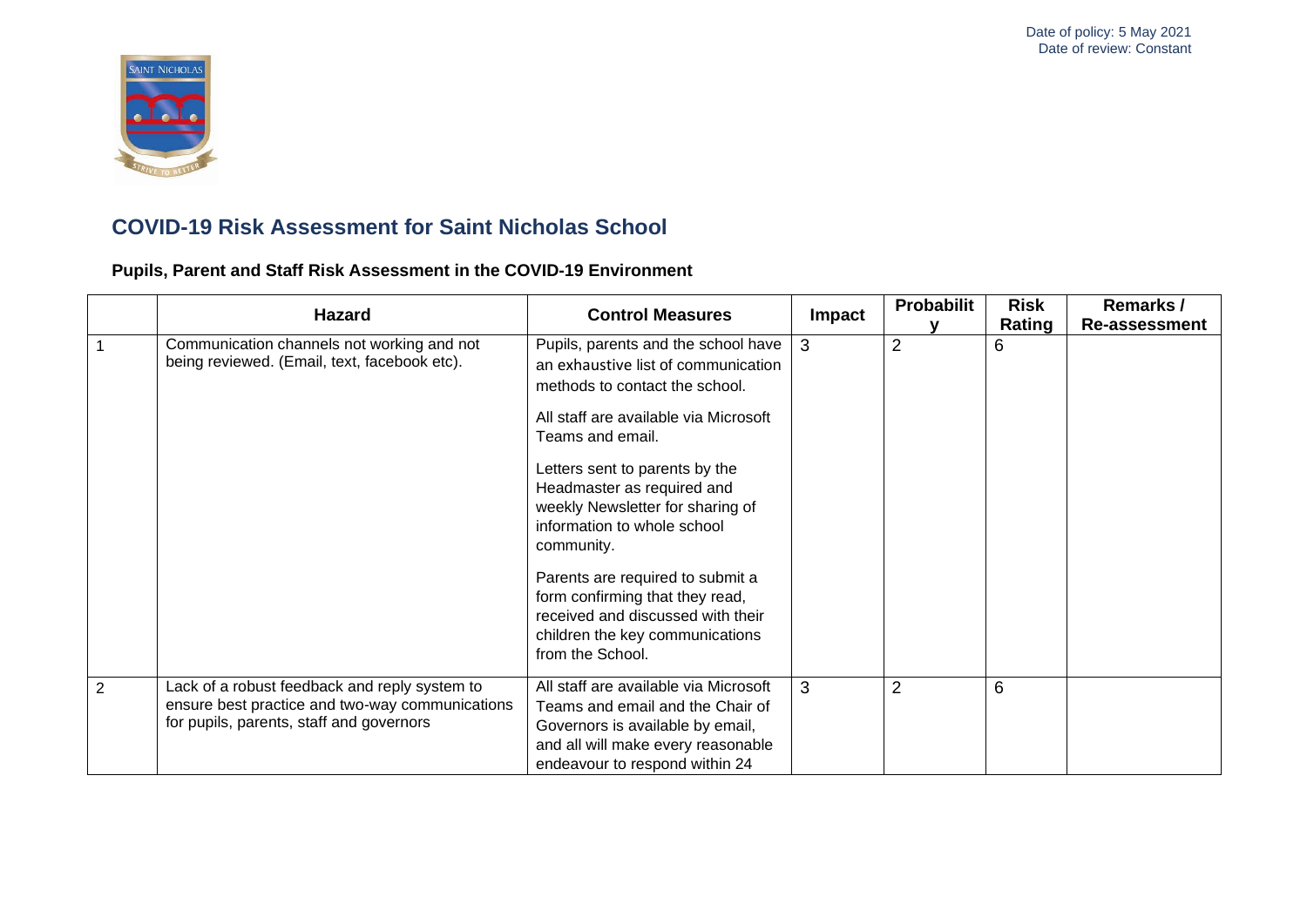

**Pupils, Parent and Staff Risk Assessment in the COVID-19 Environment**

|   | <b>Hazard</b>                                                                                                                                | <b>Control Measures</b>                                                                                                                                                                                                                                                                                                                                                                                                                                                   | Impact | Probabilit     | <b>Risk</b> | Remarks /            |
|---|----------------------------------------------------------------------------------------------------------------------------------------------|---------------------------------------------------------------------------------------------------------------------------------------------------------------------------------------------------------------------------------------------------------------------------------------------------------------------------------------------------------------------------------------------------------------------------------------------------------------------------|--------|----------------|-------------|----------------------|
|   | Communication channels not working and not<br>being reviewed. (Email, text, facebook etc).                                                   | Pupils, parents and the school have<br>an exhaustive list of communication<br>methods to contact the school.<br>All staff are available via Microsoft<br>Teams and email.<br>Letters sent to parents by the<br>Headmaster as required and<br>weekly Newsletter for sharing of<br>information to whole school<br>community.<br>Parents are required to submit a<br>form confirming that they read,<br>received and discussed with their<br>children the key communications | 3      | $\overline{2}$ | Rating<br>6 | <b>Re-assessment</b> |
|   |                                                                                                                                              | from the School.                                                                                                                                                                                                                                                                                                                                                                                                                                                          |        |                |             |                      |
| 2 | Lack of a robust feedback and reply system to<br>ensure best practice and two-way communications<br>for pupils, parents, staff and governors | All staff are available via Microsoft<br>Teams and email and the Chair of<br>Governors is available by email,<br>and all will make every reasonable<br>endeavour to respond within 24                                                                                                                                                                                                                                                                                     | 3      | $\overline{2}$ | 6           |                      |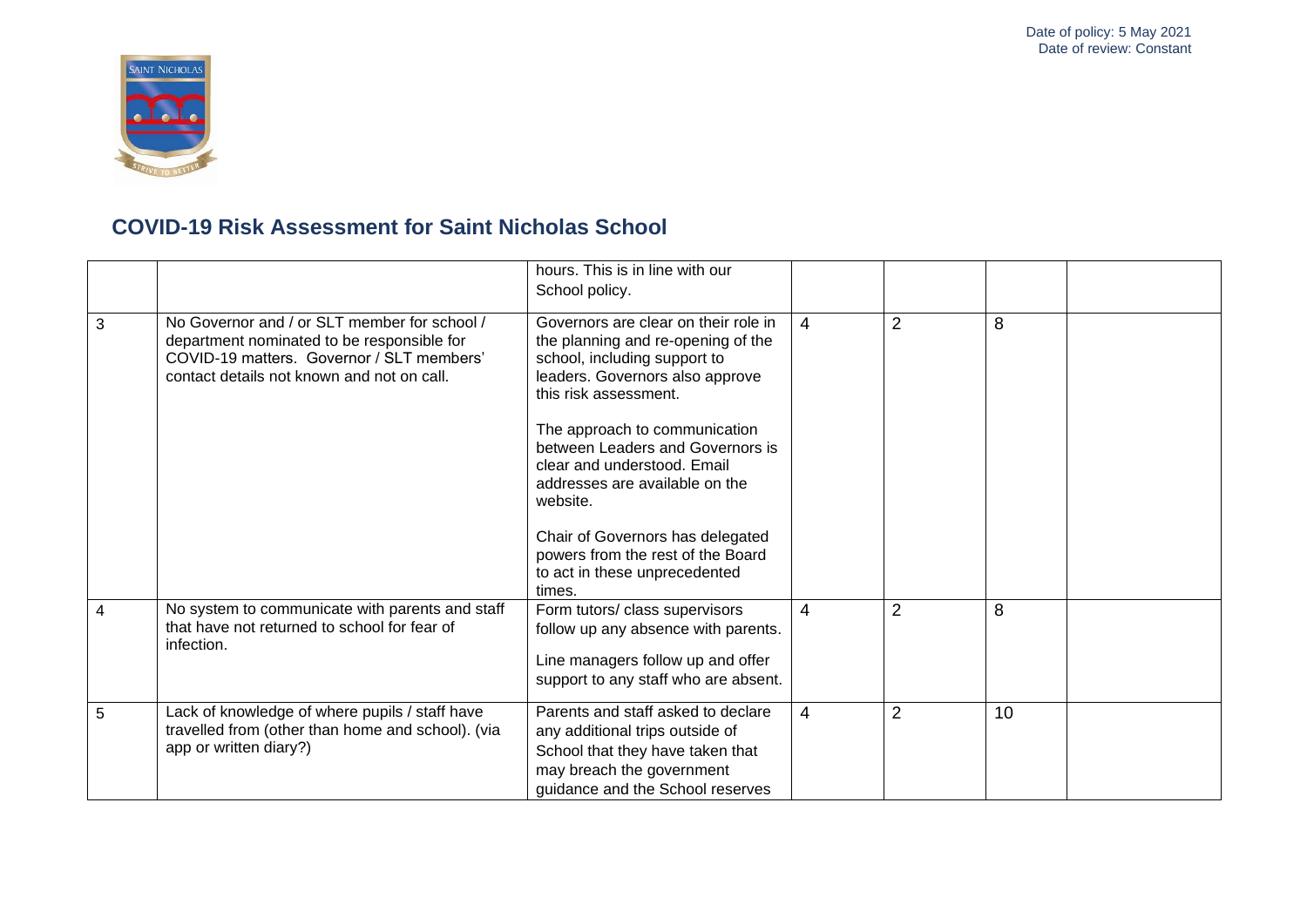

|   |                                                                                                                                                                                       | hours. This is in line with our<br>School policy.                                                                                                                                                       |   |                |    |  |
|---|---------------------------------------------------------------------------------------------------------------------------------------------------------------------------------------|---------------------------------------------------------------------------------------------------------------------------------------------------------------------------------------------------------|---|----------------|----|--|
| 3 | No Governor and / or SLT member for school /<br>department nominated to be responsible for<br>COVID-19 matters. Governor / SLT members'<br>contact details not known and not on call. | Governors are clear on their role in<br>the planning and re-opening of the<br>school, including support to<br>leaders. Governors also approve<br>this risk assessment.<br>The approach to communication | 4 | $\overline{2}$ | 8  |  |
|   |                                                                                                                                                                                       | between Leaders and Governors is<br>clear and understood. Email<br>addresses are available on the<br>website.                                                                                           |   |                |    |  |
|   |                                                                                                                                                                                       | Chair of Governors has delegated<br>powers from the rest of the Board<br>to act in these unprecedented<br>times.                                                                                        |   |                |    |  |
| 4 | No system to communicate with parents and staff<br>that have not returned to school for fear of<br>infection.                                                                         | Form tutors/ class supervisors<br>follow up any absence with parents.<br>Line managers follow up and offer<br>support to any staff who are absent.                                                      | 4 | $\overline{2}$ | 8  |  |
| 5 | Lack of knowledge of where pupils / staff have<br>travelled from (other than home and school). (via<br>app or written diary?)                                                         | Parents and staff asked to declare<br>any additional trips outside of<br>School that they have taken that<br>may breach the government<br>guidance and the School reserves                              | 4 | $\overline{2}$ | 10 |  |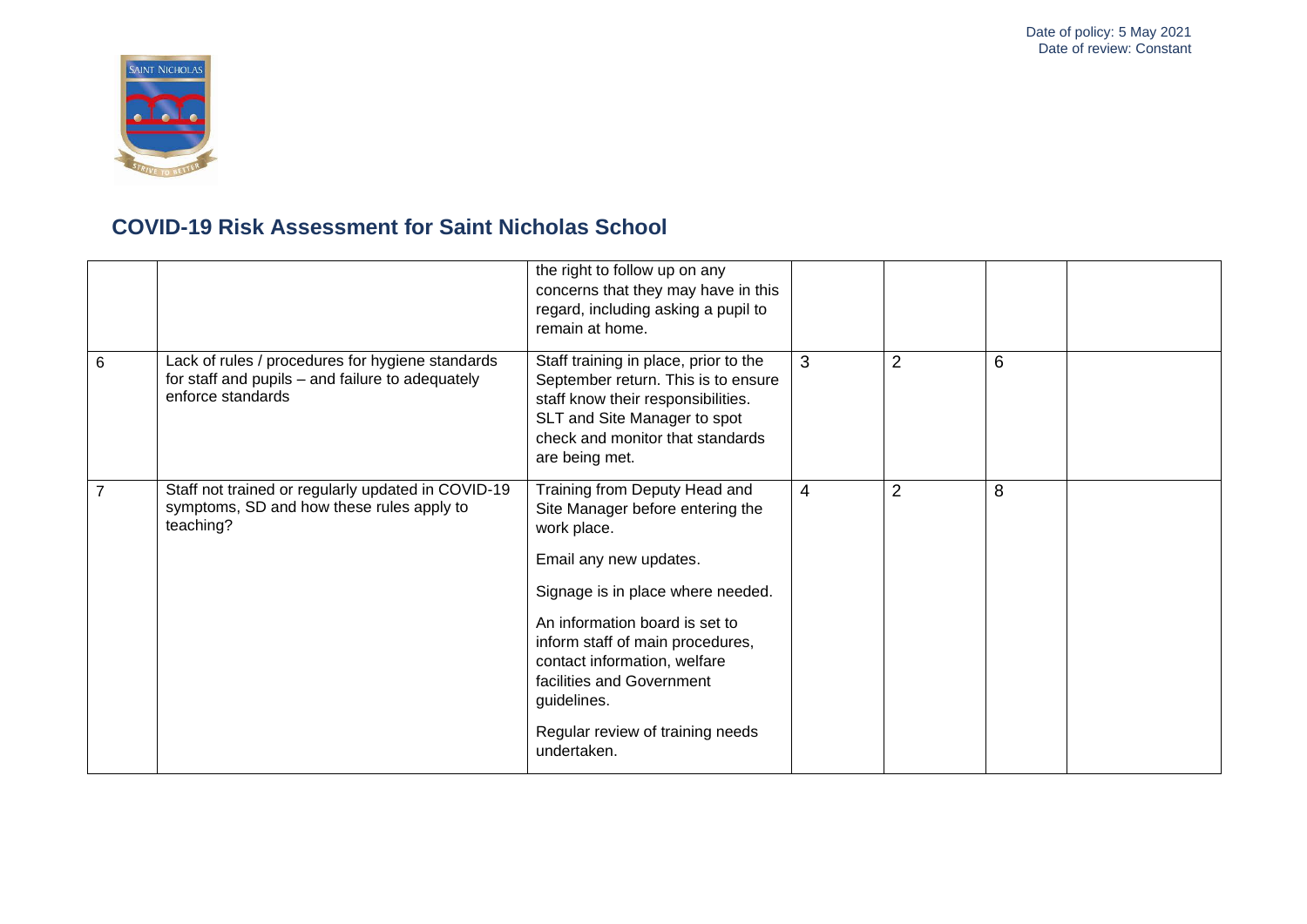

|                |                                                                                                                           | the right to follow up on any<br>concerns that they may have in this<br>regard, including asking a pupil to<br>remain at home.                                                                                                                                                                                                                       |                |                |   |  |
|----------------|---------------------------------------------------------------------------------------------------------------------------|------------------------------------------------------------------------------------------------------------------------------------------------------------------------------------------------------------------------------------------------------------------------------------------------------------------------------------------------------|----------------|----------------|---|--|
| 6              | Lack of rules / procedures for hygiene standards<br>for staff and pupils - and failure to adequately<br>enforce standards | Staff training in place, prior to the<br>September return. This is to ensure<br>staff know their responsibilities.<br>SLT and Site Manager to spot<br>check and monitor that standards<br>are being met.                                                                                                                                             | 3              | $\overline{2}$ | 6 |  |
| $\overline{7}$ | Staff not trained or regularly updated in COVID-19<br>symptoms, SD and how these rules apply to<br>teaching?              | Training from Deputy Head and<br>Site Manager before entering the<br>work place.<br>Email any new updates.<br>Signage is in place where needed.<br>An information board is set to<br>inform staff of main procedures,<br>contact information, welfare<br>facilities and Government<br>guidelines.<br>Regular review of training needs<br>undertaken. | $\overline{4}$ | $\overline{2}$ | 8 |  |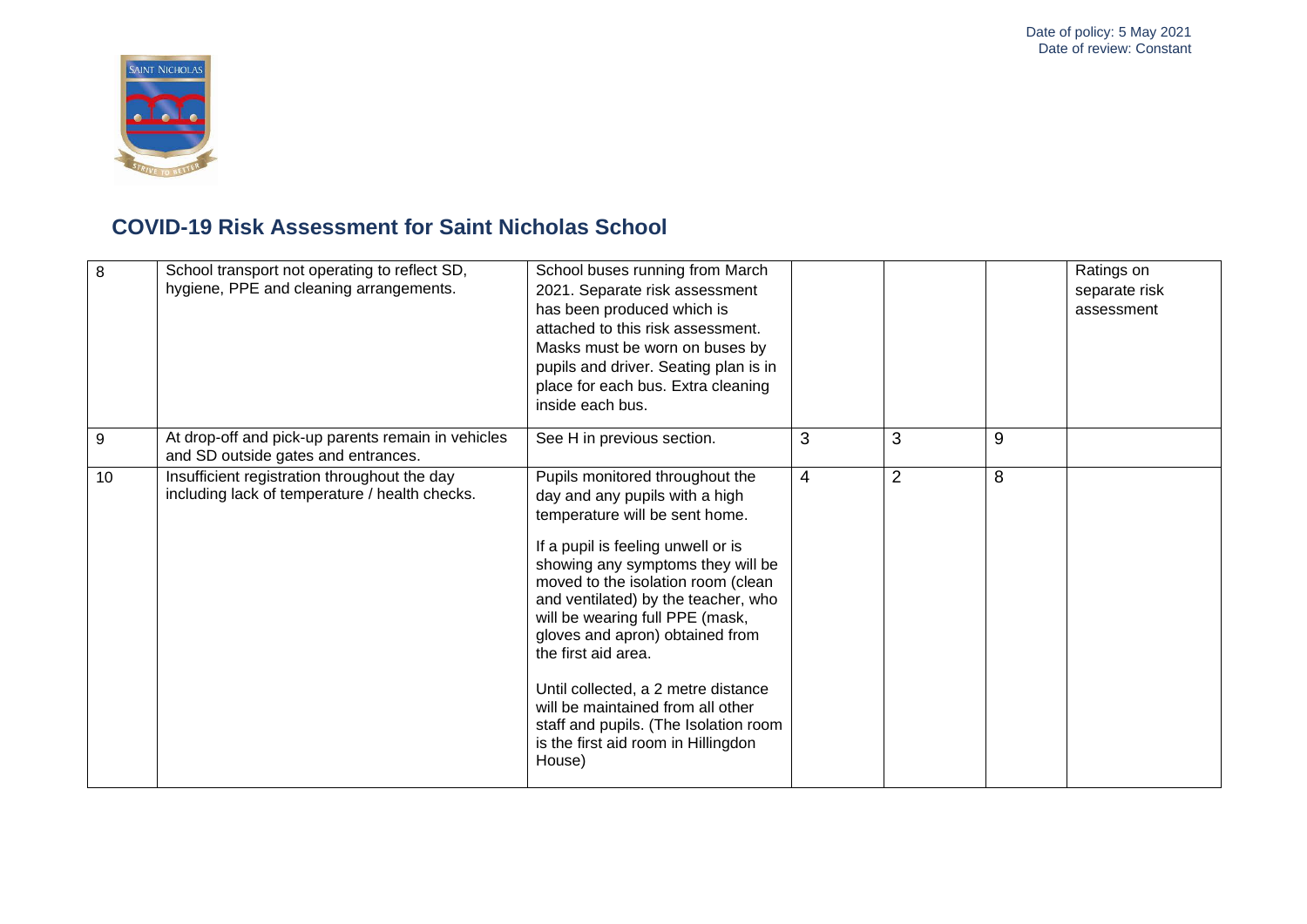

| 8  | School transport not operating to reflect SD,<br>hygiene, PPE and cleaning arrangements.       | School buses running from March<br>2021. Separate risk assessment<br>has been produced which is<br>attached to this risk assessment.<br>Masks must be worn on buses by<br>pupils and driver. Seating plan is in<br>place for each bus. Extra cleaning<br>inside each bus.                                                                                                                                                                                                                                                      |                |                |   | Ratings on<br>separate risk<br>assessment |
|----|------------------------------------------------------------------------------------------------|--------------------------------------------------------------------------------------------------------------------------------------------------------------------------------------------------------------------------------------------------------------------------------------------------------------------------------------------------------------------------------------------------------------------------------------------------------------------------------------------------------------------------------|----------------|----------------|---|-------------------------------------------|
| 9  | At drop-off and pick-up parents remain in vehicles<br>and SD outside gates and entrances.      | See H in previous section.                                                                                                                                                                                                                                                                                                                                                                                                                                                                                                     | 3              | 3              | 9 |                                           |
| 10 | Insufficient registration throughout the day<br>including lack of temperature / health checks. | Pupils monitored throughout the<br>day and any pupils with a high<br>temperature will be sent home.<br>If a pupil is feeling unwell or is<br>showing any symptoms they will be<br>moved to the isolation room (clean<br>and ventilated) by the teacher, who<br>will be wearing full PPE (mask,<br>gloves and apron) obtained from<br>the first aid area.<br>Until collected, a 2 metre distance<br>will be maintained from all other<br>staff and pupils. (The Isolation room<br>is the first aid room in Hillingdon<br>House) | $\overline{4}$ | $\overline{2}$ | 8 |                                           |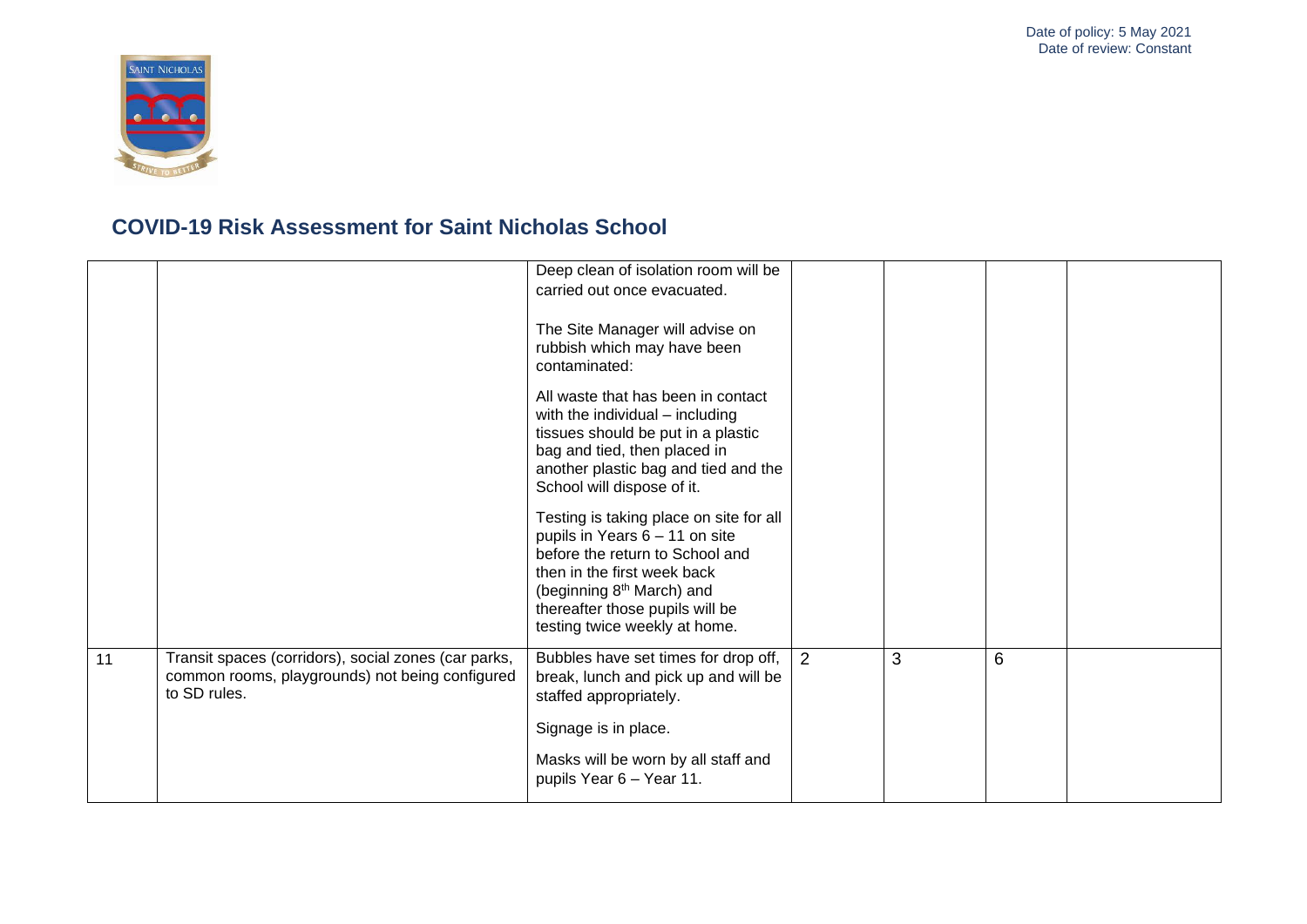

|    |                                                                                                                         | Deep clean of isolation room will be<br>carried out once evacuated.<br>The Site Manager will advise on<br>rubbish which may have been<br>contaminated:<br>All waste that has been in contact<br>with the individual - including<br>tissues should be put in a plastic<br>bag and tied, then placed in<br>another plastic bag and tied and the<br>School will dispose of it.<br>Testing is taking place on site for all<br>pupils in Years 6 - 11 on site<br>before the return to School and<br>then in the first week back<br>(beginning 8 <sup>th</sup> March) and<br>thereafter those pupils will be<br>testing twice weekly at home. |   |   |   |  |
|----|-------------------------------------------------------------------------------------------------------------------------|-----------------------------------------------------------------------------------------------------------------------------------------------------------------------------------------------------------------------------------------------------------------------------------------------------------------------------------------------------------------------------------------------------------------------------------------------------------------------------------------------------------------------------------------------------------------------------------------------------------------------------------------|---|---|---|--|
| 11 | Transit spaces (corridors), social zones (car parks,<br>common rooms, playgrounds) not being configured<br>to SD rules. | Bubbles have set times for drop off,<br>break, lunch and pick up and will be<br>staffed appropriately.<br>Signage is in place.<br>Masks will be worn by all staff and<br>pupils Year 6 - Year 11.                                                                                                                                                                                                                                                                                                                                                                                                                                       | 2 | 3 | 6 |  |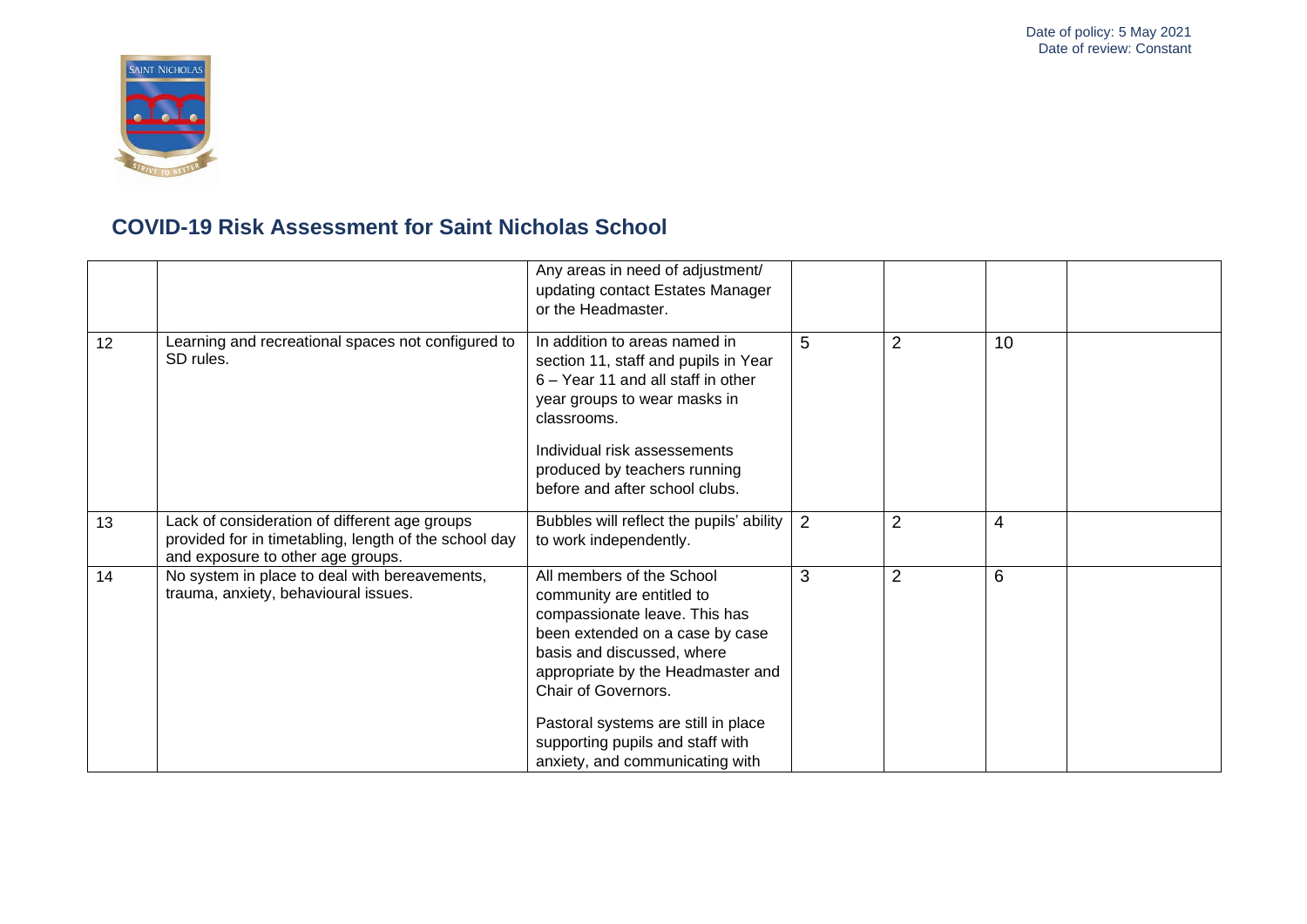

|    |                                                                                                                                             | Any areas in need of adjustment/<br>updating contact Estates Manager<br>or the Headmaster.                                                                                                                                                                                                                                         |   |                |    |  |
|----|---------------------------------------------------------------------------------------------------------------------------------------------|------------------------------------------------------------------------------------------------------------------------------------------------------------------------------------------------------------------------------------------------------------------------------------------------------------------------------------|---|----------------|----|--|
| 12 | Learning and recreational spaces not configured to<br>SD rules.                                                                             | In addition to areas named in<br>section 11, staff and pupils in Year<br>6 - Year 11 and all staff in other<br>year groups to wear masks in<br>classrooms.<br>Individual risk assessements<br>produced by teachers running<br>before and after school clubs.                                                                       | 5 | $\overline{2}$ | 10 |  |
| 13 | Lack of consideration of different age groups<br>provided for in timetabling, length of the school day<br>and exposure to other age groups. | Bubbles will reflect the pupils' ability<br>to work independently.                                                                                                                                                                                                                                                                 | 2 | $\overline{2}$ | 4  |  |
| 14 | No system in place to deal with bereavements,<br>trauma, anxiety, behavioural issues.                                                       | All members of the School<br>community are entitled to<br>compassionate leave. This has<br>been extended on a case by case<br>basis and discussed, where<br>appropriate by the Headmaster and<br>Chair of Governors.<br>Pastoral systems are still in place<br>supporting pupils and staff with<br>anxiety, and communicating with | 3 | $\overline{2}$ | 6  |  |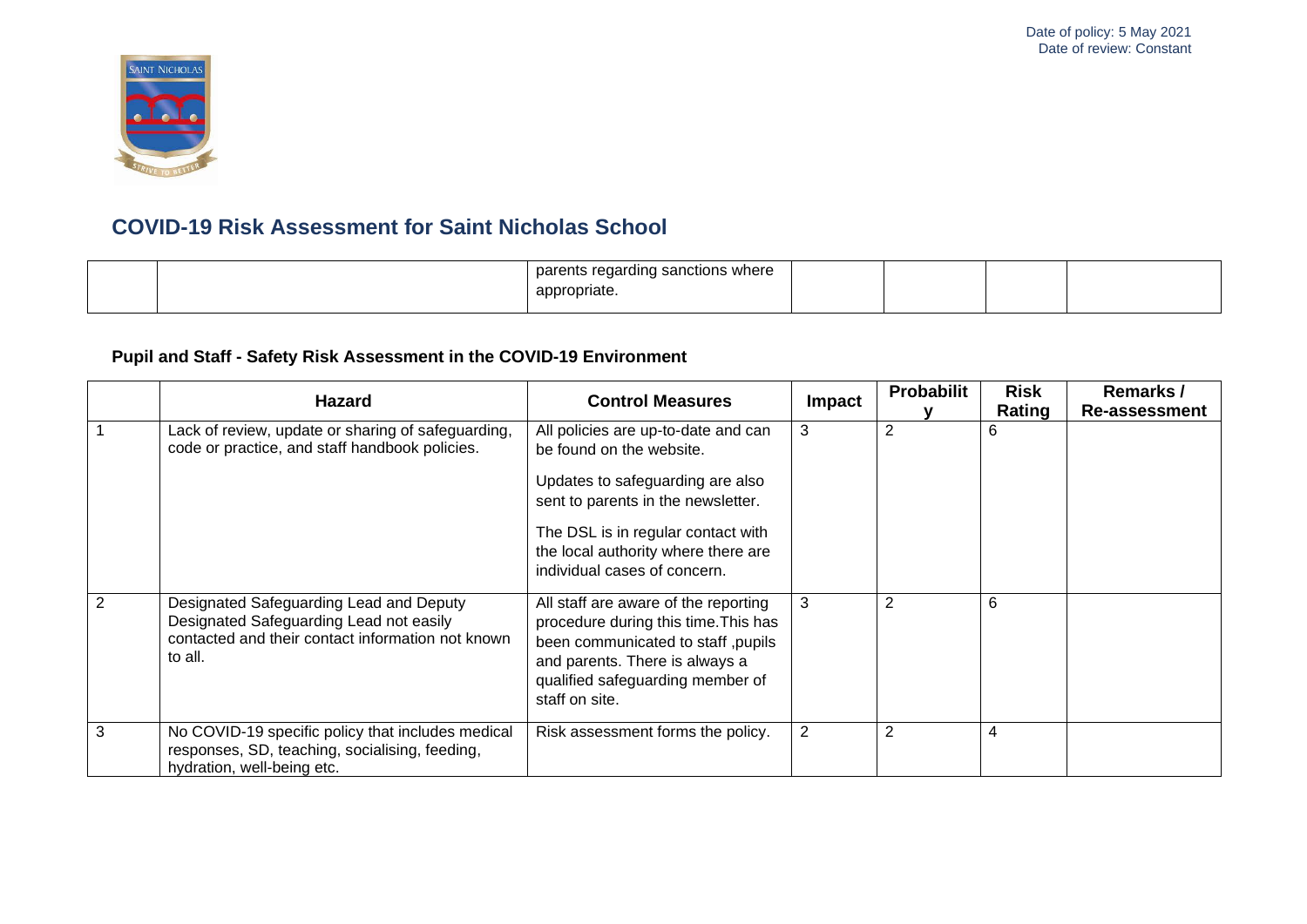

|  | pare<br>sanctions where י<br>$r_{\alpha}$<br>OIL<br>wu |  |  |
|--|--------------------------------------------------------|--|--|
|  | appropriate.                                           |  |  |
|  |                                                        |  |  |

### **Pupil and Staff - Safety Risk Assessment in the COVID-19 Environment**

|   | <b>Hazard</b>                                                                                                                                      |                                                                                                                                                                                                                                                        | <b>Control Measures</b> | <b>Probabilit</b> | <b>Risk</b> | Remarks /            |
|---|----------------------------------------------------------------------------------------------------------------------------------------------------|--------------------------------------------------------------------------------------------------------------------------------------------------------------------------------------------------------------------------------------------------------|-------------------------|-------------------|-------------|----------------------|
|   |                                                                                                                                                    |                                                                                                                                                                                                                                                        | Impact                  |                   | Rating      | <b>Re-assessment</b> |
|   | Lack of review, update or sharing of safeguarding,<br>code or practice, and staff handbook policies.                                               | All policies are up-to-date and can<br>be found on the website.<br>Updates to safeguarding are also<br>sent to parents in the newsletter.<br>The DSL is in regular contact with<br>the local authority where there are<br>individual cases of concern. | 3                       | 2                 | 6           |                      |
| 2 | Designated Safeguarding Lead and Deputy<br>Designated Safeguarding Lead not easily<br>contacted and their contact information not known<br>to all. | All staff are aware of the reporting<br>procedure during this time. This has<br>been communicated to staff, pupils<br>and parents. There is always a<br>qualified safeguarding member of<br>staff on site.                                             | 3                       | 2                 | 6           |                      |
| 3 | No COVID-19 specific policy that includes medical<br>responses, SD, teaching, socialising, feeding,<br>hydration, well-being etc.                  | Risk assessment forms the policy.                                                                                                                                                                                                                      | $\overline{2}$          | $\overline{2}$    | 4           |                      |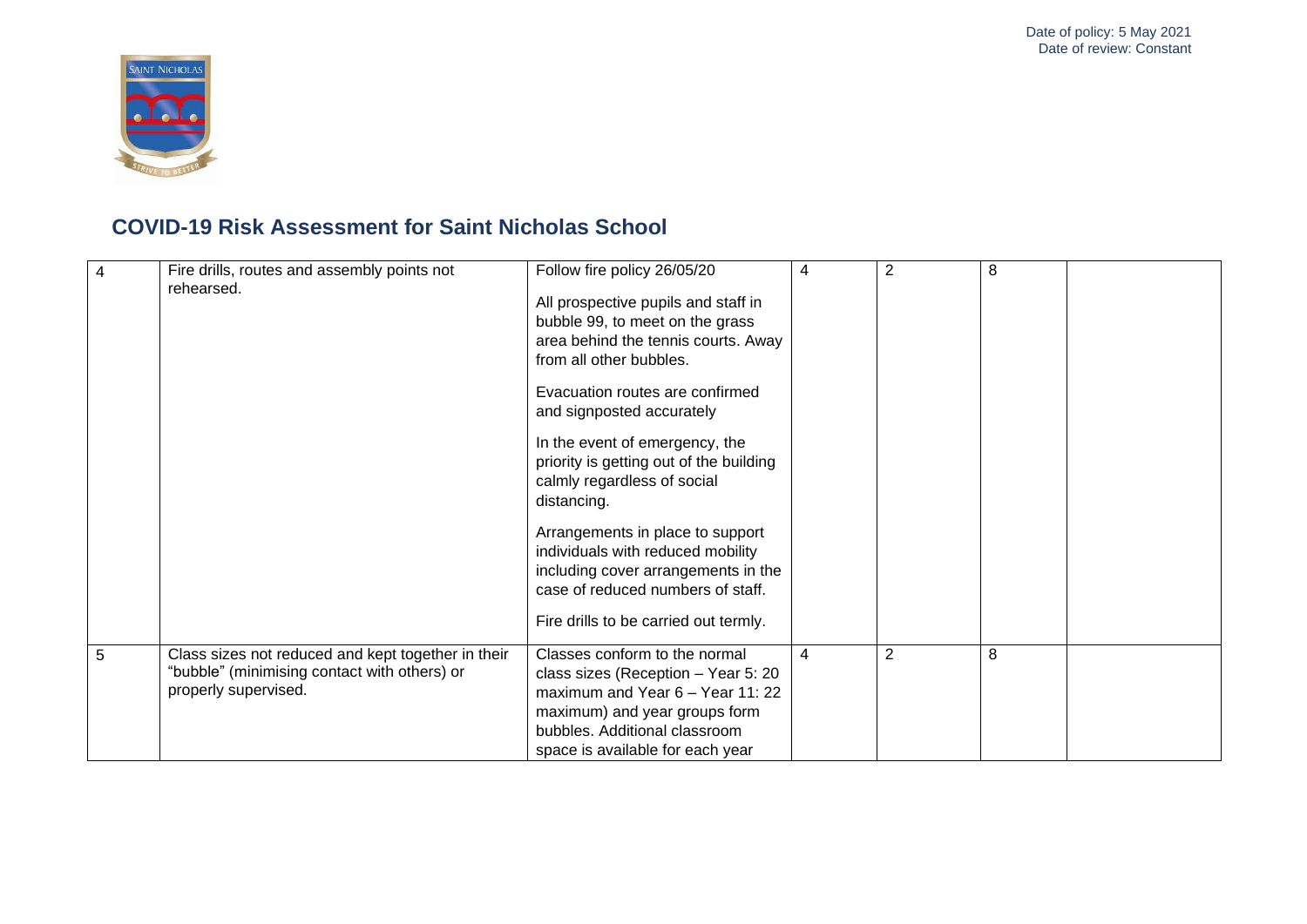

| 4 | Fire drills, routes and assembly points not<br>rehearsed.                                                                  | Follow fire policy 26/05/20<br>All prospective pupils and staff in<br>bubble 99, to meet on the grass<br>area behind the tennis courts. Away<br>from all other bubbles.<br>Evacuation routes are confirmed<br>and signposted accurately<br>In the event of emergency, the<br>priority is getting out of the building<br>calmly regardless of social<br>distancing.<br>Arrangements in place to support<br>individuals with reduced mobility<br>including cover arrangements in the<br>case of reduced numbers of staff.<br>Fire drills to be carried out termly. | 4 | 2              | 8 |  |
|---|----------------------------------------------------------------------------------------------------------------------------|------------------------------------------------------------------------------------------------------------------------------------------------------------------------------------------------------------------------------------------------------------------------------------------------------------------------------------------------------------------------------------------------------------------------------------------------------------------------------------------------------------------------------------------------------------------|---|----------------|---|--|
| 5 | Class sizes not reduced and kept together in their<br>"bubble" (minimising contact with others) or<br>properly supervised. | Classes conform to the normal<br>class sizes (Reception - Year 5: 20<br>maximum and Year 6 - Year 11: 22<br>maximum) and year groups form<br>bubbles. Additional classroom<br>space is available for each year                                                                                                                                                                                                                                                                                                                                                   | 4 | $\overline{2}$ | 8 |  |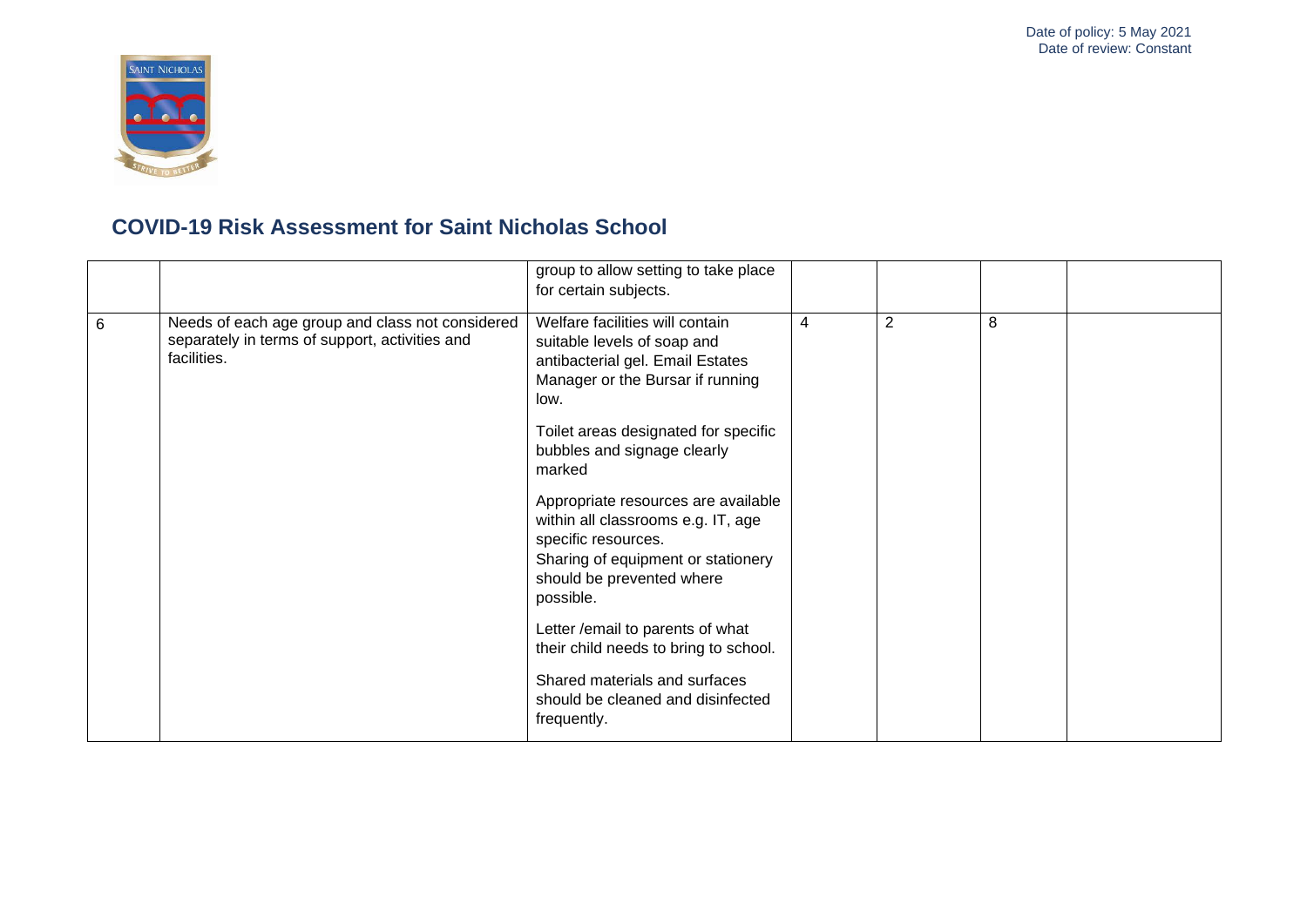

|   |                                                                                                                   | group to allow setting to take place<br>for certain subjects.                                                                                                                                                                                                                                                                                                                                                                                            |   |                |   |  |
|---|-------------------------------------------------------------------------------------------------------------------|----------------------------------------------------------------------------------------------------------------------------------------------------------------------------------------------------------------------------------------------------------------------------------------------------------------------------------------------------------------------------------------------------------------------------------------------------------|---|----------------|---|--|
| 6 | Needs of each age group and class not considered<br>separately in terms of support, activities and<br>facilities. | Welfare facilities will contain<br>suitable levels of soap and<br>antibacterial gel. Email Estates<br>Manager or the Bursar if running<br>low.<br>Toilet areas designated for specific<br>bubbles and signage clearly<br>marked<br>Appropriate resources are available<br>within all classrooms e.g. IT, age<br>specific resources.<br>Sharing of equipment or stationery<br>should be prevented where<br>possible.<br>Letter / email to parents of what | 4 | $\overline{2}$ | 8 |  |
|   |                                                                                                                   | their child needs to bring to school.                                                                                                                                                                                                                                                                                                                                                                                                                    |   |                |   |  |
|   |                                                                                                                   | Shared materials and surfaces<br>should be cleaned and disinfected<br>frequently.                                                                                                                                                                                                                                                                                                                                                                        |   |                |   |  |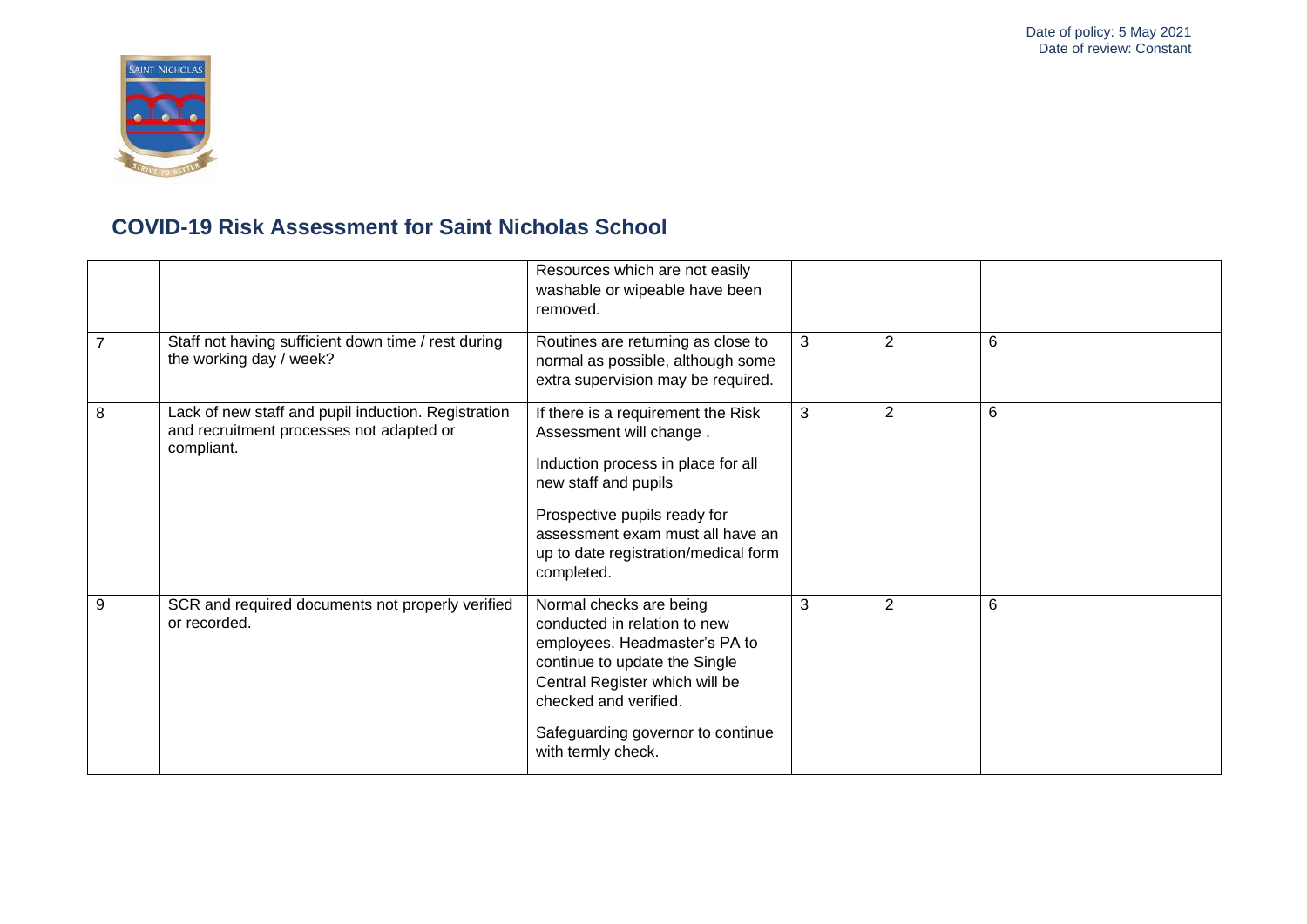

|                |                                                                                                               | Resources which are not easily<br>washable or wipeable have been<br>removed.                                                                                                                                                                          |   |                |   |  |
|----------------|---------------------------------------------------------------------------------------------------------------|-------------------------------------------------------------------------------------------------------------------------------------------------------------------------------------------------------------------------------------------------------|---|----------------|---|--|
| $\overline{7}$ | Staff not having sufficient down time / rest during<br>the working day / week?                                | Routines are returning as close to<br>normal as possible, although some<br>extra supervision may be required.                                                                                                                                         | 3 | $\overline{2}$ | 6 |  |
| 8              | Lack of new staff and pupil induction. Registration<br>and recruitment processes not adapted or<br>compliant. | If there is a requirement the Risk<br>Assessment will change.<br>Induction process in place for all<br>new staff and pupils<br>Prospective pupils ready for<br>assessment exam must all have an<br>up to date registration/medical form<br>completed. | 3 | 2              | 6 |  |
| 9              | SCR and required documents not properly verified<br>or recorded.                                              | Normal checks are being<br>conducted in relation to new<br>employees. Headmaster's PA to<br>continue to update the Single<br>Central Register which will be<br>checked and verified.<br>Safeguarding governor to continue<br>with termly check.       | 3 | $\overline{2}$ | 6 |  |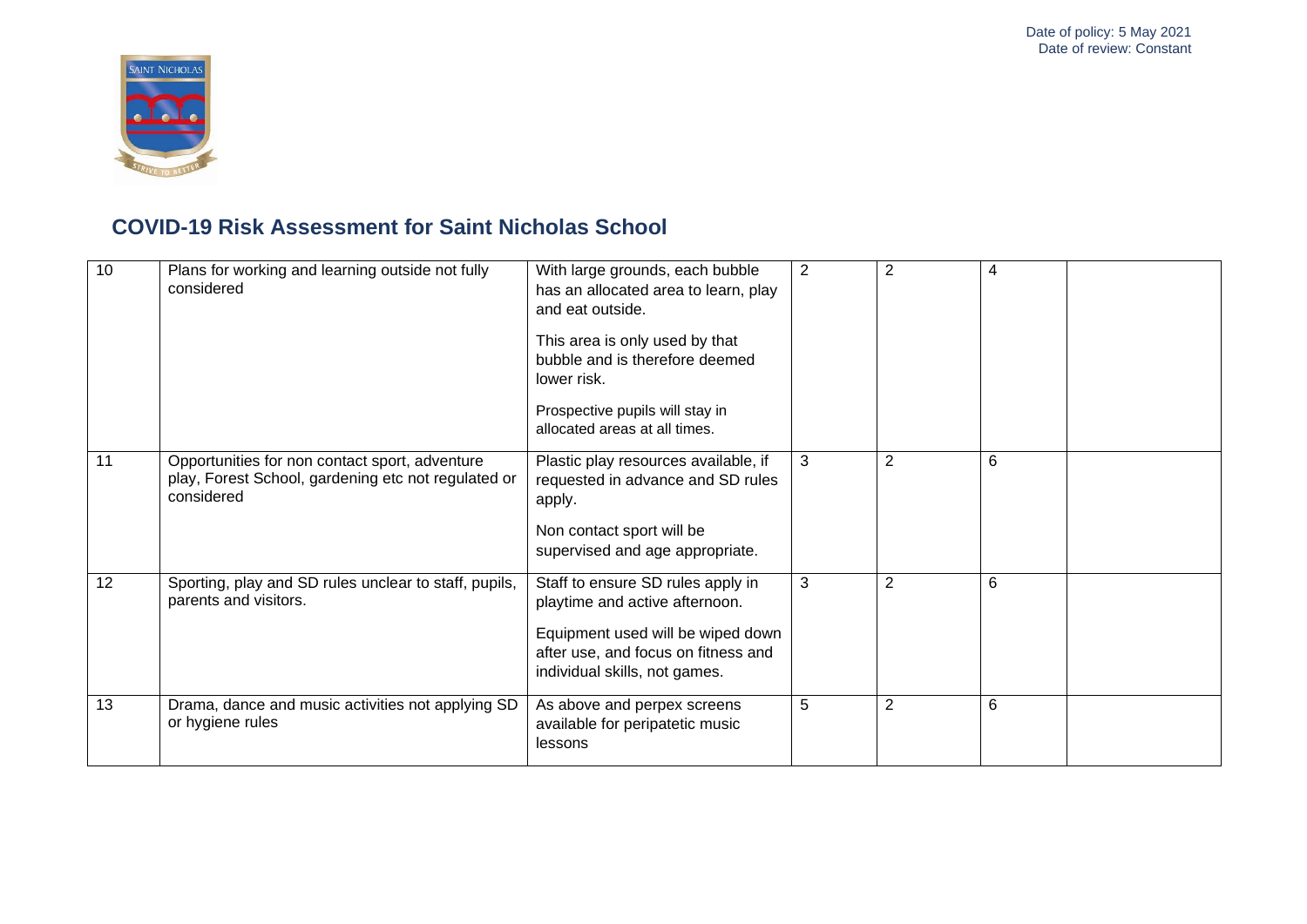

| 10 | Plans for working and learning outside not fully<br>considered                                                      | With large grounds, each bubble<br>has an allocated area to learn, play<br>and eat outside.<br>This area is only used by that<br>bubble and is therefore deemed<br>lower risk.<br>Prospective pupils will stay in<br>allocated areas at all times. | 2 | 2              | 4 |
|----|---------------------------------------------------------------------------------------------------------------------|----------------------------------------------------------------------------------------------------------------------------------------------------------------------------------------------------------------------------------------------------|---|----------------|---|
| 11 | Opportunities for non contact sport, adventure<br>play, Forest School, gardening etc not regulated or<br>considered | Plastic play resources available, if<br>requested in advance and SD rules<br>apply.<br>Non contact sport will be<br>supervised and age appropriate.                                                                                                | 3 | $\overline{2}$ | 6 |
| 12 | Sporting, play and SD rules unclear to staff, pupils,<br>parents and visitors.                                      | Staff to ensure SD rules apply in<br>playtime and active afternoon.<br>Equipment used will be wiped down<br>after use, and focus on fitness and<br>individual skills, not games.                                                                   | 3 | $\overline{2}$ | 6 |
| 13 | Drama, dance and music activities not applying SD<br>or hygiene rules                                               | As above and perpex screens<br>available for peripatetic music<br>lessons                                                                                                                                                                          | 5 | $\overline{2}$ | 6 |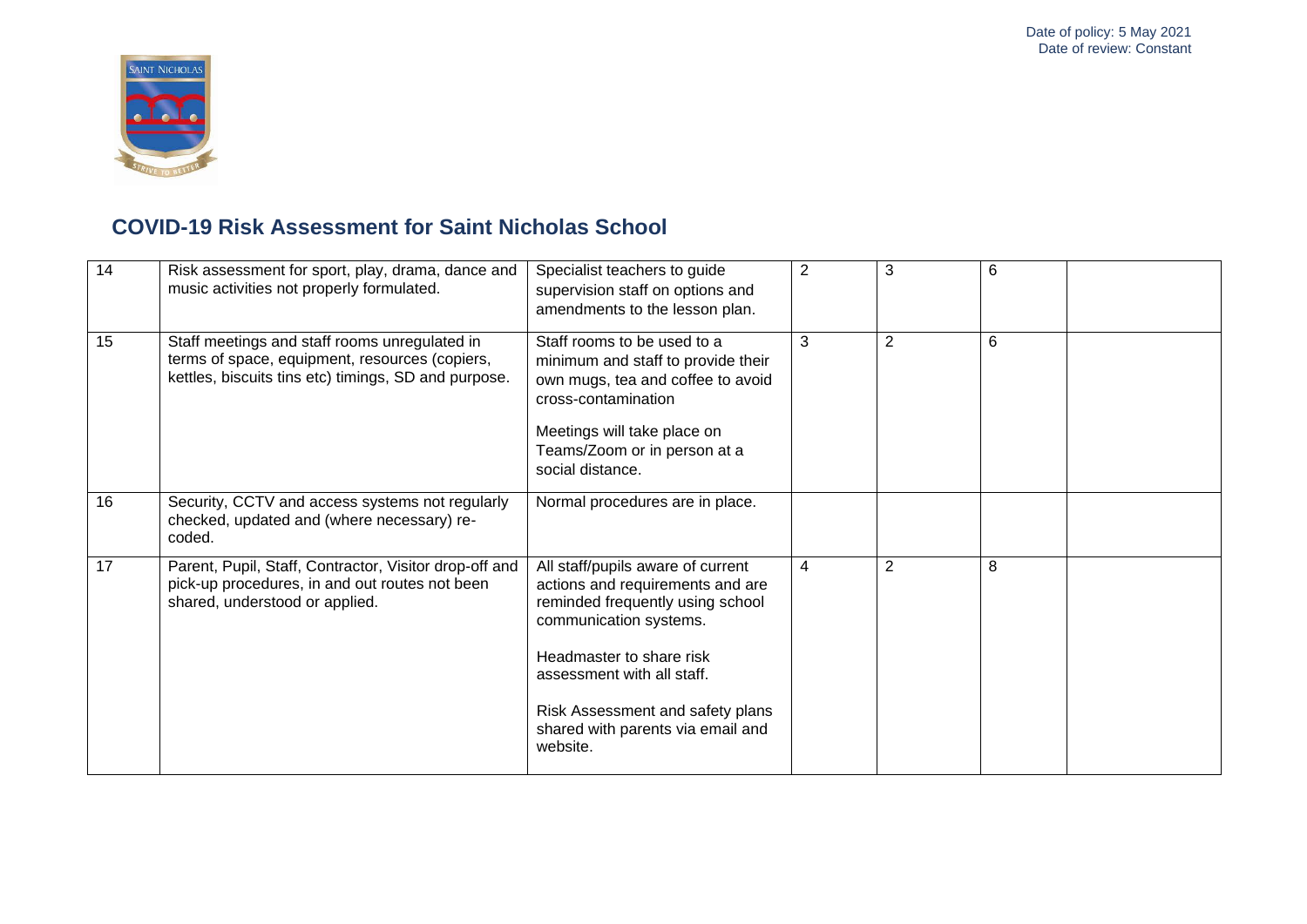

| 14 | Risk assessment for sport, play, drama, dance and<br>music activities not properly formulated.                                                          | Specialist teachers to guide<br>supervision staff on options and<br>amendments to the lesson plan.                                                                                                                                                                                 | 2              | 3              | 6 |  |
|----|---------------------------------------------------------------------------------------------------------------------------------------------------------|------------------------------------------------------------------------------------------------------------------------------------------------------------------------------------------------------------------------------------------------------------------------------------|----------------|----------------|---|--|
| 15 | Staff meetings and staff rooms unregulated in<br>terms of space, equipment, resources (copiers,<br>kettles, biscuits tins etc) timings, SD and purpose. | Staff rooms to be used to a<br>minimum and staff to provide their<br>own mugs, tea and coffee to avoid<br>cross-contamination<br>Meetings will take place on<br>Teams/Zoom or in person at a<br>social distance.                                                                   | 3              | $\overline{2}$ | 6 |  |
| 16 | Security, CCTV and access systems not regularly<br>checked, updated and (where necessary) re-<br>coded.                                                 | Normal procedures are in place.                                                                                                                                                                                                                                                    |                |                |   |  |
| 17 | Parent, Pupil, Staff, Contractor, Visitor drop-off and<br>pick-up procedures, in and out routes not been<br>shared, understood or applied.              | All staff/pupils aware of current<br>actions and requirements and are<br>reminded frequently using school<br>communication systems.<br>Headmaster to share risk<br>assessment with all staff.<br>Risk Assessment and safety plans<br>shared with parents via email and<br>website. | $\overline{4}$ | 2              | 8 |  |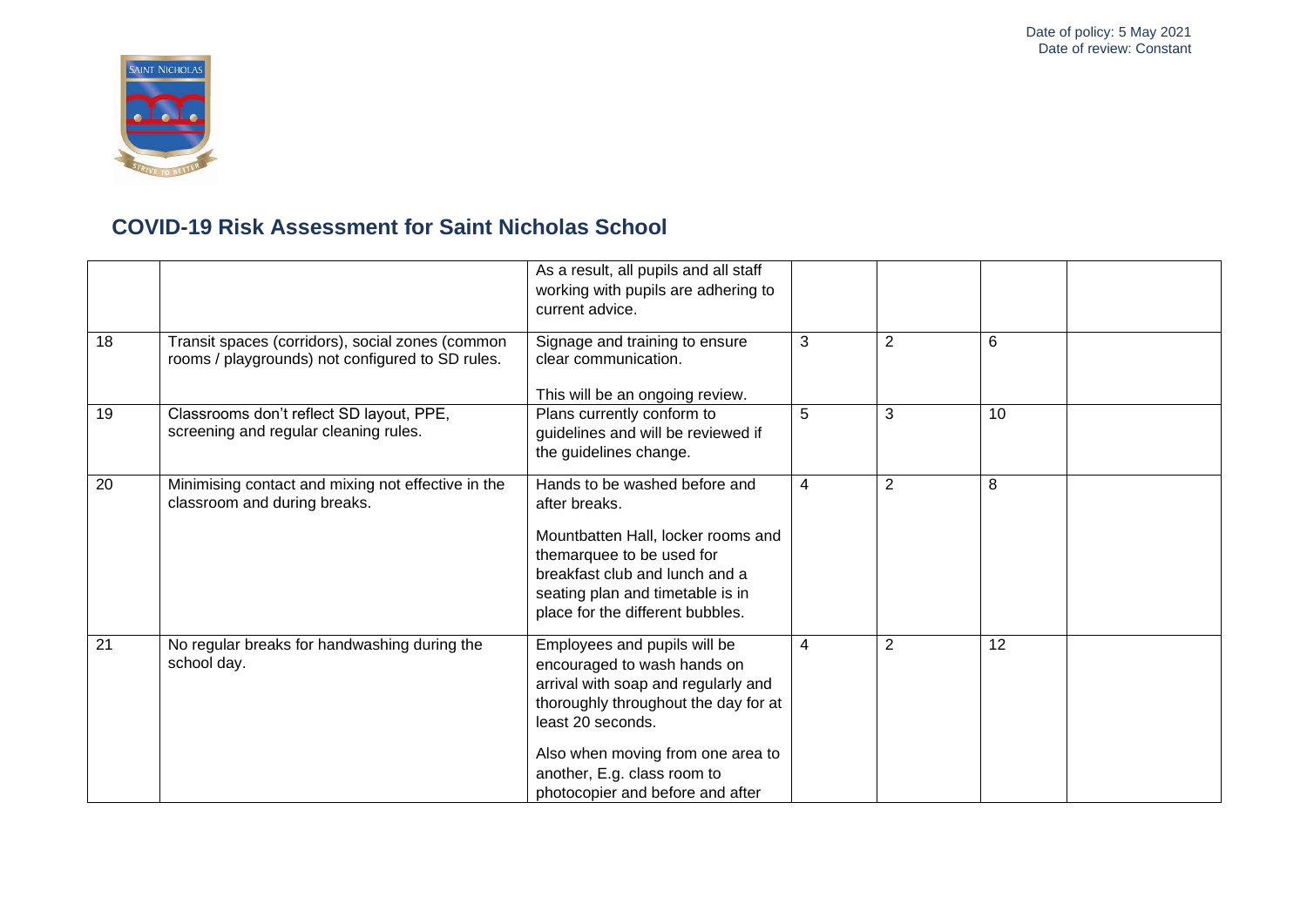

|                 |                                                                                                      | As a result, all pupils and all staff<br>working with pupils are adhering to<br>current advice.                                                                                                                                                                         |                |                |                 |  |
|-----------------|------------------------------------------------------------------------------------------------------|-------------------------------------------------------------------------------------------------------------------------------------------------------------------------------------------------------------------------------------------------------------------------|----------------|----------------|-----------------|--|
| 18              | Transit spaces (corridors), social zones (common<br>rooms / playgrounds) not configured to SD rules. | Signage and training to ensure<br>clear communication.<br>This will be an ongoing review.                                                                                                                                                                               | 3              | 2              | 6               |  |
| 19              | Classrooms don't reflect SD layout, PPE,<br>screening and regular cleaning rules.                    | Plans currently conform to<br>guidelines and will be reviewed if<br>the guidelines change.                                                                                                                                                                              | 5              | 3              | 10              |  |
| 20              | Minimising contact and mixing not effective in the<br>classroom and during breaks.                   | Hands to be washed before and<br>after breaks.<br>Mountbatten Hall, locker rooms and<br>themarquee to be used for<br>breakfast club and lunch and a<br>seating plan and timetable is in<br>place for the different bubbles.                                             | $\overline{4}$ | $\overline{2}$ | 8               |  |
| $\overline{21}$ | No regular breaks for handwashing during the<br>school day.                                          | Employees and pupils will be<br>encouraged to wash hands on<br>arrival with soap and regularly and<br>thoroughly throughout the day for at<br>least 20 seconds.<br>Also when moving from one area to<br>another, E.g. class room to<br>photocopier and before and after | $\overline{4}$ | $\overline{2}$ | $\overline{12}$ |  |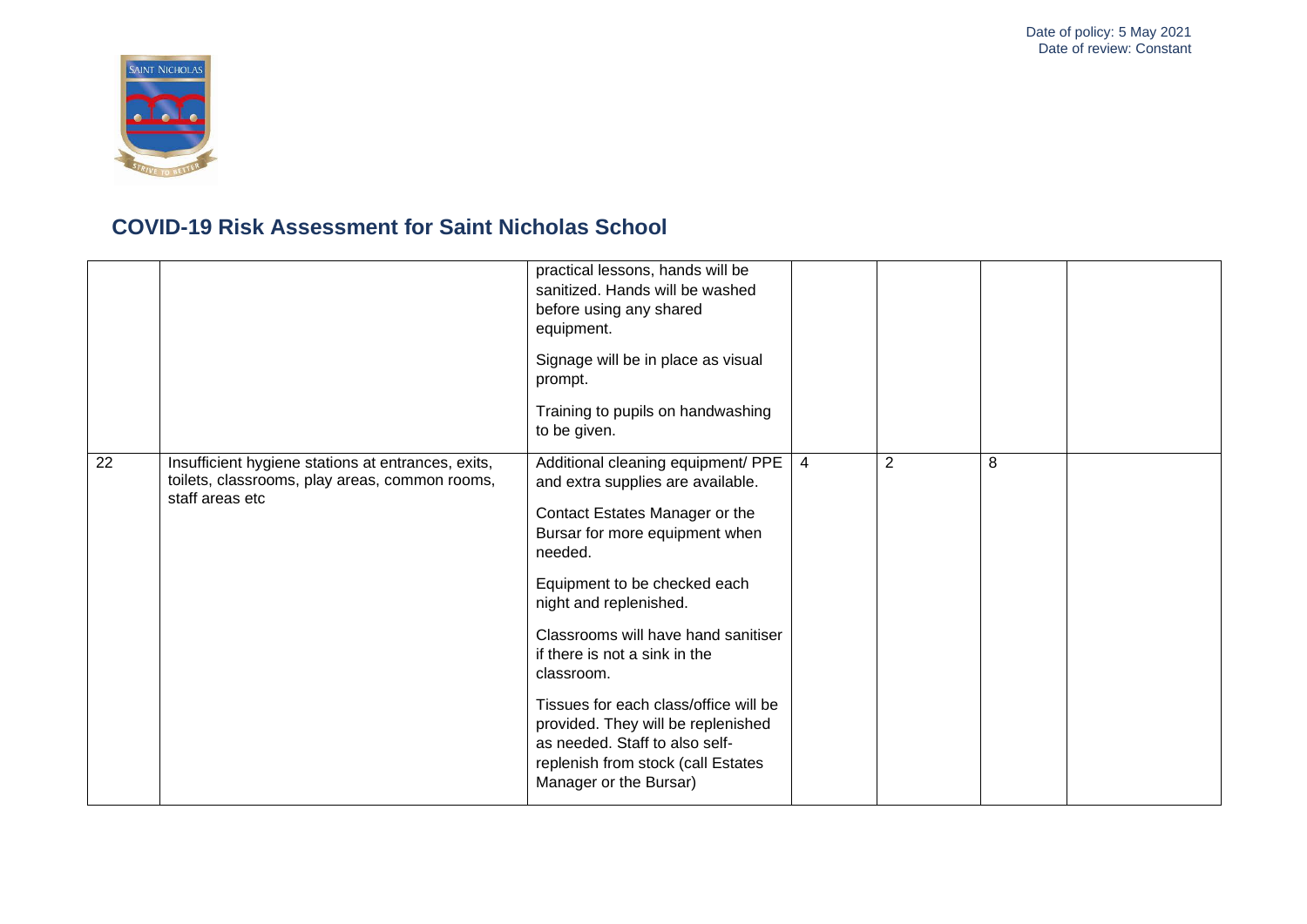

|    |                                                                                                                         | practical lessons, hands will be<br>sanitized. Hands will be washed<br>before using any shared<br>equipment.<br>Signage will be in place as visual<br>prompt.<br>Training to pupils on handwashing<br>to be given.                                                                                                                                                                                                                                                                      |   |                |   |  |
|----|-------------------------------------------------------------------------------------------------------------------------|-----------------------------------------------------------------------------------------------------------------------------------------------------------------------------------------------------------------------------------------------------------------------------------------------------------------------------------------------------------------------------------------------------------------------------------------------------------------------------------------|---|----------------|---|--|
| 22 | Insufficient hygiene stations at entrances, exits,<br>toilets, classrooms, play areas, common rooms,<br>staff areas etc | Additional cleaning equipment/ PPE<br>and extra supplies are available.<br>Contact Estates Manager or the<br>Bursar for more equipment when<br>needed.<br>Equipment to be checked each<br>night and replenished.<br>Classrooms will have hand sanitiser<br>if there is not a sink in the<br>classroom.<br>Tissues for each class/office will be<br>provided. They will be replenished<br>as needed. Staff to also self-<br>replenish from stock (call Estates<br>Manager or the Bursar) | 4 | $\overline{2}$ | 8 |  |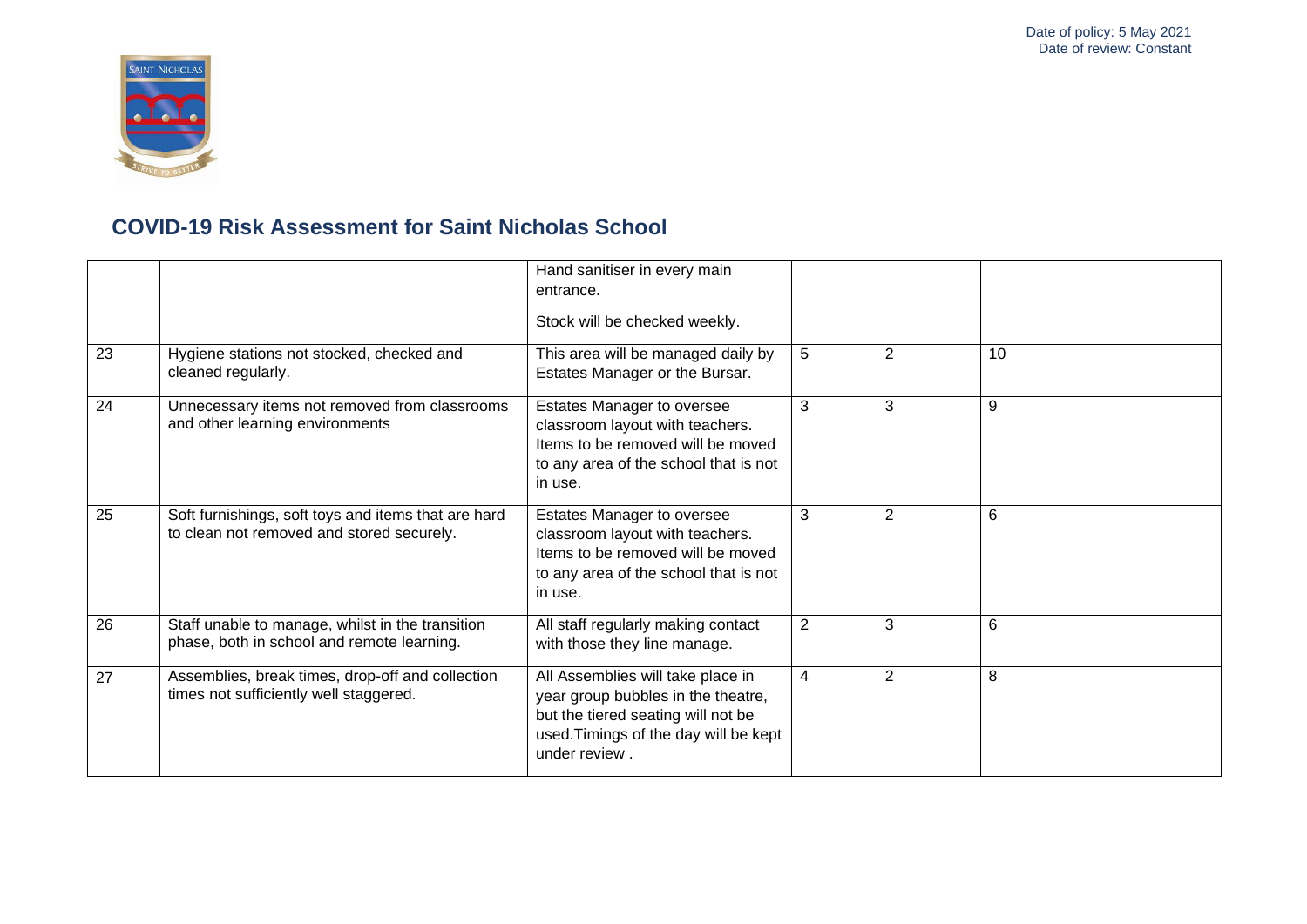

| 23              | Hygiene stations not stocked, checked and<br>cleaned regularly.                                  | Hand sanitiser in every main<br>entrance.<br>Stock will be checked weekly.<br>This area will be managed daily by<br>Estates Manager or the Bursar.                      | 5              | $\overline{2}$ | 10 |  |
|-----------------|--------------------------------------------------------------------------------------------------|-------------------------------------------------------------------------------------------------------------------------------------------------------------------------|----------------|----------------|----|--|
| 24              | Unnecessary items not removed from classrooms<br>and other learning environments                 | Estates Manager to oversee<br>classroom layout with teachers.<br>Items to be removed will be moved<br>to any area of the school that is not<br>in use.                  | 3              | 3              | 9  |  |
| $\overline{25}$ | Soft furnishings, soft toys and items that are hard<br>to clean not removed and stored securely. | Estates Manager to oversee<br>classroom layout with teachers.<br>Items to be removed will be moved<br>to any area of the school that is not<br>in use.                  | 3              | $\overline{2}$ | 6  |  |
| 26              | Staff unable to manage, whilst in the transition<br>phase, both in school and remote learning.   | All staff regularly making contact<br>with those they line manage.                                                                                                      | 2              | 3              | 6  |  |
| 27              | Assemblies, break times, drop-off and collection<br>times not sufficiently well staggered.       | All Assemblies will take place in<br>year group bubbles in the theatre,<br>but the tiered seating will not be<br>used. Timings of the day will be kept<br>under review. | $\overline{4}$ | 2              | 8  |  |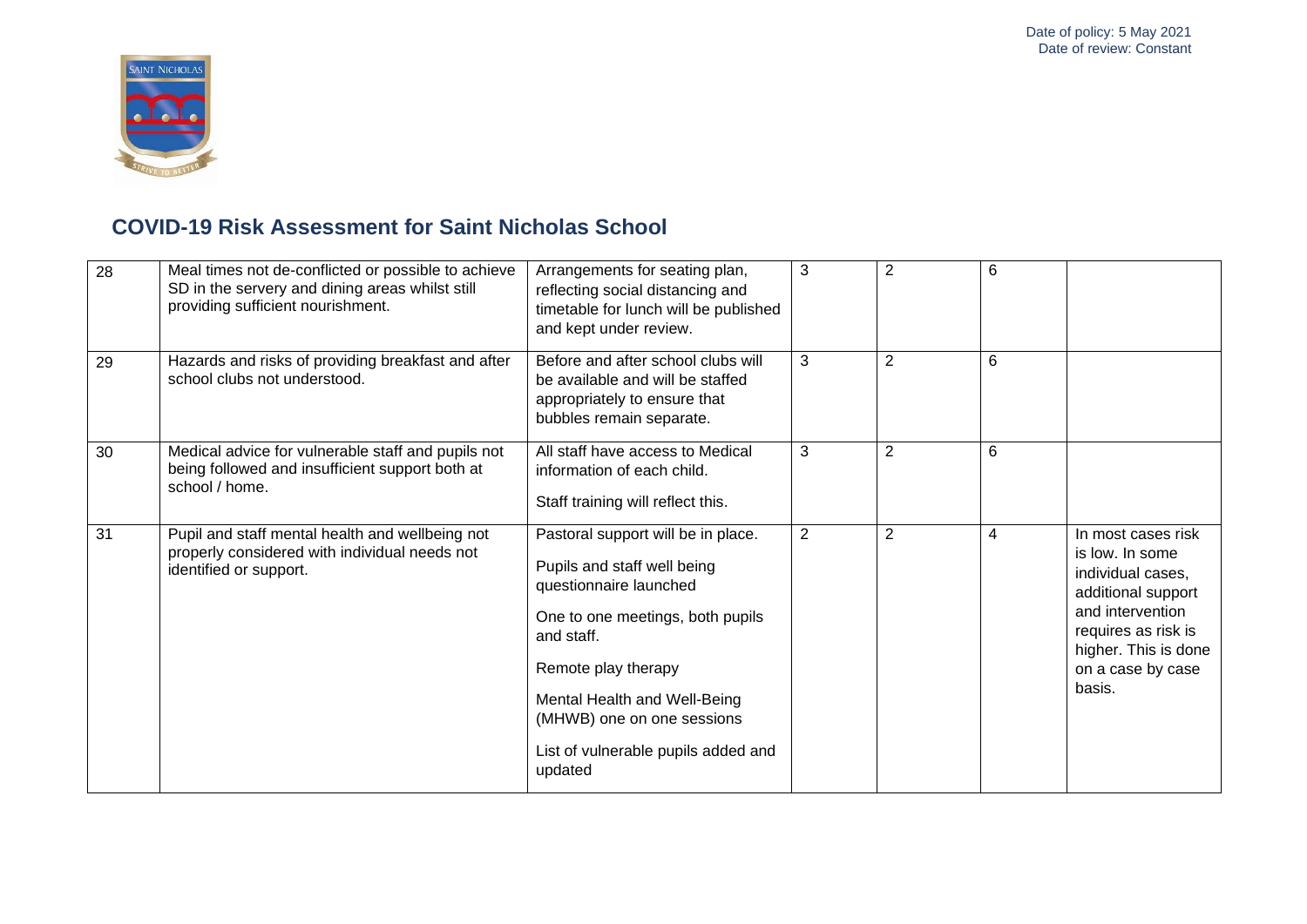

| 28 | Meal times not de-conflicted or possible to achieve<br>SD in the servery and dining areas whilst still<br>providing sufficient nourishment. | Arrangements for seating plan,<br>reflecting social distancing and<br>timetable for lunch will be published<br>and kept under review.                                                                                                                                                | 3              | 2              | 6 |                                                                                                                                                                                    |
|----|---------------------------------------------------------------------------------------------------------------------------------------------|--------------------------------------------------------------------------------------------------------------------------------------------------------------------------------------------------------------------------------------------------------------------------------------|----------------|----------------|---|------------------------------------------------------------------------------------------------------------------------------------------------------------------------------------|
| 29 | Hazards and risks of providing breakfast and after<br>school clubs not understood.                                                          | Before and after school clubs will<br>be available and will be staffed<br>appropriately to ensure that<br>bubbles remain separate.                                                                                                                                                   | 3              | $\overline{2}$ | 6 |                                                                                                                                                                                    |
| 30 | Medical advice for vulnerable staff and pupils not<br>being followed and insufficient support both at<br>school / home.                     | All staff have access to Medical<br>information of each child.<br>Staff training will reflect this.                                                                                                                                                                                  | 3              | $\overline{2}$ | 6 |                                                                                                                                                                                    |
| 31 | Pupil and staff mental health and wellbeing not<br>properly considered with individual needs not<br>identified or support.                  | Pastoral support will be in place.<br>Pupils and staff well being<br>questionnaire launched<br>One to one meetings, both pupils<br>and staff.<br>Remote play therapy<br>Mental Health and Well-Being<br>(MHWB) one on one sessions<br>List of vulnerable pupils added and<br>updated | $\overline{2}$ | $\overline{2}$ | 4 | In most cases risk<br>is low. In some<br>individual cases,<br>additional support<br>and intervention<br>requires as risk is<br>higher. This is done<br>on a case by case<br>basis. |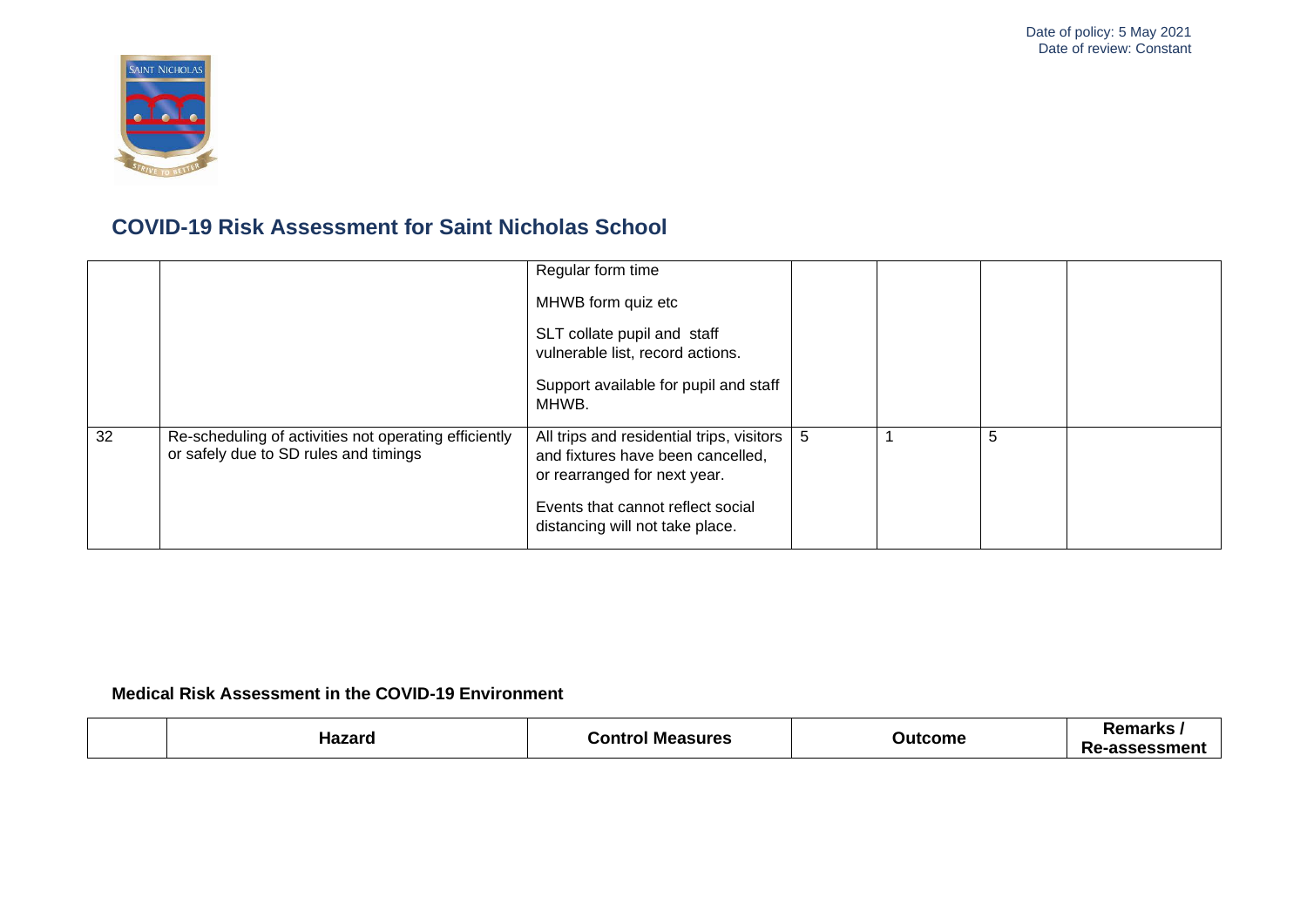

|    |                                                                                                | Regular form time                                                                                              |   |   |  |
|----|------------------------------------------------------------------------------------------------|----------------------------------------------------------------------------------------------------------------|---|---|--|
|    |                                                                                                | MHWB form quiz etc                                                                                             |   |   |  |
|    |                                                                                                | SLT collate pupil and staff<br>vulnerable list, record actions.                                                |   |   |  |
|    |                                                                                                | Support available for pupil and staff<br>MHWB.                                                                 |   |   |  |
| 32 | Re-scheduling of activities not operating efficiently<br>or safely due to SD rules and timings | All trips and residential trips, visitors<br>and fixtures have been cancelled,<br>or rearranged for next year. | 5 | 5 |  |
|    |                                                                                                | Events that cannot reflect social<br>distancing will not take place.                                           |   |   |  |

#### **Medical Risk Assessment in the COVID-19 Environment**

|  | ∴ontr<br><b>Measures</b> | - - -<br>ome | 0.000000<br>NGHIAI NS<br>sessmen<br>.<br>. |
|--|--------------------------|--------------|--------------------------------------------|
|--|--------------------------|--------------|--------------------------------------------|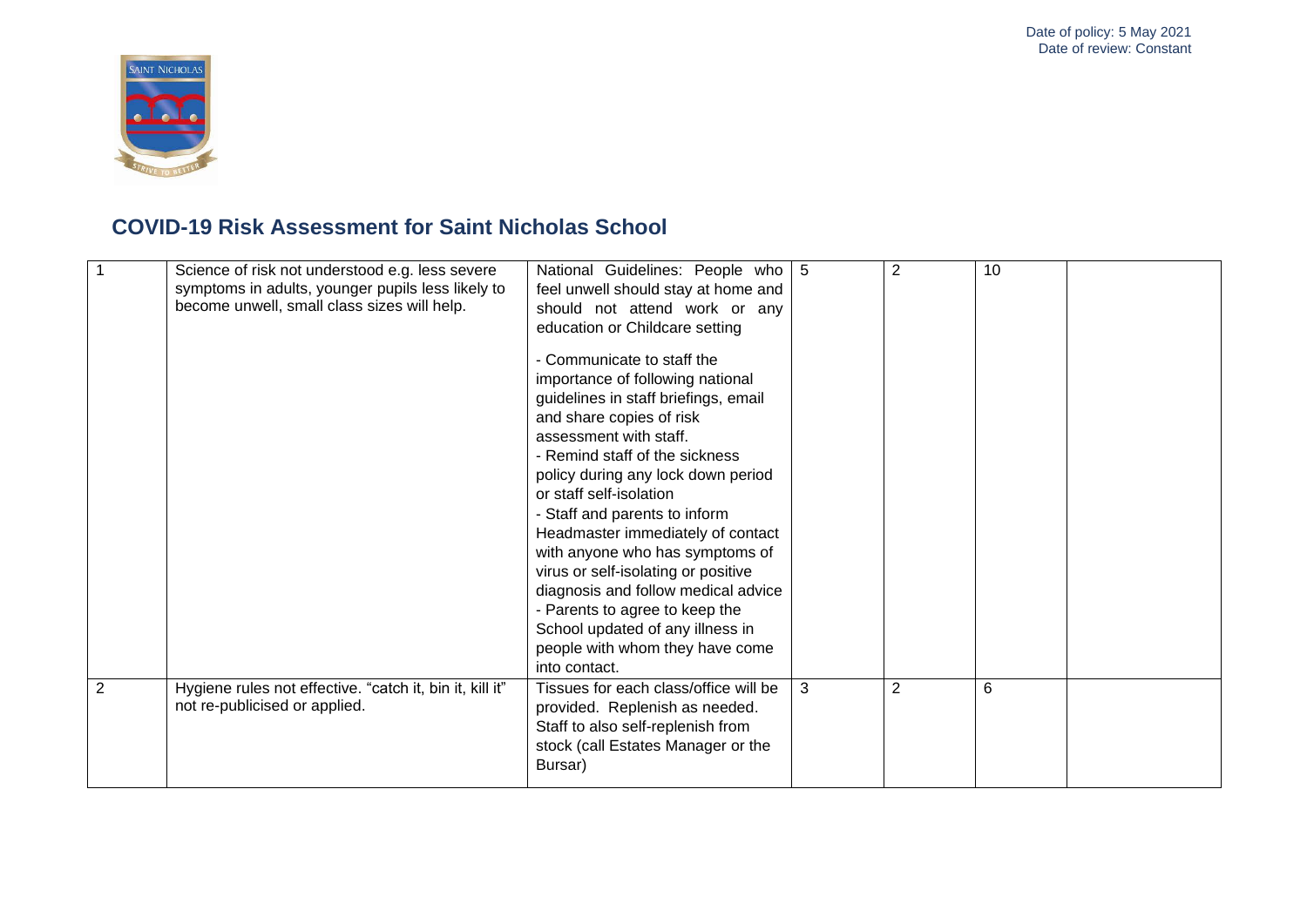

|   | Science of risk not understood e.g. less severe<br>symptoms in adults, younger pupils less likely to<br>become unwell, small class sizes will help. | National Guidelines: People who<br>feel unwell should stay at home and<br>should not attend work or any<br>education or Childcare setting<br>- Communicate to staff the<br>importance of following national<br>guidelines in staff briefings, email<br>and share copies of risk<br>assessment with staff.<br>- Remind staff of the sickness<br>policy during any lock down period<br>or staff self-isolation<br>- Staff and parents to inform<br>Headmaster immediately of contact<br>with anyone who has symptoms of<br>virus or self-isolating or positive<br>diagnosis and follow medical advice<br>- Parents to agree to keep the<br>School updated of any illness in<br>people with whom they have come<br>into contact. | -5 | $\overline{2}$ | 10 |  |
|---|-----------------------------------------------------------------------------------------------------------------------------------------------------|-------------------------------------------------------------------------------------------------------------------------------------------------------------------------------------------------------------------------------------------------------------------------------------------------------------------------------------------------------------------------------------------------------------------------------------------------------------------------------------------------------------------------------------------------------------------------------------------------------------------------------------------------------------------------------------------------------------------------------|----|----------------|----|--|
| 2 | Hygiene rules not effective. "catch it, bin it, kill it"<br>not re-publicised or applied.                                                           | Tissues for each class/office will be<br>provided. Replenish as needed.<br>Staff to also self-replenish from<br>stock (call Estates Manager or the<br>Bursar)                                                                                                                                                                                                                                                                                                                                                                                                                                                                                                                                                                 | 3  | $\overline{2}$ | 6  |  |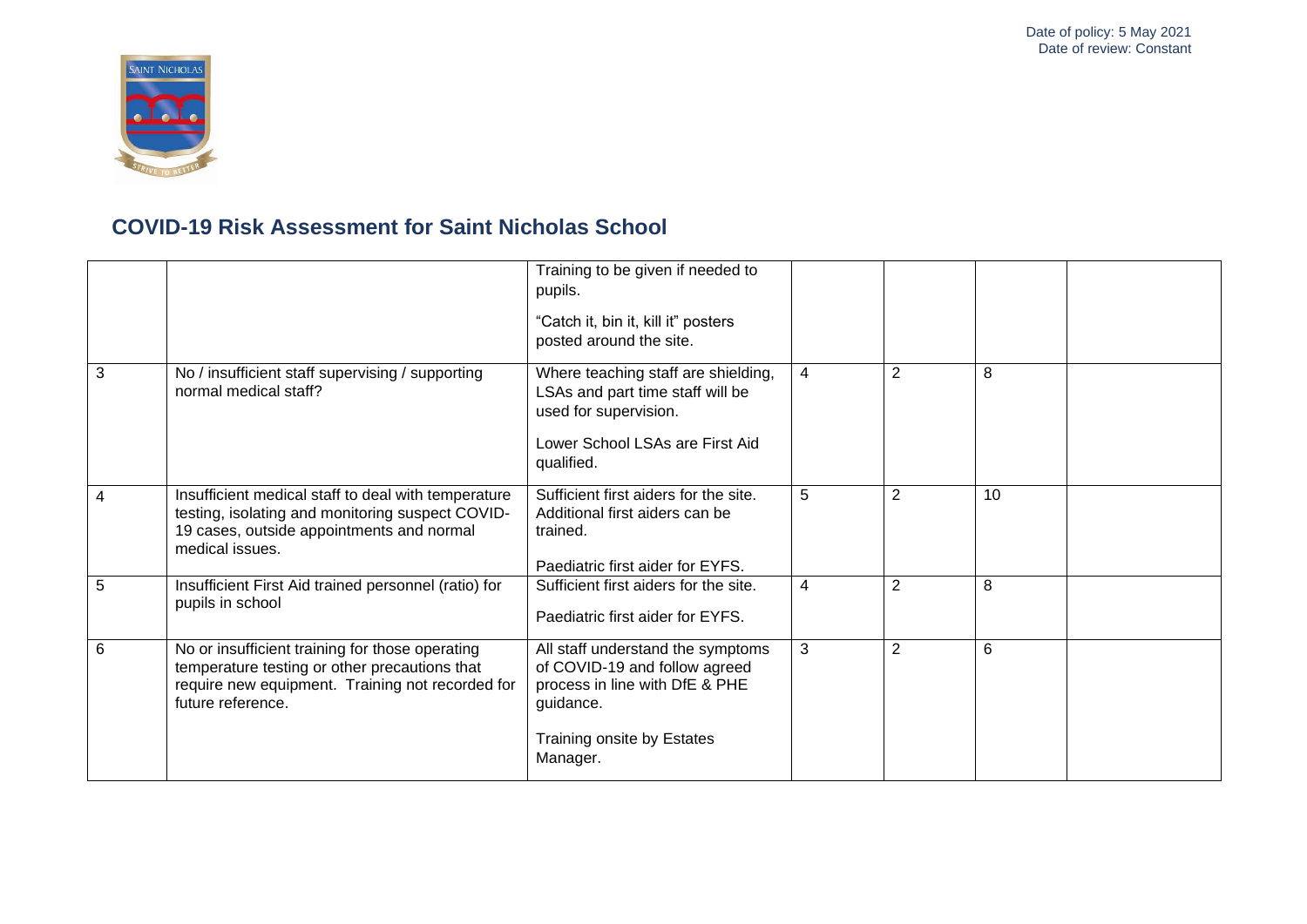

|                 |                                                                                                                                                                           | Training to be given if needed to<br>pupils.<br>"Catch it, bin it, kill it" posters<br>posted around the site.                                              |                |                |    |  |
|-----------------|---------------------------------------------------------------------------------------------------------------------------------------------------------------------------|-------------------------------------------------------------------------------------------------------------------------------------------------------------|----------------|----------------|----|--|
| 3               | No / insufficient staff supervising / supporting<br>normal medical staff?                                                                                                 | Where teaching staff are shielding,<br>LSAs and part time staff will be<br>used for supervision.<br>Lower School LSAs are First Aid<br>qualified.           | $\overline{4}$ | 2              | 8  |  |
| 4               | Insufficient medical staff to deal with temperature<br>testing, isolating and monitoring suspect COVID-<br>19 cases, outside appointments and normal<br>medical issues.   | Sufficient first aiders for the site.<br>Additional first aiders can be<br>trained.<br>Paediatric first aider for EYFS.                                     | 5              | $\overline{2}$ | 10 |  |
| 5               | Insufficient First Aid trained personnel (ratio) for<br>pupils in school                                                                                                  | Sufficient first aiders for the site.<br>Paediatric first aider for EYFS.                                                                                   | $\overline{4}$ | 2              | 8  |  |
| $6\phantom{1}6$ | No or insufficient training for those operating<br>temperature testing or other precautions that<br>require new equipment. Training not recorded for<br>future reference. | All staff understand the symptoms<br>of COVID-19 and follow agreed<br>process in line with DfE & PHE<br>guidance.<br>Training onsite by Estates<br>Manager. | 3              | $\overline{2}$ | 6  |  |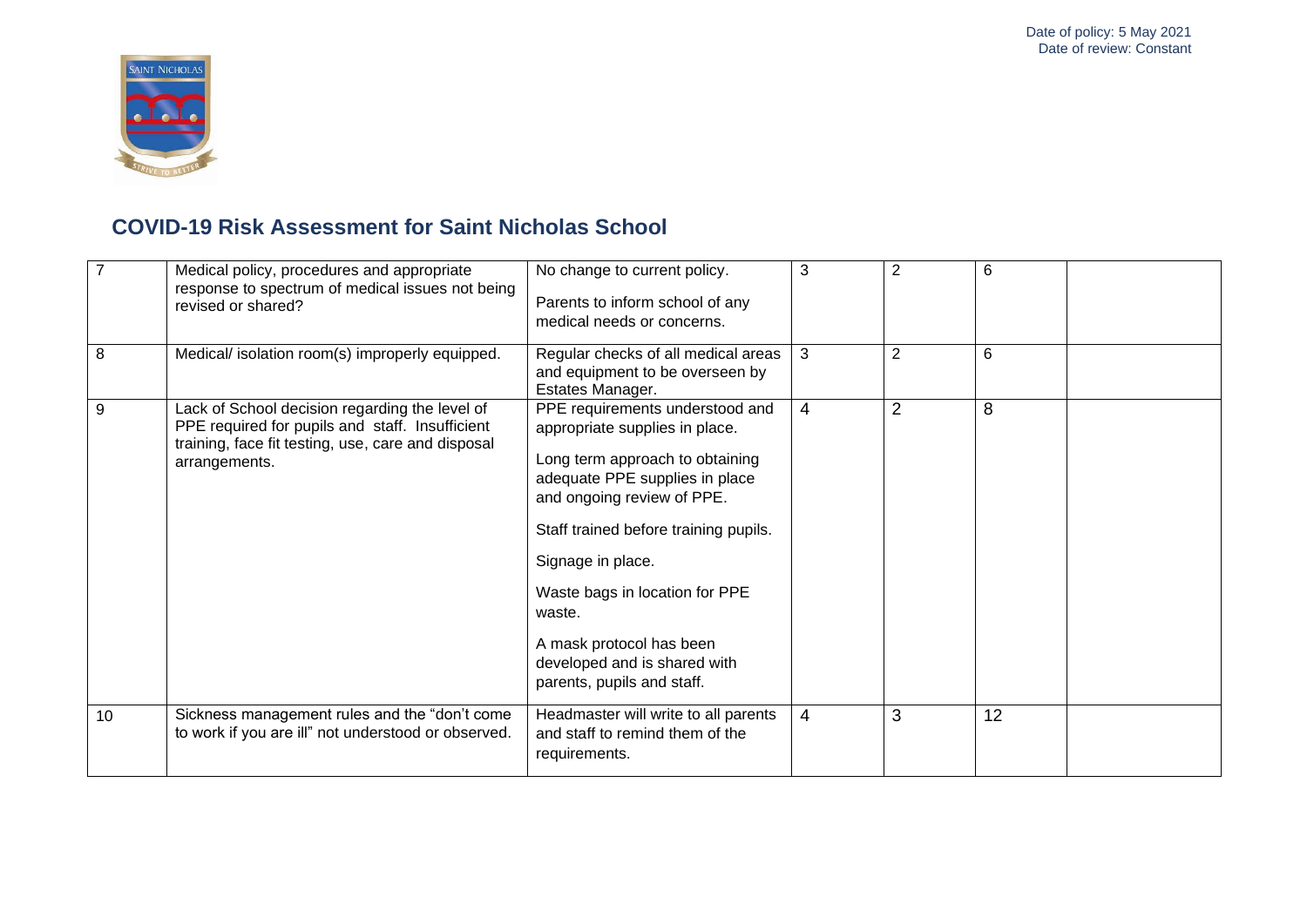

|    | Medical policy, procedures and appropriate<br>response to spectrum of medical issues not being<br>revised or shared?                                                     | No change to current policy.<br>Parents to inform school of any<br>medical needs or concerns.                                                                                                                                                                                                                                                                            | 3              | $\overline{2}$ | 6  |
|----|--------------------------------------------------------------------------------------------------------------------------------------------------------------------------|--------------------------------------------------------------------------------------------------------------------------------------------------------------------------------------------------------------------------------------------------------------------------------------------------------------------------------------------------------------------------|----------------|----------------|----|
| 8  | Medical/ isolation room(s) improperly equipped.                                                                                                                          | Regular checks of all medical areas<br>and equipment to be overseen by<br>Estates Manager.                                                                                                                                                                                                                                                                               | 3              | $\overline{2}$ | 6  |
| 9  | Lack of School decision regarding the level of<br>PPE required for pupils and staff. Insufficient<br>training, face fit testing, use, care and disposal<br>arrangements. | PPE requirements understood and<br>appropriate supplies in place.<br>Long term approach to obtaining<br>adequate PPE supplies in place<br>and ongoing review of PPE.<br>Staff trained before training pupils.<br>Signage in place.<br>Waste bags in location for PPE<br>waste.<br>A mask protocol has been<br>developed and is shared with<br>parents, pupils and staff. | $\overline{4}$ | $\overline{2}$ | 8  |
| 10 | Sickness management rules and the "don't come<br>to work if you are ill" not understood or observed.                                                                     | Headmaster will write to all parents<br>and staff to remind them of the<br>requirements.                                                                                                                                                                                                                                                                                 | $\overline{4}$ | 3              | 12 |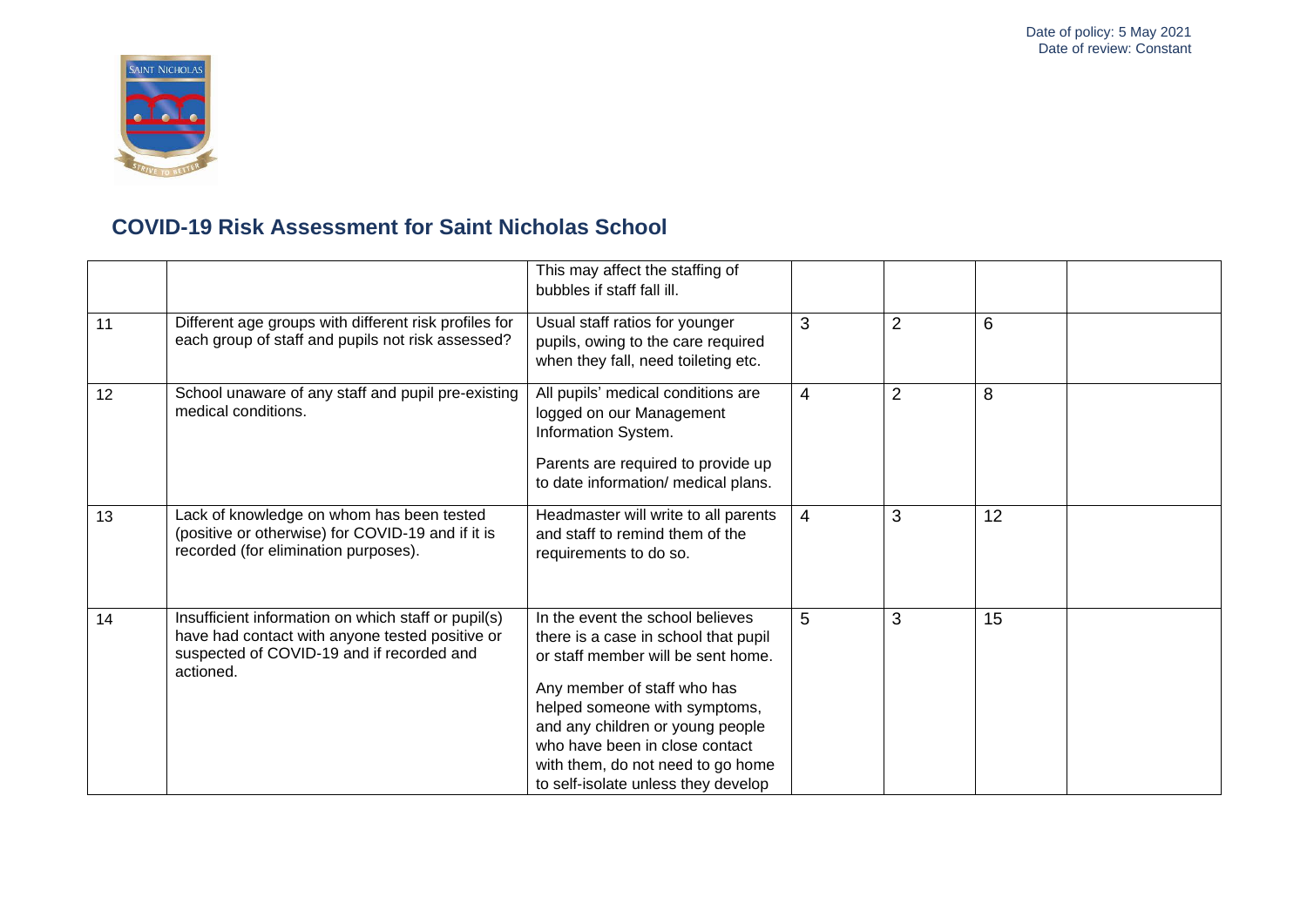

|    |                                                                                                                                                                  | This may affect the staffing of<br>bubbles if staff fall ill.                                                                                                                                                                                                                                                                    |                |                |    |  |
|----|------------------------------------------------------------------------------------------------------------------------------------------------------------------|----------------------------------------------------------------------------------------------------------------------------------------------------------------------------------------------------------------------------------------------------------------------------------------------------------------------------------|----------------|----------------|----|--|
| 11 | Different age groups with different risk profiles for<br>each group of staff and pupils not risk assessed?                                                       | Usual staff ratios for younger<br>pupils, owing to the care required<br>when they fall, need toileting etc.                                                                                                                                                                                                                      | 3              | $\overline{2}$ | 6  |  |
| 12 | School unaware of any staff and pupil pre-existing<br>medical conditions.                                                                                        | All pupils' medical conditions are<br>logged on our Management<br>Information System.<br>Parents are required to provide up<br>to date information/ medical plans.                                                                                                                                                               | 4              | $\overline{2}$ | 8  |  |
| 13 | Lack of knowledge on whom has been tested<br>(positive or otherwise) for COVID-19 and if it is<br>recorded (for elimination purposes).                           | Headmaster will write to all parents<br>and staff to remind them of the<br>requirements to do so.                                                                                                                                                                                                                                | $\overline{4}$ | 3              | 12 |  |
| 14 | Insufficient information on which staff or pupil(s)<br>have had contact with anyone tested positive or<br>suspected of COVID-19 and if recorded and<br>actioned. | In the event the school believes<br>there is a case in school that pupil<br>or staff member will be sent home.<br>Any member of staff who has<br>helped someone with symptoms,<br>and any children or young people<br>who have been in close contact<br>with them, do not need to go home<br>to self-isolate unless they develop | 5              | 3              | 15 |  |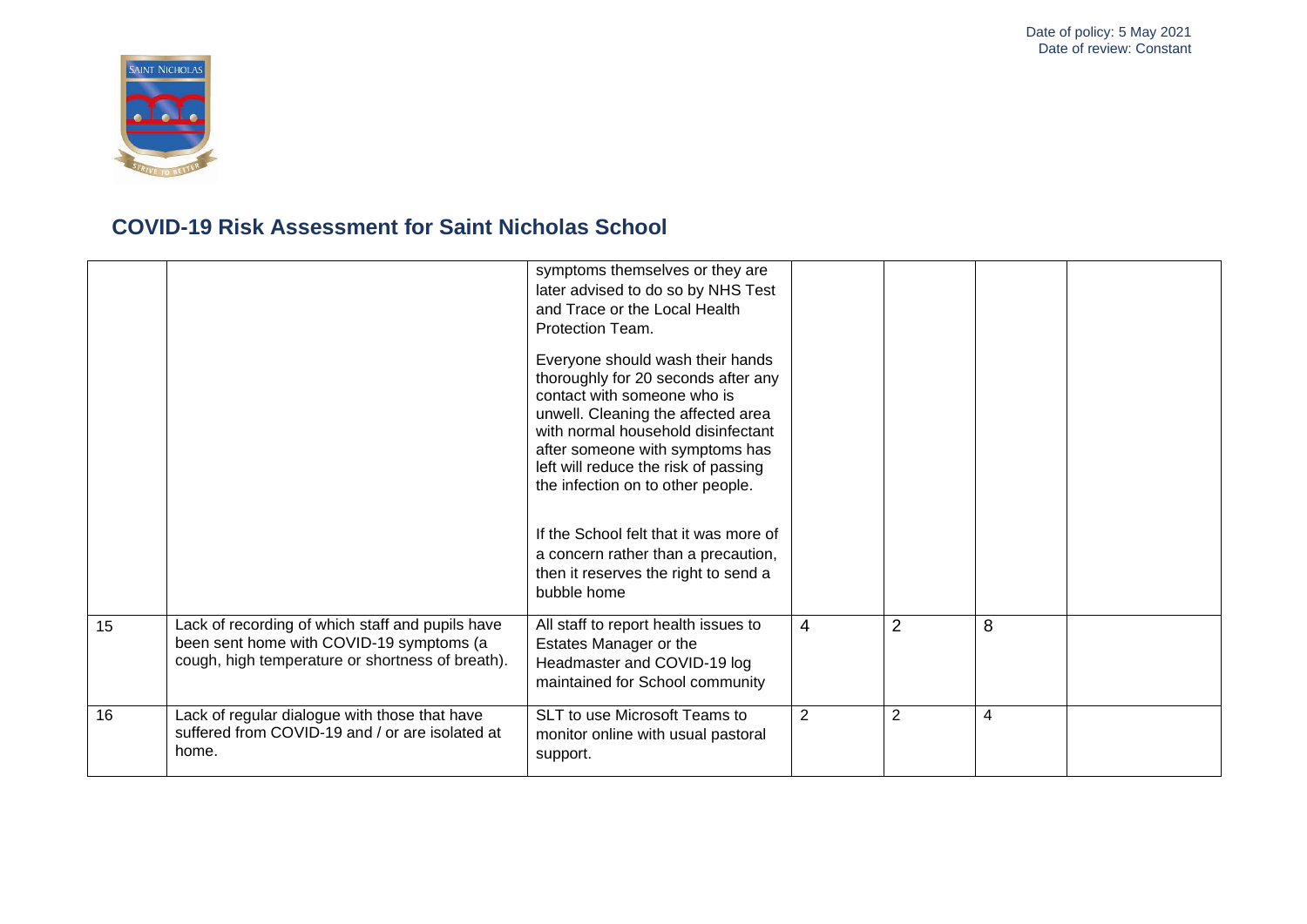

|    |                                                                                                                                                  | symptoms themselves or they are<br>later advised to do so by NHS Test<br>and Trace or the Local Health<br>Protection Team.                                                                                                                                                                         |                |                |   |  |
|----|--------------------------------------------------------------------------------------------------------------------------------------------------|----------------------------------------------------------------------------------------------------------------------------------------------------------------------------------------------------------------------------------------------------------------------------------------------------|----------------|----------------|---|--|
|    |                                                                                                                                                  | Everyone should wash their hands<br>thoroughly for 20 seconds after any<br>contact with someone who is<br>unwell. Cleaning the affected area<br>with normal household disinfectant<br>after someone with symptoms has<br>left will reduce the risk of passing<br>the infection on to other people. |                |                |   |  |
|    |                                                                                                                                                  | If the School felt that it was more of<br>a concern rather than a precaution,<br>then it reserves the right to send a<br>bubble home                                                                                                                                                               |                |                |   |  |
| 15 | Lack of recording of which staff and pupils have<br>been sent home with COVID-19 symptoms (a<br>cough, high temperature or shortness of breath). | All staff to report health issues to<br>Estates Manager or the<br>Headmaster and COVID-19 log<br>maintained for School community                                                                                                                                                                   | $\overline{4}$ | $\overline{2}$ | 8 |  |
| 16 | Lack of regular dialogue with those that have<br>suffered from COVID-19 and / or are isolated at<br>home.                                        | SLT to use Microsoft Teams to<br>monitor online with usual pastoral<br>support.                                                                                                                                                                                                                    | 2              | 2              | 4 |  |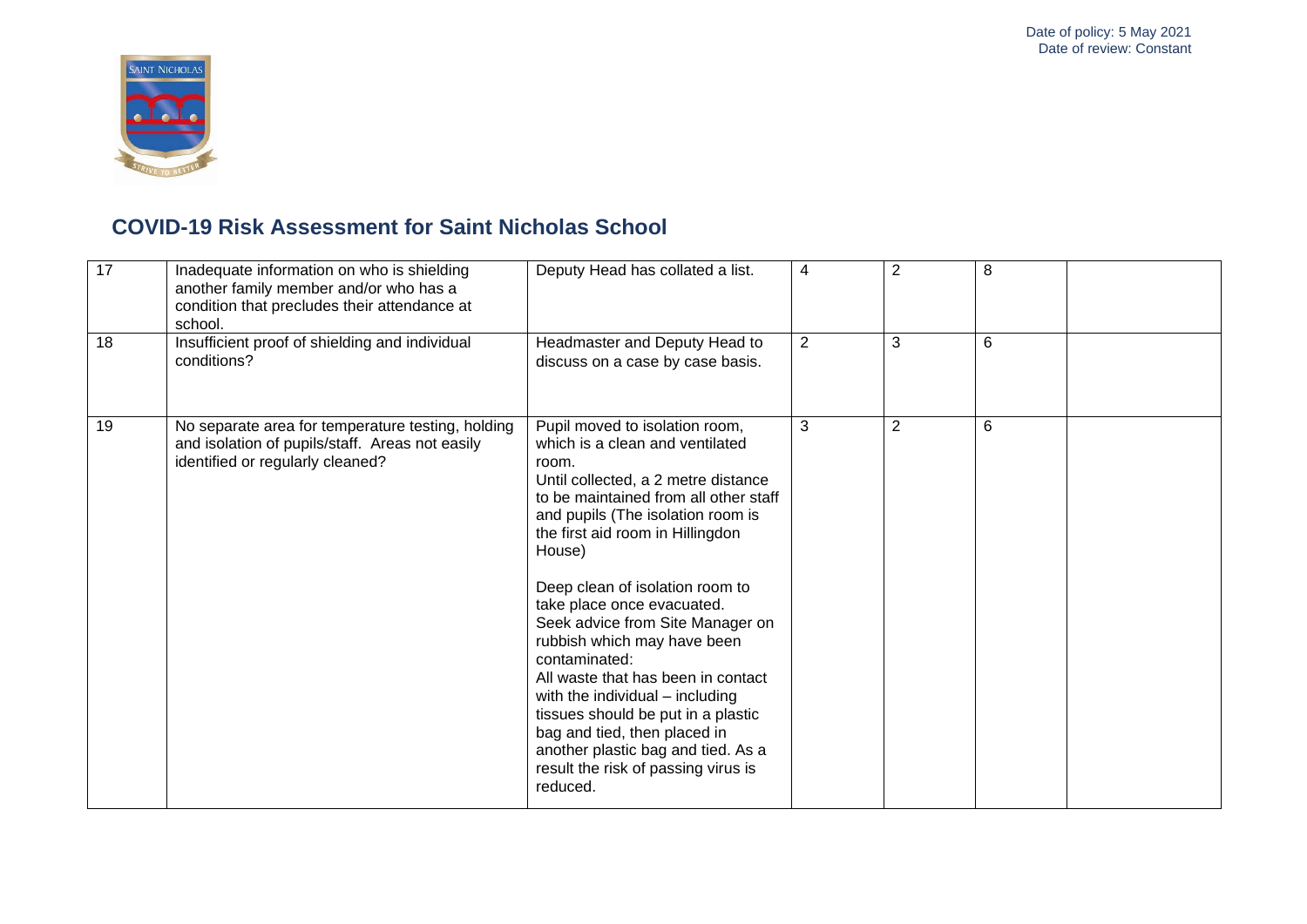

| $\overline{17}$ | Inadequate information on who is shielding<br>another family member and/or who has a<br>condition that precludes their attendance at<br>school. | Deputy Head has collated a list.                                                                                                                                                                                                                                                                                                                                                                                                                                                                                                                                                                                                           | 4 | 2              | 8 |  |
|-----------------|-------------------------------------------------------------------------------------------------------------------------------------------------|--------------------------------------------------------------------------------------------------------------------------------------------------------------------------------------------------------------------------------------------------------------------------------------------------------------------------------------------------------------------------------------------------------------------------------------------------------------------------------------------------------------------------------------------------------------------------------------------------------------------------------------------|---|----------------|---|--|
| 18              | Insufficient proof of shielding and individual<br>conditions?                                                                                   | Headmaster and Deputy Head to<br>discuss on a case by case basis.                                                                                                                                                                                                                                                                                                                                                                                                                                                                                                                                                                          | 2 | 3              | 6 |  |
| 19              | No separate area for temperature testing, holding<br>and isolation of pupils/staff. Areas not easily<br>identified or regularly cleaned?        | Pupil moved to isolation room,<br>which is a clean and ventilated<br>room.<br>Until collected, a 2 metre distance<br>to be maintained from all other staff<br>and pupils (The isolation room is<br>the first aid room in Hillingdon<br>House)<br>Deep clean of isolation room to<br>take place once evacuated.<br>Seek advice from Site Manager on<br>rubbish which may have been<br>contaminated:<br>All waste that has been in contact<br>with the individual - including<br>tissues should be put in a plastic<br>bag and tied, then placed in<br>another plastic bag and tied. As a<br>result the risk of passing virus is<br>reduced. | 3 | $\overline{2}$ | 6 |  |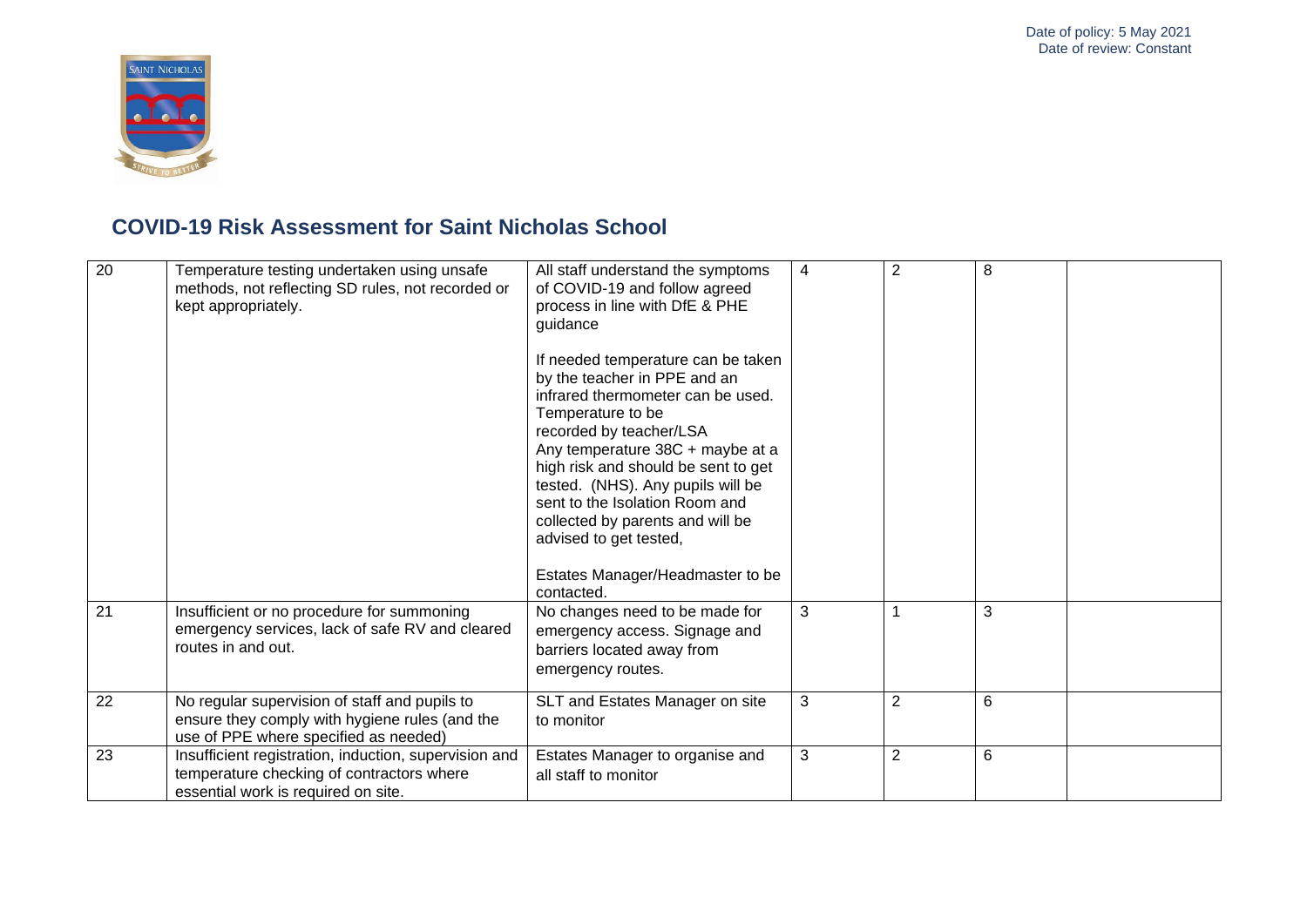

| $\overline{20}$ | Temperature testing undertaken using unsafe<br>methods, not reflecting SD rules, not recorded or<br>kept appropriately.                   | All staff understand the symptoms<br>of COVID-19 and follow agreed<br>process in line with DfE & PHE<br>guidance<br>If needed temperature can be taken<br>by the teacher in PPE and an<br>infrared thermometer can be used.<br>Temperature to be<br>recorded by teacher/LSA<br>Any temperature 38C + maybe at a<br>high risk and should be sent to get<br>tested. (NHS). Any pupils will be<br>sent to the Isolation Room and<br>collected by parents and will be<br>advised to get tested,<br>Estates Manager/Headmaster to be<br>contacted. | 4 | 2              | 8              |  |
|-----------------|-------------------------------------------------------------------------------------------------------------------------------------------|-----------------------------------------------------------------------------------------------------------------------------------------------------------------------------------------------------------------------------------------------------------------------------------------------------------------------------------------------------------------------------------------------------------------------------------------------------------------------------------------------------------------------------------------------|---|----------------|----------------|--|
| 21              | Insufficient or no procedure for summoning<br>emergency services, lack of safe RV and cleared<br>routes in and out.                       | No changes need to be made for<br>emergency access. Signage and<br>barriers located away from<br>emergency routes.                                                                                                                                                                                                                                                                                                                                                                                                                            | 3 | 1              | 3              |  |
| 22              | No regular supervision of staff and pupils to<br>ensure they comply with hygiene rules (and the<br>use of PPE where specified as needed)  | SLT and Estates Manager on site<br>to monitor                                                                                                                                                                                                                                                                                                                                                                                                                                                                                                 | 3 | $\overline{2}$ | $6\phantom{1}$ |  |
| 23              | Insufficient registration, induction, supervision and<br>temperature checking of contractors where<br>essential work is required on site. | Estates Manager to organise and<br>all staff to monitor                                                                                                                                                                                                                                                                                                                                                                                                                                                                                       | 3 | $\overline{2}$ | 6              |  |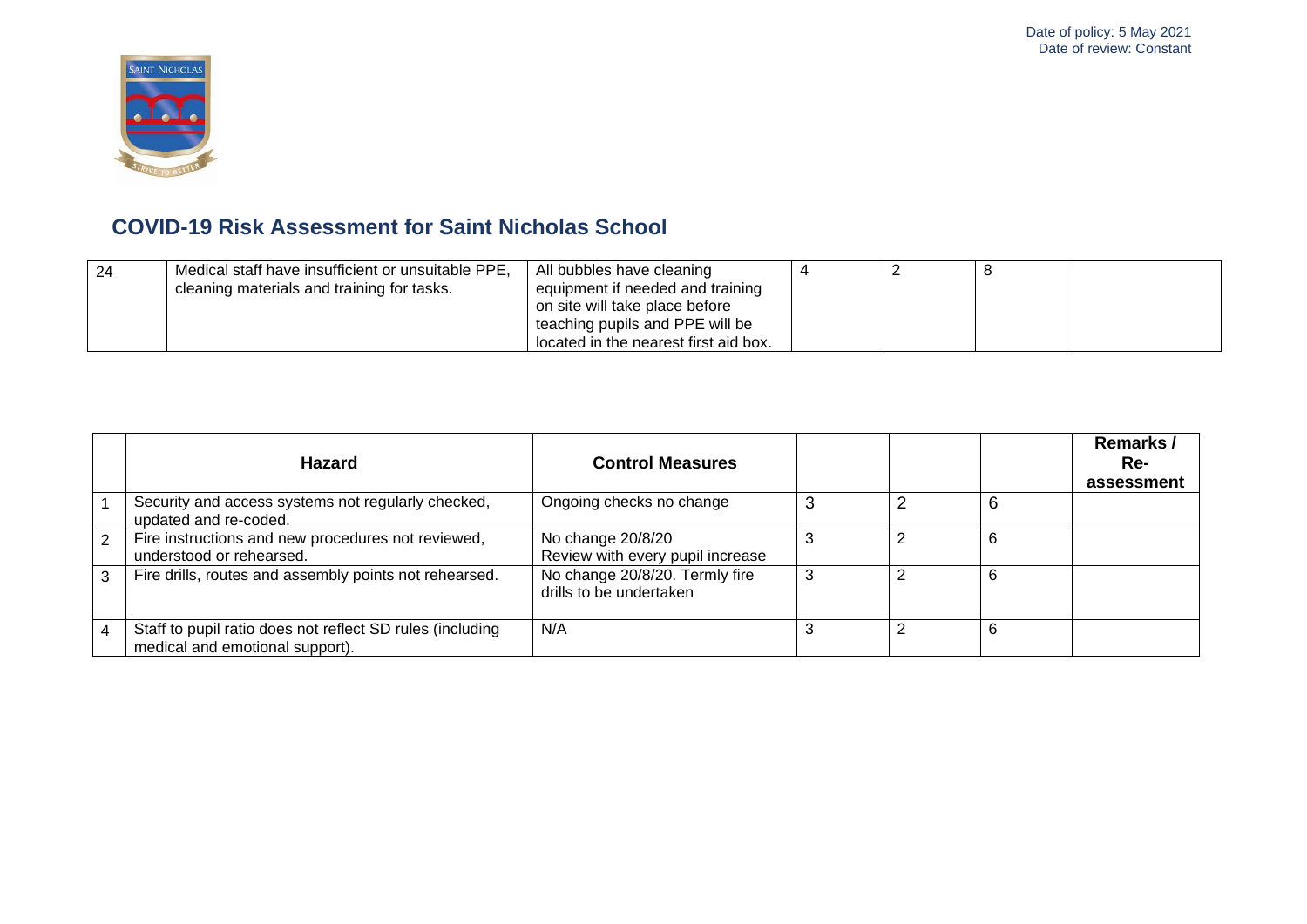

| -24 | Medical staff have insufficient or unsuitable PPE, | All bubbles have cleaning             |  |  |
|-----|----------------------------------------------------|---------------------------------------|--|--|
|     | cleaning materials and training for tasks.         | equipment if needed and training      |  |  |
|     |                                                    | on site will take place before        |  |  |
|     |                                                    | teaching pupils and PPE will be       |  |  |
|     |                                                    | located in the nearest first aid box. |  |  |

|   | <b>Hazard</b>                                                                                | <b>Control Measures</b>                                   |   |   | Remarks /<br>Re-<br>assessment |
|---|----------------------------------------------------------------------------------------------|-----------------------------------------------------------|---|---|--------------------------------|
|   | Security and access systems not regularly checked,<br>updated and re-coded.                  | Ongoing checks no change                                  |   | 6 |                                |
| 2 | Fire instructions and new procedures not reviewed,<br>understood or rehearsed.               | No change 20/8/20<br>Review with every pupil increase     |   | 6 |                                |
| 3 | Fire drills, routes and assembly points not rehearsed.                                       | No change 20/8/20. Termly fire<br>drills to be undertaken | 3 | 6 |                                |
|   | Staff to pupil ratio does not reflect SD rules (including<br>medical and emotional support). | N/A                                                       |   | 6 |                                |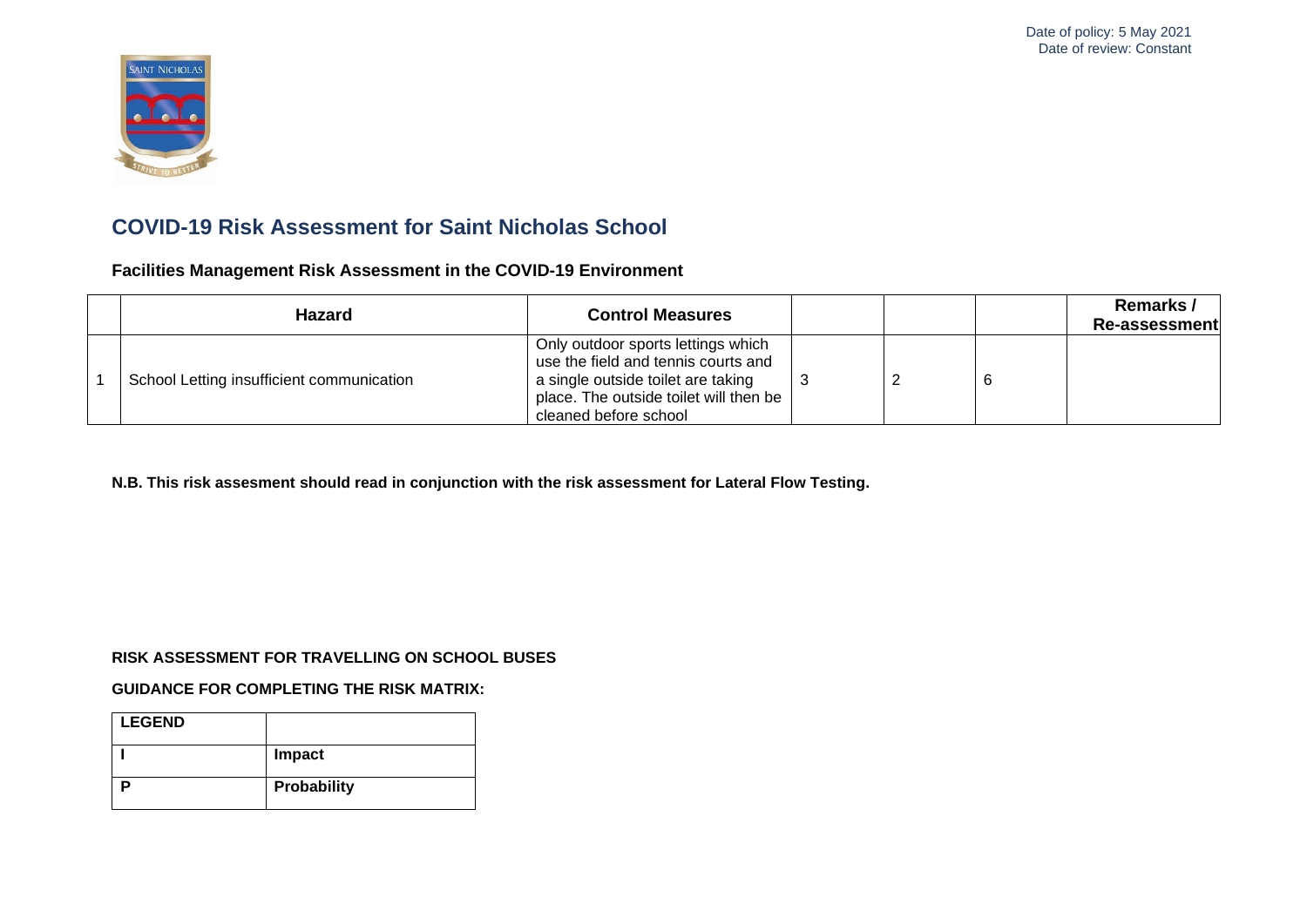

**Facilities Management Risk Assessment in the COVID-19 Environment**

| Hazard                                    | <b>Control Measures</b>                                                                                                                                                            |  | Remarks /<br>Re-assessment |
|-------------------------------------------|------------------------------------------------------------------------------------------------------------------------------------------------------------------------------------|--|----------------------------|
| School Letting insufficient communication | Only outdoor sports lettings which<br>use the field and tennis courts and<br>a single outside toilet are taking<br>place. The outside toilet will then be<br>cleaned before school |  |                            |

**N.B. This risk assesment should read in conjunction with the risk assessment for Lateral Flow Testing.**

#### **RISK ASSESSMENT FOR TRAVELLING ON SCHOOL BUSES**

#### **GUIDANCE FOR COMPLETING THE RISK MATRIX:**

| <b>LEGEND</b> |             |
|---------------|-------------|
|               | Impact      |
|               | Probability |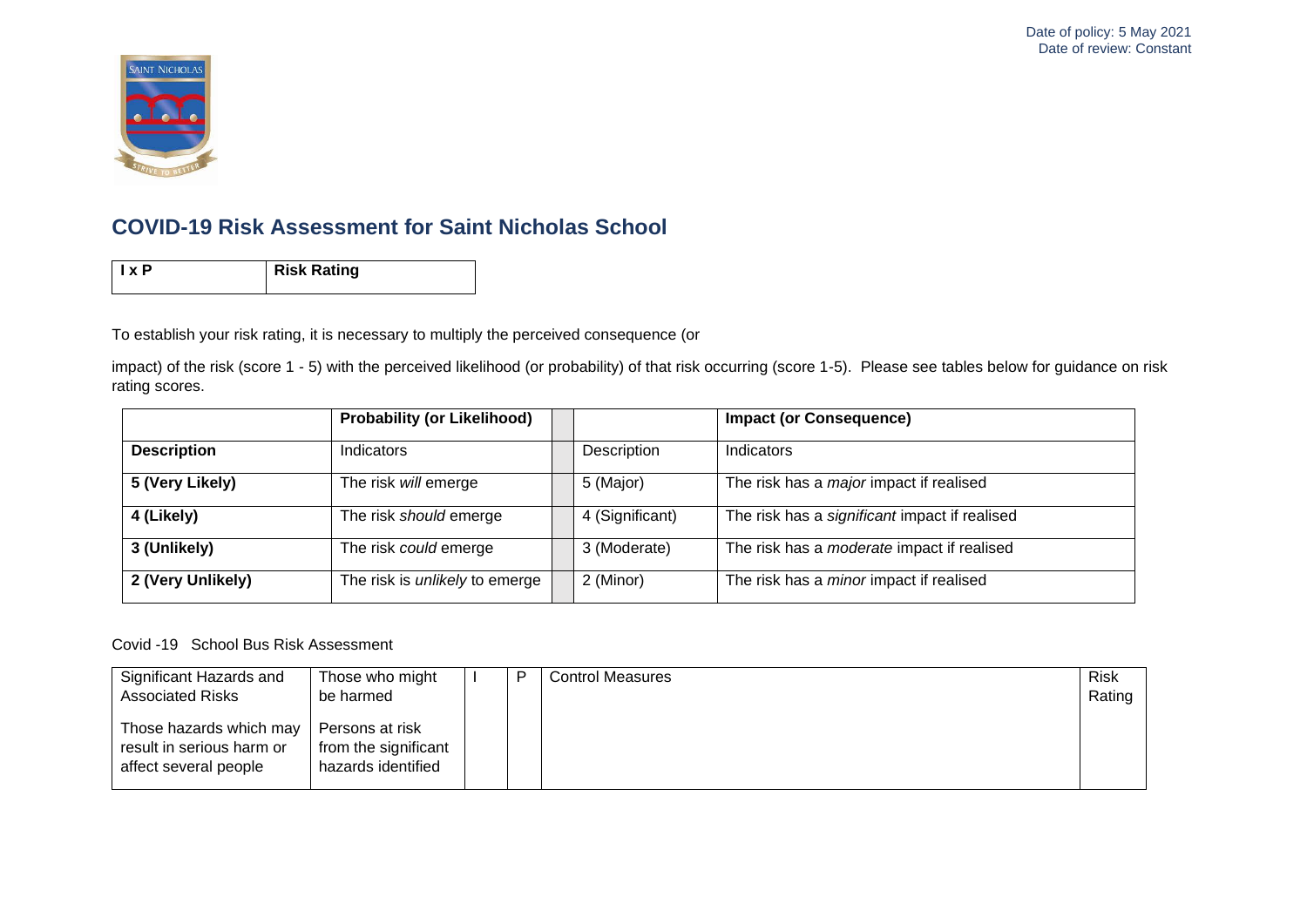

**Ix P** Risk Rating

To establish your risk rating, it is necessary to multiply the perceived consequence (or

impact) of the risk (score 1 - 5) with the perceived likelihood (or probability) of that risk occurring (score 1-5). Please see tables below for guidance on risk rating scores.

|                    | <b>Probability (or Likelihood)</b>    |                 | <b>Impact (or Consequence)</b>                    |
|--------------------|---------------------------------------|-----------------|---------------------------------------------------|
| <b>Description</b> | Indicators                            | Description     | Indicators                                        |
| 5 (Very Likely)    | The risk will emerge                  | 5 (Major)       | The risk has a <i>major</i> impact if realised    |
| 4 (Likely)         | The risk should emerge                | 4 (Significant) | The risk has a significant impact if realised     |
| 3 (Unlikely)       | The risk could emerge                 | 3 (Moderate)    | The risk has a <i>moderate</i> impact if realised |
| 2 (Very Unlikely)  | The risk is <i>unlikely</i> to emerge | 2 (Minor)       | The risk has a <i>minor</i> impact if realised    |

Covid -19 School Bus Risk Assessment

| Significant Hazards and                                                                                  | Those who might                                                            | D | <b>Control Measures</b> | <b>Risk</b> |
|----------------------------------------------------------------------------------------------------------|----------------------------------------------------------------------------|---|-------------------------|-------------|
| <b>Associated Risks</b><br>Those hazards which may<br>result in serious harm or<br>affect several people | be harmed<br>Persons at risk<br>from the significant<br>hazards identified |   |                         | Rating      |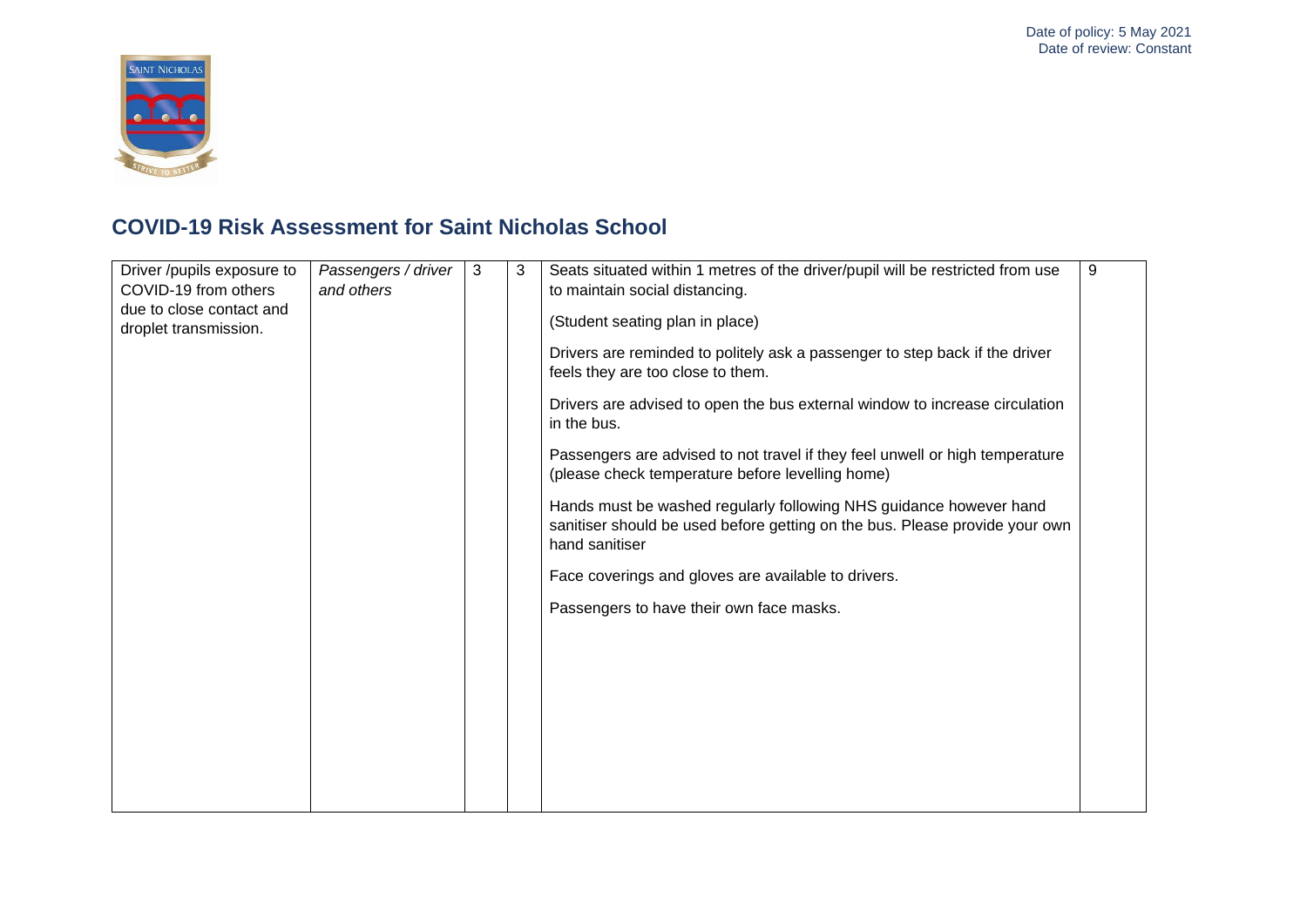

| Driver /pupils exposure to<br>COVID-19 from others<br>due to close contact and<br>droplet transmission. | Passengers / driver<br>and others | 3 | 3 | Seats situated within 1 metres of the driver/pupil will be restricted from use<br>to maintain social distancing.<br>(Student seating plan in place)<br>Drivers are reminded to politely ask a passenger to step back if the driver<br>feels they are too close to them.<br>Drivers are advised to open the bus external window to increase circulation<br>in the bus.<br>Passengers are advised to not travel if they feel unwell or high temperature<br>(please check temperature before levelling home)<br>Hands must be washed regularly following NHS guidance however hand<br>sanitiser should be used before getting on the bus. Please provide your own<br>hand sanitiser<br>Face coverings and gloves are available to drivers.<br>Passengers to have their own face masks. | 9 |
|---------------------------------------------------------------------------------------------------------|-----------------------------------|---|---|-------------------------------------------------------------------------------------------------------------------------------------------------------------------------------------------------------------------------------------------------------------------------------------------------------------------------------------------------------------------------------------------------------------------------------------------------------------------------------------------------------------------------------------------------------------------------------------------------------------------------------------------------------------------------------------------------------------------------------------------------------------------------------------|---|
|                                                                                                         |                                   |   |   |                                                                                                                                                                                                                                                                                                                                                                                                                                                                                                                                                                                                                                                                                                                                                                                     |   |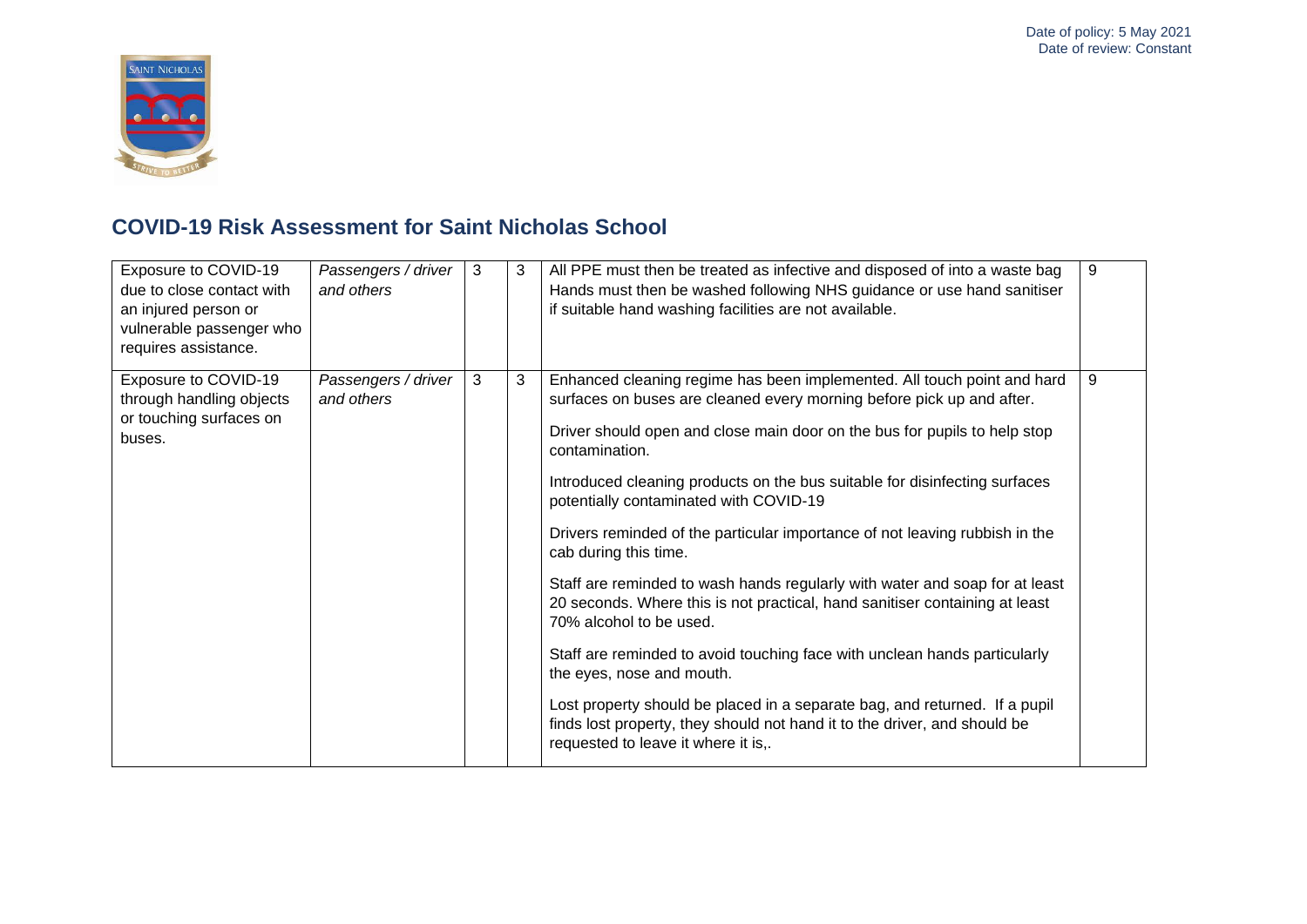

| Exposure to COVID-19<br>due to close contact with<br>an injured person or<br>vulnerable passenger who<br>requires assistance. | Passengers / driver<br>and others | 3 | 3 | All PPE must then be treated as infective and disposed of into a waste bag<br>Hands must then be washed following NHS guidance or use hand sanitiser<br>if suitable hand washing facilities are not available.                                                                                                                                                                                                                                                                                                                                                                                                                                                                                                                                                                                                                                                                                                                                                                       | 9 |
|-------------------------------------------------------------------------------------------------------------------------------|-----------------------------------|---|---|--------------------------------------------------------------------------------------------------------------------------------------------------------------------------------------------------------------------------------------------------------------------------------------------------------------------------------------------------------------------------------------------------------------------------------------------------------------------------------------------------------------------------------------------------------------------------------------------------------------------------------------------------------------------------------------------------------------------------------------------------------------------------------------------------------------------------------------------------------------------------------------------------------------------------------------------------------------------------------------|---|
| Exposure to COVID-19<br>through handling objects<br>or touching surfaces on<br>buses.                                         | Passengers / driver<br>and others | 3 | 3 | Enhanced cleaning regime has been implemented. All touch point and hard<br>surfaces on buses are cleaned every morning before pick up and after.<br>Driver should open and close main door on the bus for pupils to help stop<br>contamination.<br>Introduced cleaning products on the bus suitable for disinfecting surfaces<br>potentially contaminated with COVID-19<br>Drivers reminded of the particular importance of not leaving rubbish in the<br>cab during this time.<br>Staff are reminded to wash hands regularly with water and soap for at least<br>20 seconds. Where this is not practical, hand sanitiser containing at least<br>70% alcohol to be used.<br>Staff are reminded to avoid touching face with unclean hands particularly<br>the eyes, nose and mouth.<br>Lost property should be placed in a separate bag, and returned. If a pupil<br>finds lost property, they should not hand it to the driver, and should be<br>requested to leave it where it is,. | 9 |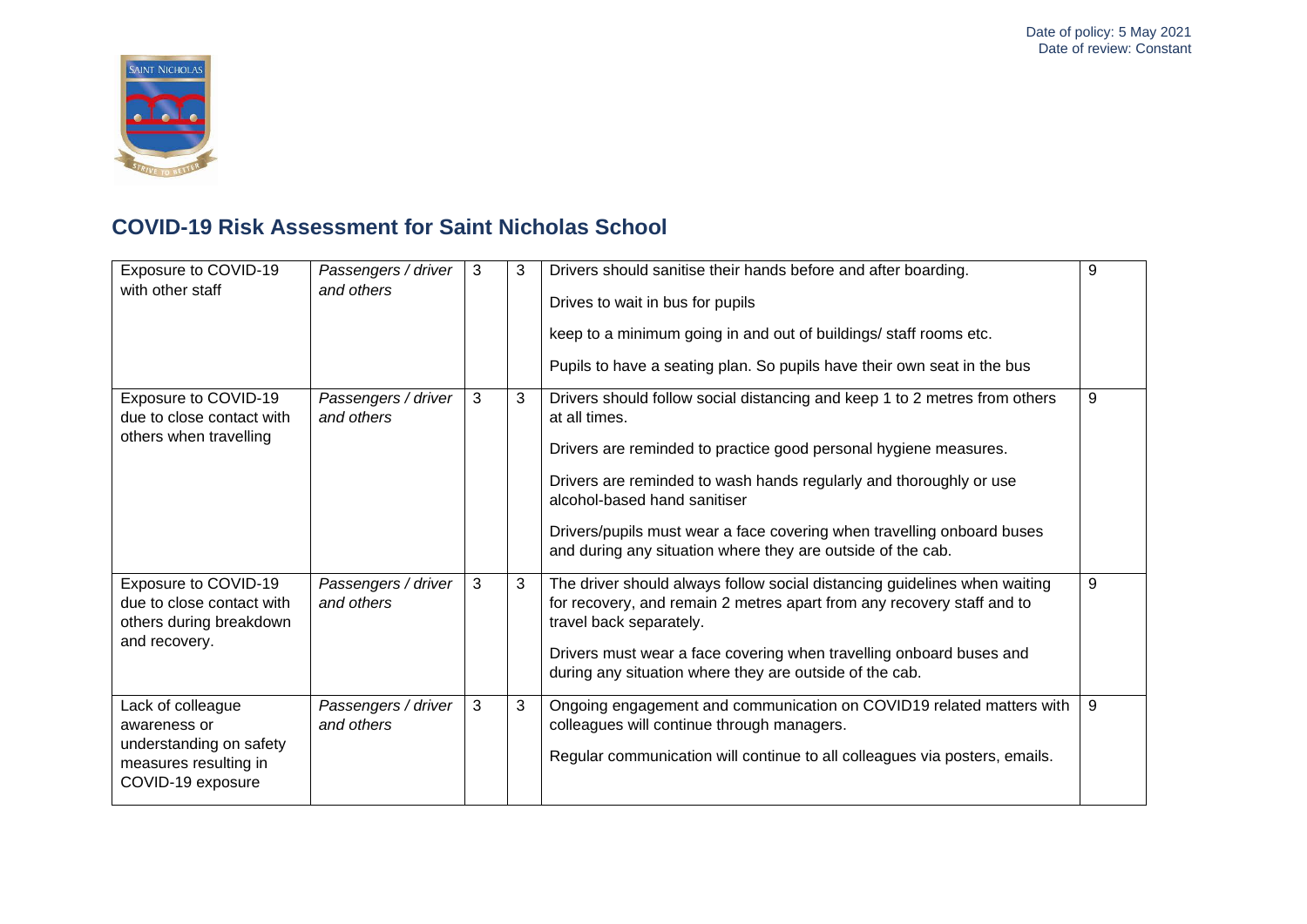

| Exposure to COVID-19<br>with other staff                                                                   | Passengers / driver<br>and others | 3 | 3 | Drivers should sanitise their hands before and after boarding.<br>Drives to wait in bus for pupils<br>keep to a minimum going in and out of buildings/ staff rooms etc.<br>Pupils to have a seating plan. So pupils have their own seat in the bus                                                                                                                                                             | 9 |
|------------------------------------------------------------------------------------------------------------|-----------------------------------|---|---|----------------------------------------------------------------------------------------------------------------------------------------------------------------------------------------------------------------------------------------------------------------------------------------------------------------------------------------------------------------------------------------------------------------|---|
| Exposure to COVID-19<br>due to close contact with<br>others when travelling                                | Passengers / driver<br>and others | 3 | 3 | Drivers should follow social distancing and keep 1 to 2 metres from others<br>at all times.<br>Drivers are reminded to practice good personal hygiene measures.<br>Drivers are reminded to wash hands regularly and thoroughly or use<br>alcohol-based hand sanitiser<br>Drivers/pupils must wear a face covering when travelling onboard buses<br>and during any situation where they are outside of the cab. | 9 |
| Exposure to COVID-19<br>due to close contact with<br>others during breakdown<br>and recovery.              | Passengers / driver<br>and others | 3 | 3 | The driver should always follow social distancing guidelines when waiting<br>for recovery, and remain 2 metres apart from any recovery staff and to<br>travel back separately.<br>Drivers must wear a face covering when travelling onboard buses and<br>during any situation where they are outside of the cab.                                                                                               | 9 |
| Lack of colleague<br>awareness or<br>understanding on safety<br>measures resulting in<br>COVID-19 exposure | Passengers / driver<br>and others | 3 | 3 | Ongoing engagement and communication on COVID19 related matters with<br>colleagues will continue through managers.<br>Regular communication will continue to all colleagues via posters, emails.                                                                                                                                                                                                               | 9 |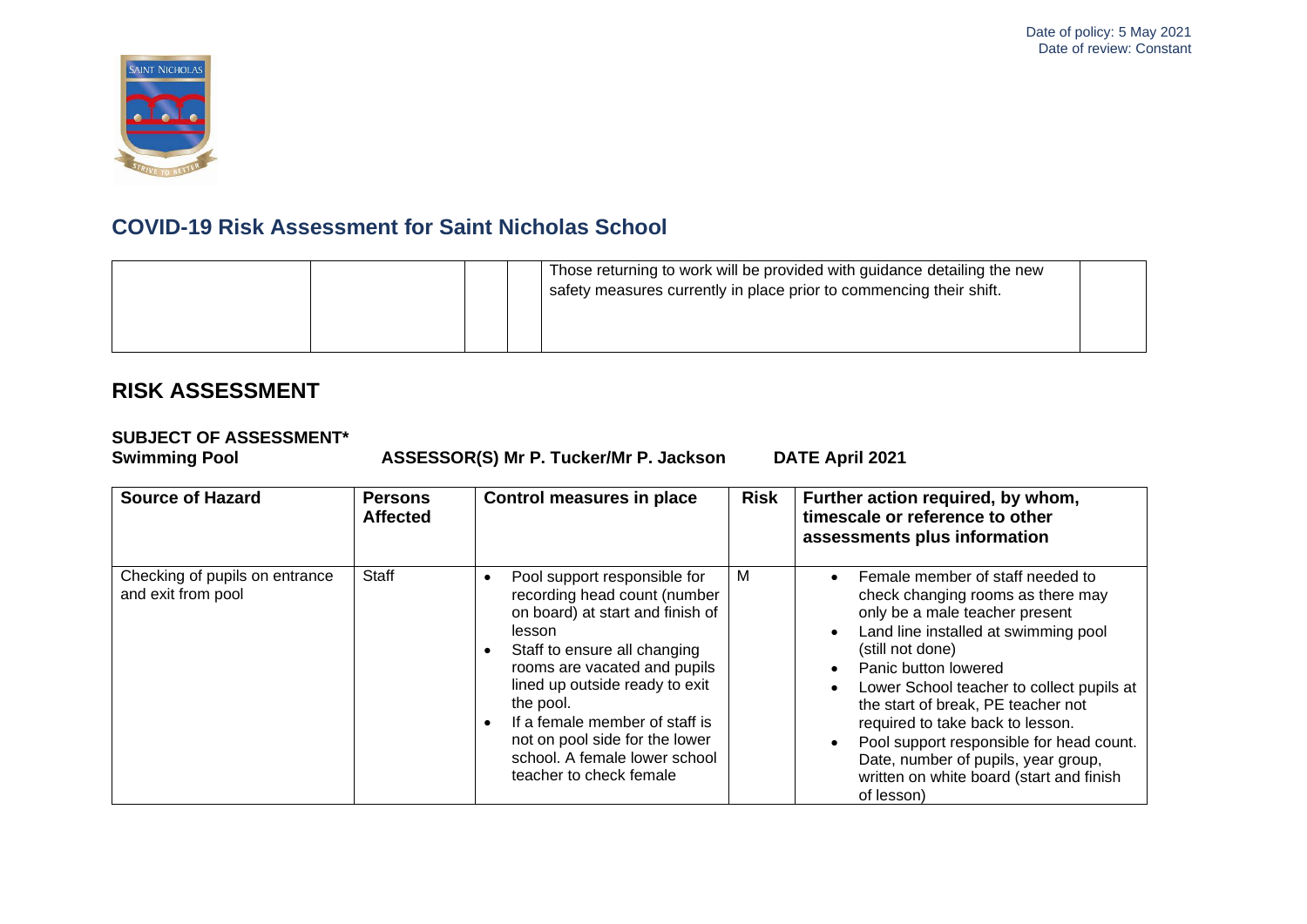

|  | Those returning to work will be provided with guidance detailing the new<br>safety measures currently in place prior to commencing their shift. |  |
|--|-------------------------------------------------------------------------------------------------------------------------------------------------|--|
|--|-------------------------------------------------------------------------------------------------------------------------------------------------|--|

### **RISK ASSESSMENT**

# **SUBJECT OF ASSESSMENT\***

**Swimming Pool ASSESSOR(S) Mr P. Tucker/Mr P. Jackson DATE April 2021**

| <b>Source of Hazard</b>                              | <b>Persons</b><br><b>Affected</b> | Control measures in place                                                                                                                                                                                                                                                                                                                                 | <b>Risk</b> | Further action required, by whom,<br>timescale or reference to other<br>assessments plus information                                                                                                                                                                                                                                                                                                                                                            |
|------------------------------------------------------|-----------------------------------|-----------------------------------------------------------------------------------------------------------------------------------------------------------------------------------------------------------------------------------------------------------------------------------------------------------------------------------------------------------|-------------|-----------------------------------------------------------------------------------------------------------------------------------------------------------------------------------------------------------------------------------------------------------------------------------------------------------------------------------------------------------------------------------------------------------------------------------------------------------------|
| Checking of pupils on entrance<br>and exit from pool | Staff                             | Pool support responsible for<br>recording head count (number<br>on board) at start and finish of<br>lesson<br>Staff to ensure all changing<br>rooms are vacated and pupils<br>lined up outside ready to exit<br>the pool.<br>If a female member of staff is<br>not on pool side for the lower<br>school. A female lower school<br>teacher to check female | M           | Female member of staff needed to<br>check changing rooms as there may<br>only be a male teacher present<br>Land line installed at swimming pool<br>(still not done)<br>Panic button lowered<br>Lower School teacher to collect pupils at<br>the start of break, PE teacher not<br>required to take back to lesson.<br>Pool support responsible for head count.<br>Date, number of pupils, year group,<br>written on white board (start and finish<br>of lesson) |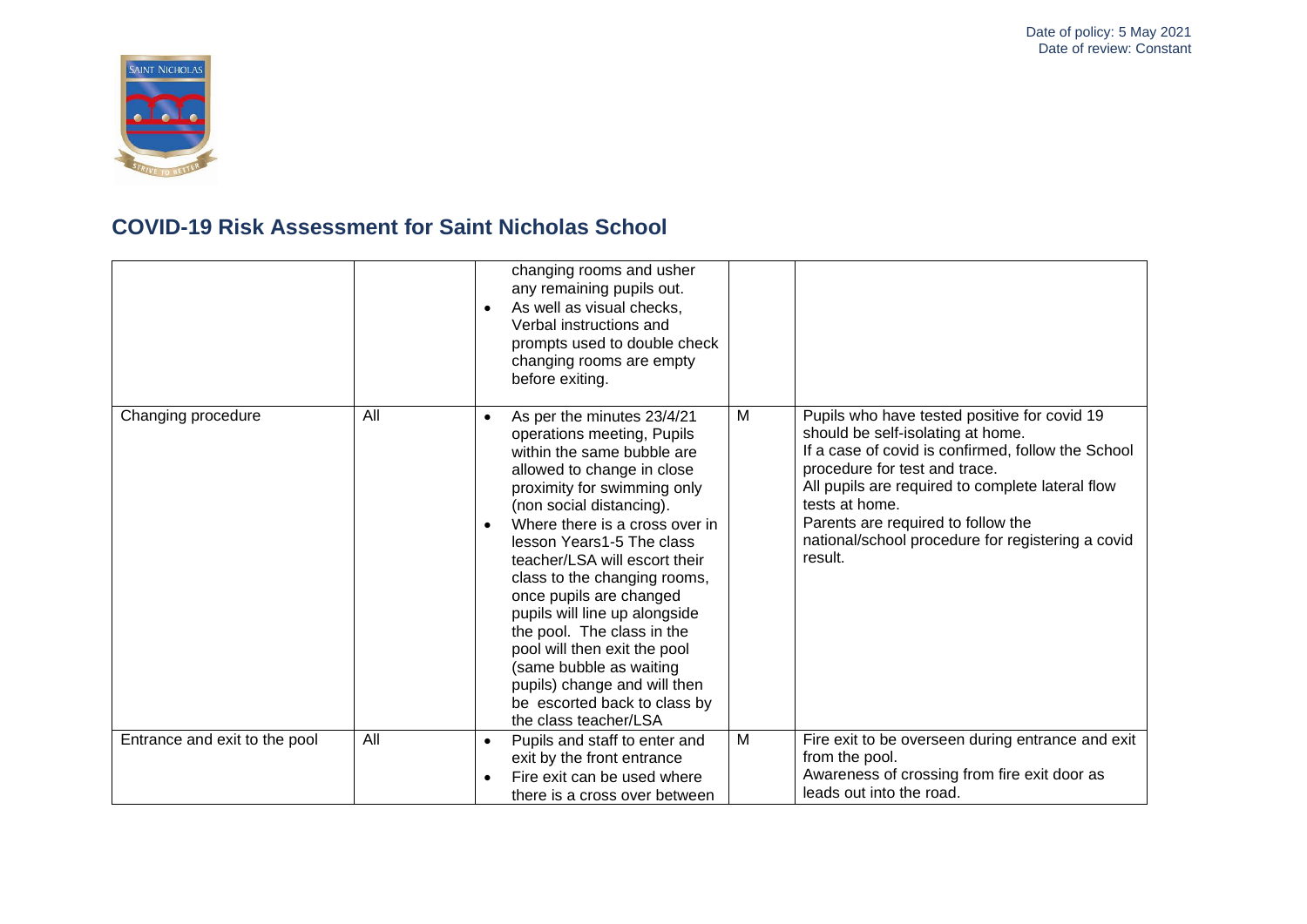

|                               |     | changing rooms and usher<br>any remaining pupils out.<br>As well as visual checks,<br>Verbal instructions and<br>prompts used to double check<br>changing rooms are empty<br>before exiting.                                                                                                                                                                                                                                                                                                                                                                               |   |                                                                                                                                                                                                                                                                                                                                                      |
|-------------------------------|-----|----------------------------------------------------------------------------------------------------------------------------------------------------------------------------------------------------------------------------------------------------------------------------------------------------------------------------------------------------------------------------------------------------------------------------------------------------------------------------------------------------------------------------------------------------------------------------|---|------------------------------------------------------------------------------------------------------------------------------------------------------------------------------------------------------------------------------------------------------------------------------------------------------------------------------------------------------|
| Changing procedure            | All | As per the minutes 23/4/21<br>$\bullet$<br>operations meeting, Pupils<br>within the same bubble are<br>allowed to change in close<br>proximity for swimming only<br>(non social distancing).<br>Where there is a cross over in<br>lesson Years1-5 The class<br>teacher/LSA will escort their<br>class to the changing rooms,<br>once pupils are changed<br>pupils will line up alongside<br>the pool. The class in the<br>pool will then exit the pool<br>(same bubble as waiting<br>pupils) change and will then<br>be escorted back to class by<br>the class teacher/LSA | M | Pupils who have tested positive for covid 19<br>should be self-isolating at home.<br>If a case of covid is confirmed, follow the School<br>procedure for test and trace.<br>All pupils are required to complete lateral flow<br>tests at home.<br>Parents are required to follow the<br>national/school procedure for registering a covid<br>result. |
| Entrance and exit to the pool | All | Pupils and staff to enter and<br>$\bullet$<br>exit by the front entrance                                                                                                                                                                                                                                                                                                                                                                                                                                                                                                   | M | Fire exit to be overseen during entrance and exit<br>from the pool.                                                                                                                                                                                                                                                                                  |
|                               |     | Fire exit can be used where<br>there is a cross over between                                                                                                                                                                                                                                                                                                                                                                                                                                                                                                               |   | Awareness of crossing from fire exit door as<br>leads out into the road.                                                                                                                                                                                                                                                                             |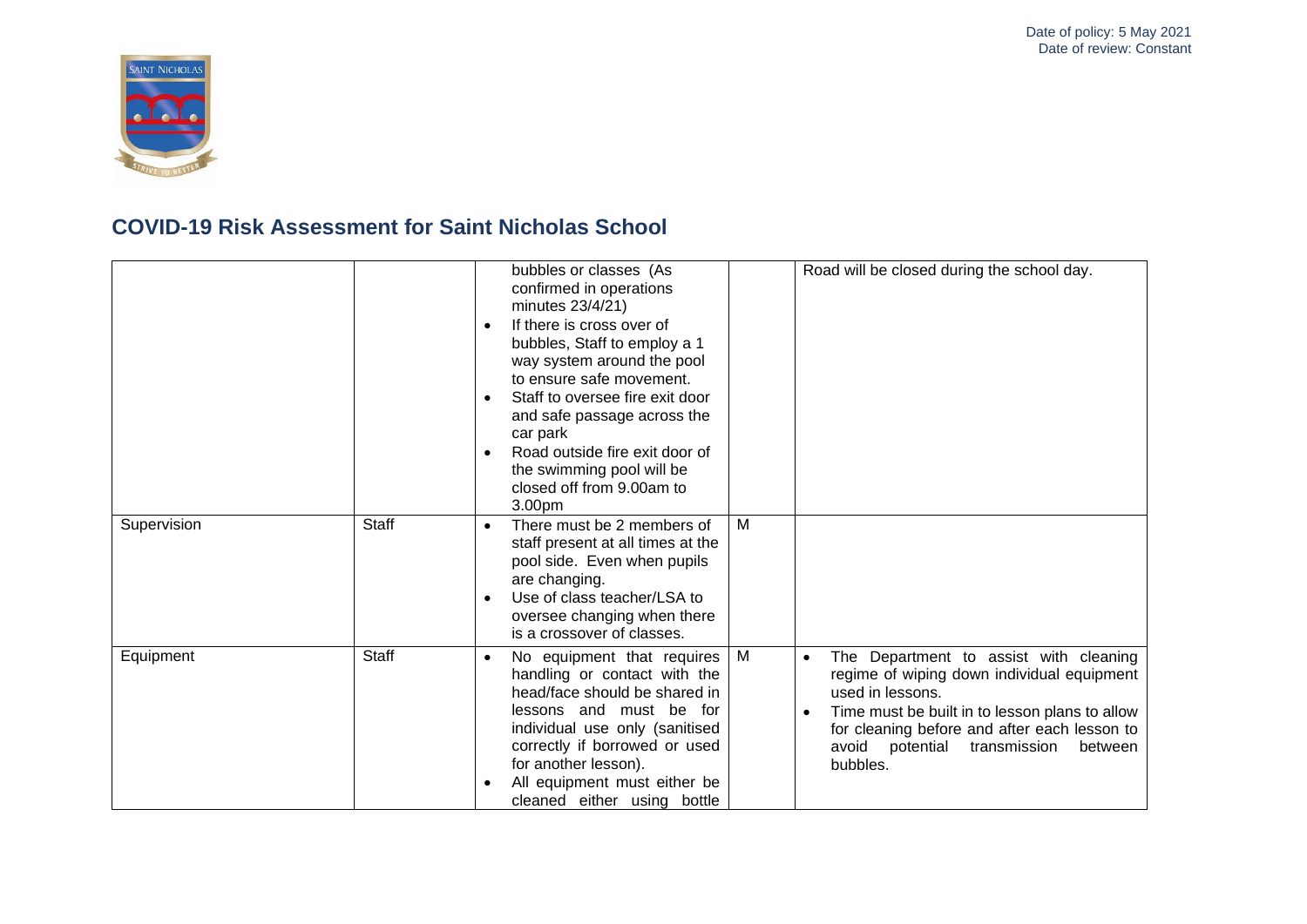

|             |              | bubbles or classes (As<br>confirmed in operations<br>minutes 23/4/21)<br>If there is cross over of<br>bubbles, Staff to employ a 1<br>way system around the pool<br>to ensure safe movement.<br>Staff to oversee fire exit door<br>and safe passage across the<br>car park<br>Road outside fire exit door of<br>the swimming pool will be<br>closed off from 9.00am to<br>3.00pm |   | Road will be closed during the school day.                                                                                                                                                                                                                                           |
|-------------|--------------|----------------------------------------------------------------------------------------------------------------------------------------------------------------------------------------------------------------------------------------------------------------------------------------------------------------------------------------------------------------------------------|---|--------------------------------------------------------------------------------------------------------------------------------------------------------------------------------------------------------------------------------------------------------------------------------------|
| Supervision | <b>Staff</b> | There must be 2 members of<br>staff present at all times at the<br>pool side. Even when pupils<br>are changing.<br>Use of class teacher/LSA to<br>oversee changing when there<br>is a crossover of classes.                                                                                                                                                                      | M |                                                                                                                                                                                                                                                                                      |
| Equipment   | <b>Staff</b> | No equipment that requires<br>$\bullet$<br>handling or contact with the<br>head/face should be shared in<br>lessons and must be for<br>individual use only (sanitised<br>correctly if borrowed or used<br>for another lesson).<br>All equipment must either be<br>cleaned either using bottle                                                                                    | M | The Department to assist with cleaning<br>$\bullet$<br>regime of wiping down individual equipment<br>used in lessons.<br>Time must be built in to lesson plans to allow<br>for cleaning before and after each lesson to<br>avoid<br>potential<br>transmission<br>between<br>bubbles. |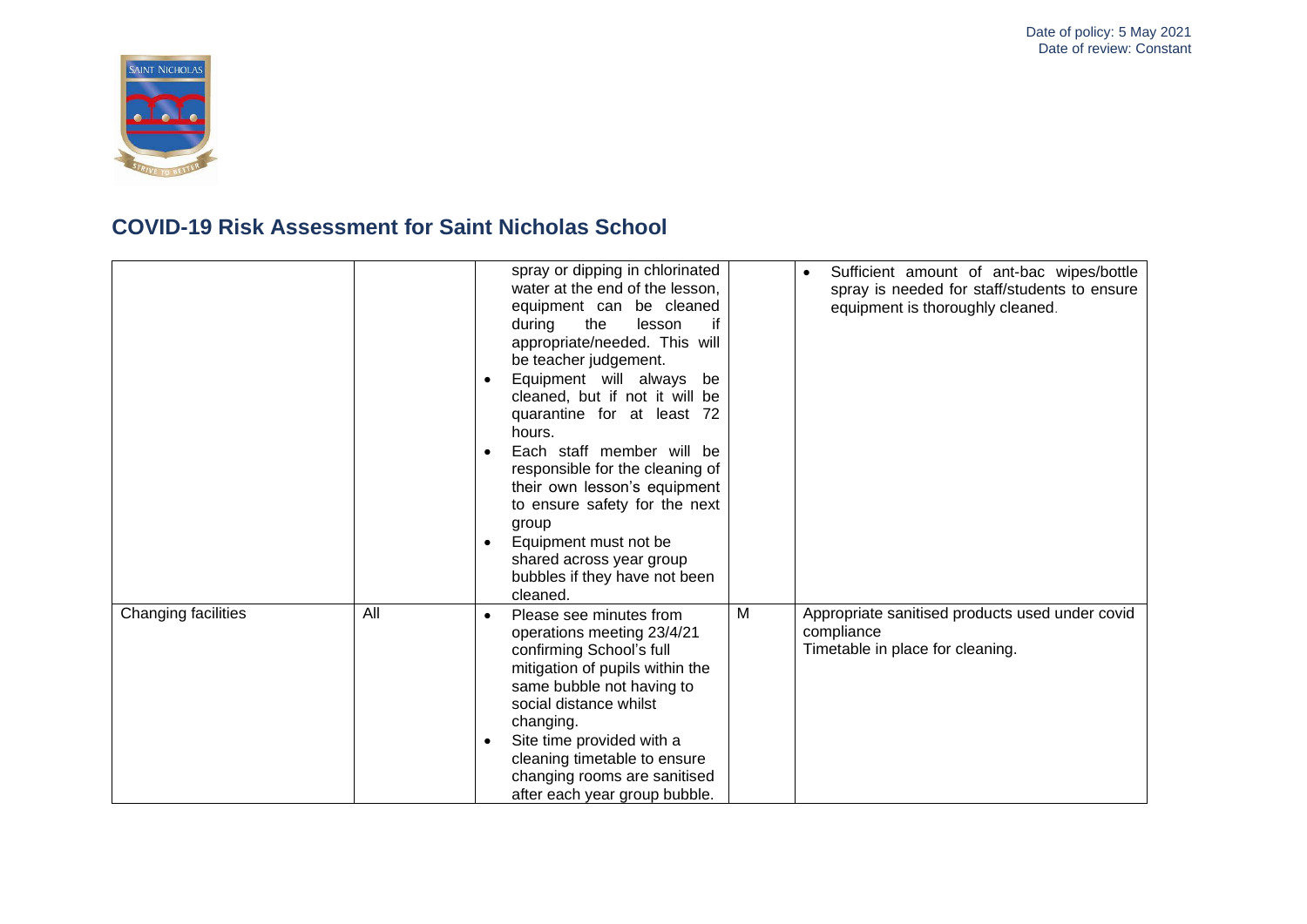

|                     |     | spray or dipping in chlorinated<br>Sufficient amount of ant-bac wipes/bottle<br>water at the end of the lesson,<br>spray is needed for staff/students to ensure<br>equipment can be cleaned<br>equipment is thoroughly cleaned.<br>during<br>the<br>lesson<br>if<br>appropriate/needed. This will<br>be teacher judgement.<br>Equipment will always be<br>$\bullet$<br>cleaned, but if not it will be<br>quarantine for at least 72<br>hours.<br>Each staff member will be<br>responsible for the cleaning of<br>their own lesson's equipment<br>to ensure safety for the next<br>group<br>Equipment must not be<br>shared across year group<br>bubbles if they have not been<br>cleaned. |
|---------------------|-----|-------------------------------------------------------------------------------------------------------------------------------------------------------------------------------------------------------------------------------------------------------------------------------------------------------------------------------------------------------------------------------------------------------------------------------------------------------------------------------------------------------------------------------------------------------------------------------------------------------------------------------------------------------------------------------------------|
| Changing facilities | All | M<br>Appropriate sanitised products used under covid<br>Please see minutes from<br>compliance<br>operations meeting 23/4/21<br>Timetable in place for cleaning.<br>confirming School's full<br>mitigation of pupils within the<br>same bubble not having to<br>social distance whilst<br>changing.<br>Site time provided with a<br>cleaning timetable to ensure<br>changing rooms are sanitised<br>after each year group bubble.                                                                                                                                                                                                                                                          |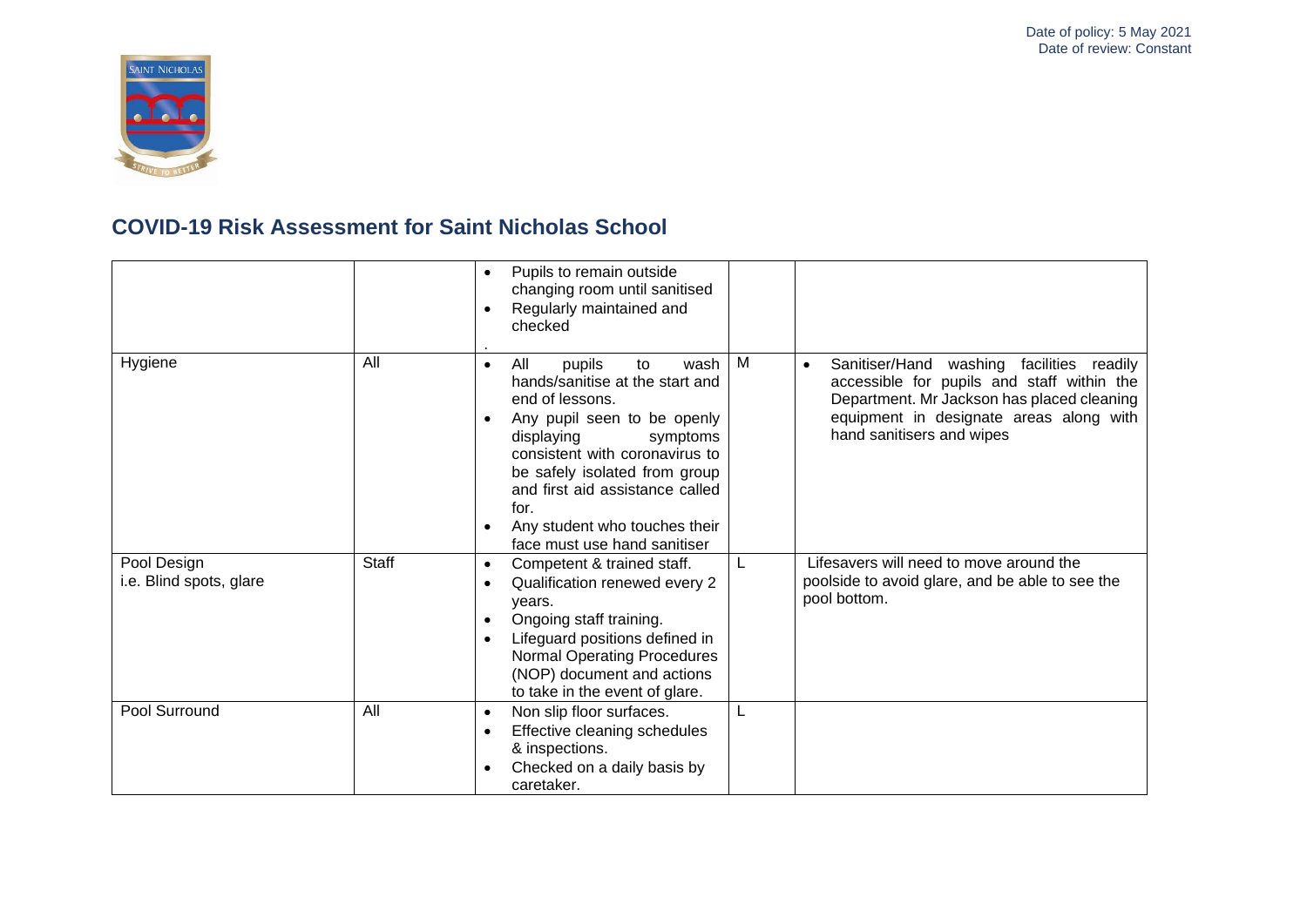

|                                        |              | Pupils to remain outside<br>$\bullet$<br>changing room until sanitised<br>Regularly maintained and<br>$\bullet$<br>checked                                                                                                                                                                                                             |   |                                                                                                                                                                                                                            |
|----------------------------------------|--------------|----------------------------------------------------------------------------------------------------------------------------------------------------------------------------------------------------------------------------------------------------------------------------------------------------------------------------------------|---|----------------------------------------------------------------------------------------------------------------------------------------------------------------------------------------------------------------------------|
| Hygiene                                | All          | All<br>wash<br>pupils<br>to<br>$\bullet$<br>hands/sanitise at the start and<br>end of lessons.<br>Any pupil seen to be openly<br>displaying<br>symptoms<br>consistent with coronavirus to<br>be safely isolated from group<br>and first aid assistance called<br>for.<br>Any student who touches their<br>face must use hand sanitiser | M | Sanitiser/Hand washing facilities readily<br>$\bullet$<br>accessible for pupils and staff within the<br>Department. Mr Jackson has placed cleaning<br>equipment in designate areas along with<br>hand sanitisers and wipes |
| Pool Design<br>i.e. Blind spots, glare | <b>Staff</b> | Competent & trained staff.<br>$\bullet$<br>Qualification renewed every 2<br>$\bullet$<br>years.<br>Ongoing staff training.<br>$\bullet$<br>Lifeguard positions defined in<br><b>Normal Operating Procedures</b><br>(NOP) document and actions<br>to take in the event of glare.                                                        | L | Lifesavers will need to move around the<br>poolside to avoid glare, and be able to see the<br>pool bottom.                                                                                                                 |
| Pool Surround                          | All          | Non slip floor surfaces.<br>$\bullet$<br>Effective cleaning schedules<br>$\bullet$<br>& inspections.<br>Checked on a daily basis by<br>caretaker.                                                                                                                                                                                      |   |                                                                                                                                                                                                                            |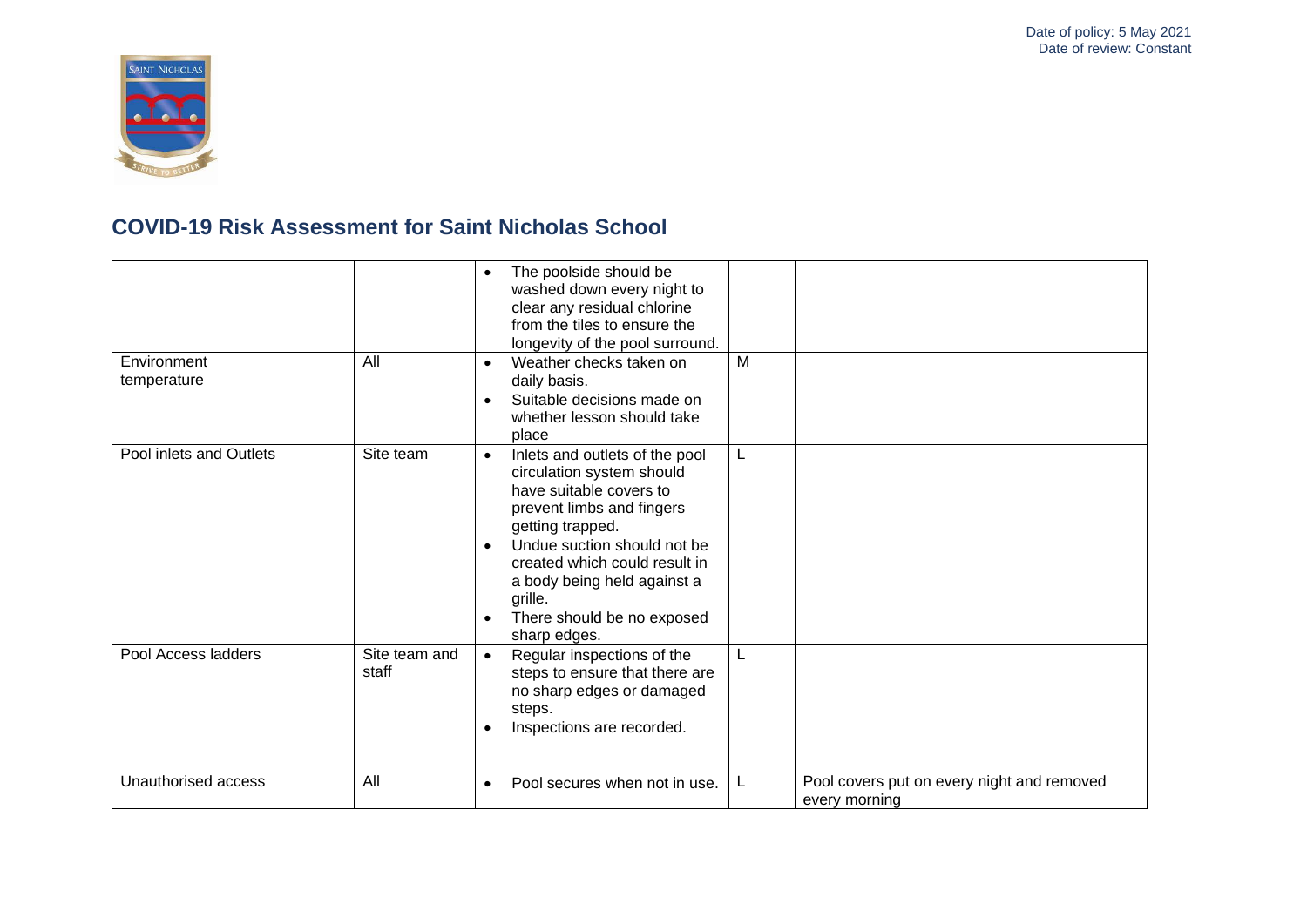

| Environment             | All                    | The poolside should be<br>$\bullet$<br>washed down every night to<br>clear any residual chlorine<br>from the tiles to ensure the<br>longevity of the pool surround.<br>Weather checks taken on<br>$\bullet$                                                                                                  | M |                                                             |
|-------------------------|------------------------|--------------------------------------------------------------------------------------------------------------------------------------------------------------------------------------------------------------------------------------------------------------------------------------------------------------|---|-------------------------------------------------------------|
| temperature             |                        | daily basis.<br>Suitable decisions made on<br>whether lesson should take<br>place                                                                                                                                                                                                                            |   |                                                             |
| Pool inlets and Outlets | Site team              | Inlets and outlets of the pool<br>$\bullet$<br>circulation system should<br>have suitable covers to<br>prevent limbs and fingers<br>getting trapped.<br>Undue suction should not be<br>created which could result in<br>a body being held against a<br>grille.<br>There should be no exposed<br>sharp edges. | L |                                                             |
| Pool Access ladders     | Site team and<br>staff | Regular inspections of the<br>$\bullet$<br>steps to ensure that there are<br>no sharp edges or damaged<br>steps.<br>Inspections are recorded.                                                                                                                                                                | L |                                                             |
| Unauthorised access     | All                    | Pool secures when not in use.<br>$\bullet$                                                                                                                                                                                                                                                                   | L | Pool covers put on every night and removed<br>every morning |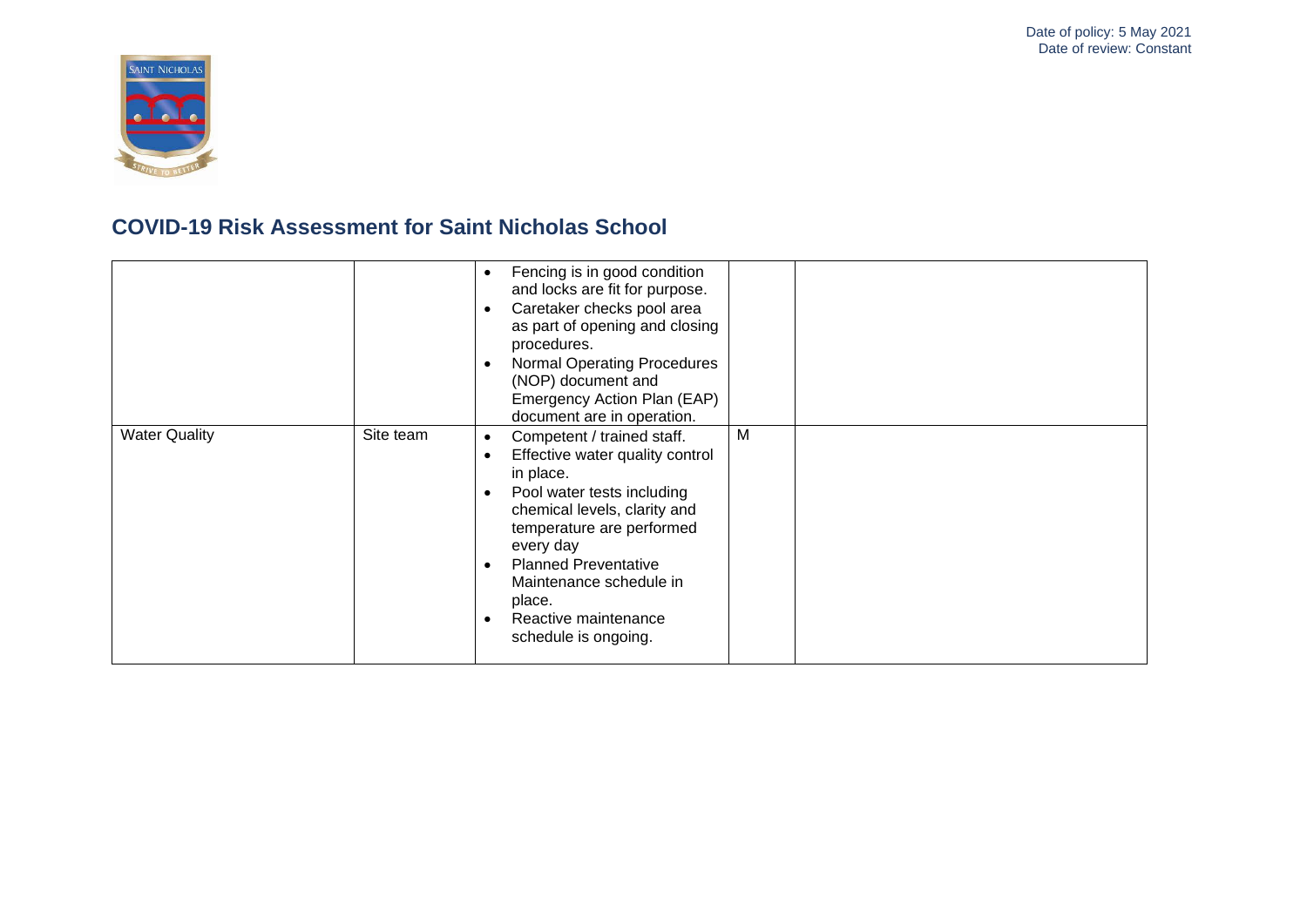

|                      |           | Fencing is in good condition<br>and locks are fit for purpose.<br>Caretaker checks pool area<br>as part of opening and closing<br>procedures.<br>Normal Operating Procedures<br>(NOP) document and<br>Emergency Action Plan (EAP)<br>document are in operation.                                             |   |  |
|----------------------|-----------|-------------------------------------------------------------------------------------------------------------------------------------------------------------------------------------------------------------------------------------------------------------------------------------------------------------|---|--|
| <b>Water Quality</b> | Site team | Competent / trained staff.<br>٠<br>Effective water quality control<br>in place.<br>Pool water tests including<br>chemical levels, clarity and<br>temperature are performed<br>every day<br><b>Planned Preventative</b><br>Maintenance schedule in<br>place.<br>Reactive maintenance<br>schedule is ongoing. | M |  |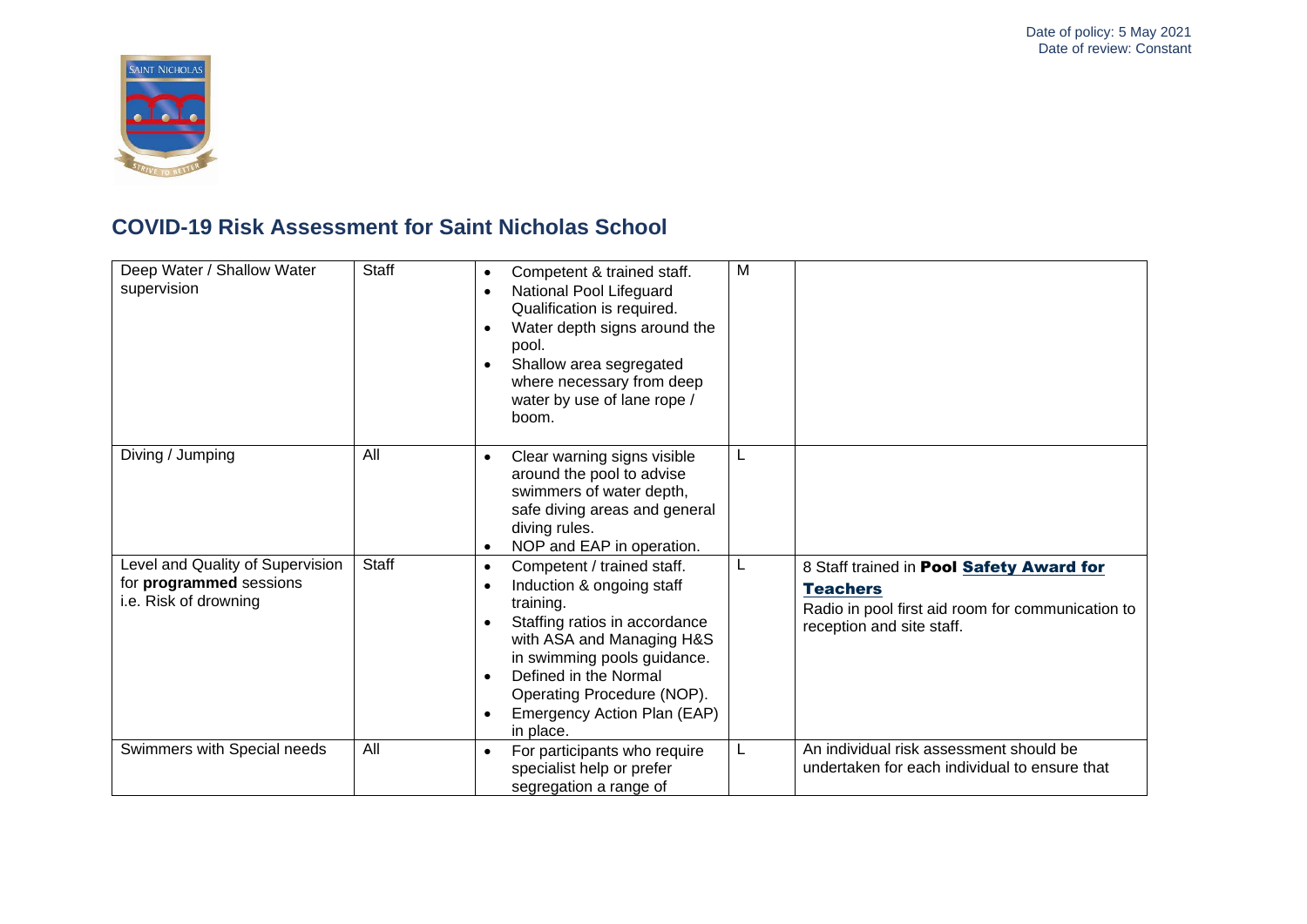

| Deep Water / Shallow Water<br>supervision                                            | Staff | Competent & trained staff.<br>National Pool Lifeguard<br>Qualification is required.<br>Water depth signs around the<br>pool.<br>Shallow area segregated<br>where necessary from deep<br>water by use of lane rope /<br>boom.                                                      | M |                                                                                                                                                      |
|--------------------------------------------------------------------------------------|-------|-----------------------------------------------------------------------------------------------------------------------------------------------------------------------------------------------------------------------------------------------------------------------------------|---|------------------------------------------------------------------------------------------------------------------------------------------------------|
| Diving / Jumping                                                                     | All   | Clear warning signs visible<br>around the pool to advise<br>swimmers of water depth,<br>safe diving areas and general<br>diving rules.<br>NOP and EAP in operation.                                                                                                               | L |                                                                                                                                                      |
| Level and Quality of Supervision<br>for programmed sessions<br>i.e. Risk of drowning | Staff | Competent / trained staff.<br>$\bullet$<br>Induction & ongoing staff<br>training.<br>Staffing ratios in accordance<br>with ASA and Managing H&S<br>in swimming pools guidance.<br>Defined in the Normal<br>Operating Procedure (NOP).<br>Emergency Action Plan (EAP)<br>in place. | L | 8 Staff trained in <b>Pool Safety Award for</b><br><b>Teachers</b><br>Radio in pool first aid room for communication to<br>reception and site staff. |
| Swimmers with Special needs                                                          | All   | For participants who require<br>specialist help or prefer<br>segregation a range of                                                                                                                                                                                               |   | An individual risk assessment should be<br>undertaken for each individual to ensure that                                                             |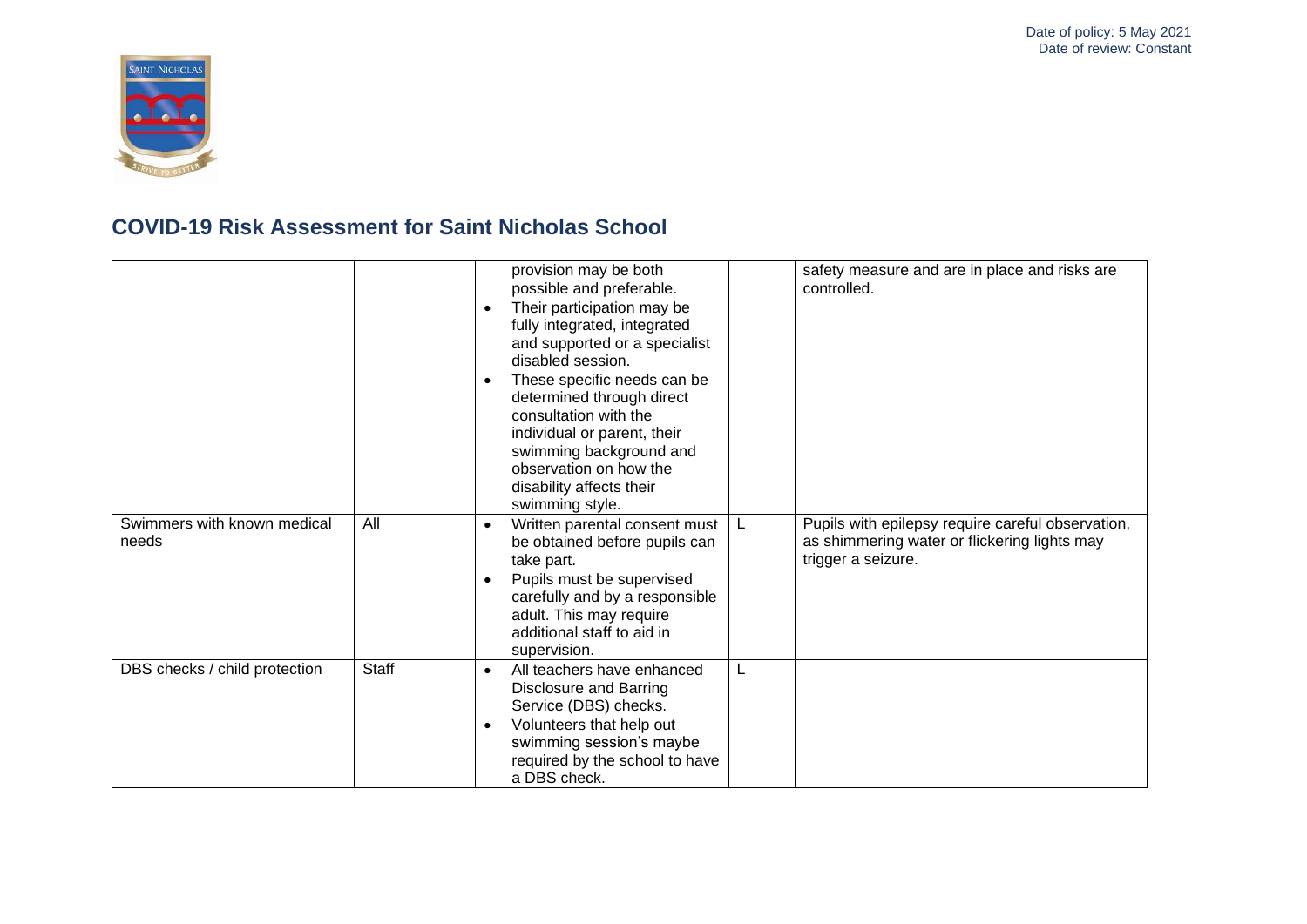

|                                      |       | provision may be both<br>possible and preferable.<br>Their participation may be<br>fully integrated, integrated<br>and supported or a specialist<br>disabled session.<br>These specific needs can be<br>determined through direct<br>consultation with the<br>individual or parent, their<br>swimming background and<br>observation on how the<br>disability affects their<br>swimming style. | safety measure and are in place and risks are<br>controlled.                                                            |
|--------------------------------------|-------|-----------------------------------------------------------------------------------------------------------------------------------------------------------------------------------------------------------------------------------------------------------------------------------------------------------------------------------------------------------------------------------------------|-------------------------------------------------------------------------------------------------------------------------|
| Swimmers with known medical<br>needs | All   | Written parental consent must<br>L<br>be obtained before pupils can<br>take part.<br>Pupils must be supervised<br>carefully and by a responsible<br>adult. This may require<br>additional staff to aid in<br>supervision.                                                                                                                                                                     | Pupils with epilepsy require careful observation,<br>as shimmering water or flickering lights may<br>trigger a seizure. |
| DBS checks / child protection        | Staff | L<br>All teachers have enhanced<br>$\bullet$<br><b>Disclosure and Barring</b><br>Service (DBS) checks.<br>Volunteers that help out<br>swimming session's maybe<br>required by the school to have<br>a DBS check.                                                                                                                                                                              |                                                                                                                         |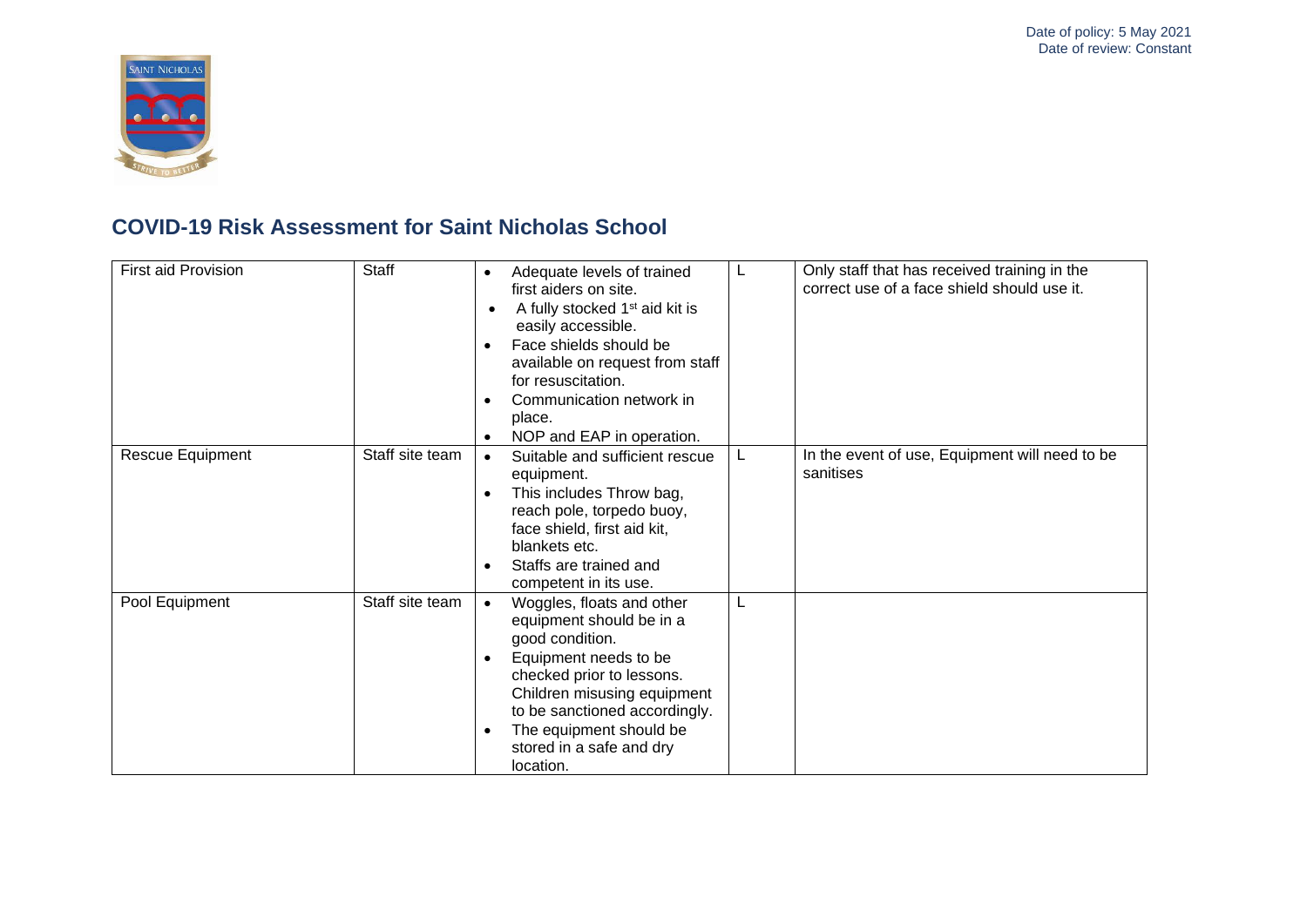

| First aid Provision | <b>Staff</b>    | Adequate levels of trained<br>$\bullet$<br>first aiders on site.<br>A fully stocked 1 <sup>st</sup> aid kit is<br>$\bullet$<br>easily accessible.<br>Face shields should be<br>available on request from staff<br>for resuscitation.<br>Communication network in<br>place.<br>NOP and EAP in operation. | L | Only staff that has received training in the<br>correct use of a face shield should use it. |
|---------------------|-----------------|---------------------------------------------------------------------------------------------------------------------------------------------------------------------------------------------------------------------------------------------------------------------------------------------------------|---|---------------------------------------------------------------------------------------------|
| Rescue Equipment    | Staff site team | Suitable and sufficient rescue<br>$\bullet$<br>equipment.<br>This includes Throw bag,<br>reach pole, torpedo buoy,<br>face shield, first aid kit,<br>blankets etc.<br>Staffs are trained and<br>competent in its use.                                                                                   | L | In the event of use, Equipment will need to be<br>sanitises                                 |
| Pool Equipment      | Staff site team | Woggles, floats and other<br>$\bullet$<br>equipment should be in a<br>good condition.<br>Equipment needs to be<br>checked prior to lessons.<br>Children misusing equipment<br>to be sanctioned accordingly.<br>The equipment should be<br>stored in a safe and dry<br>location.                         | L |                                                                                             |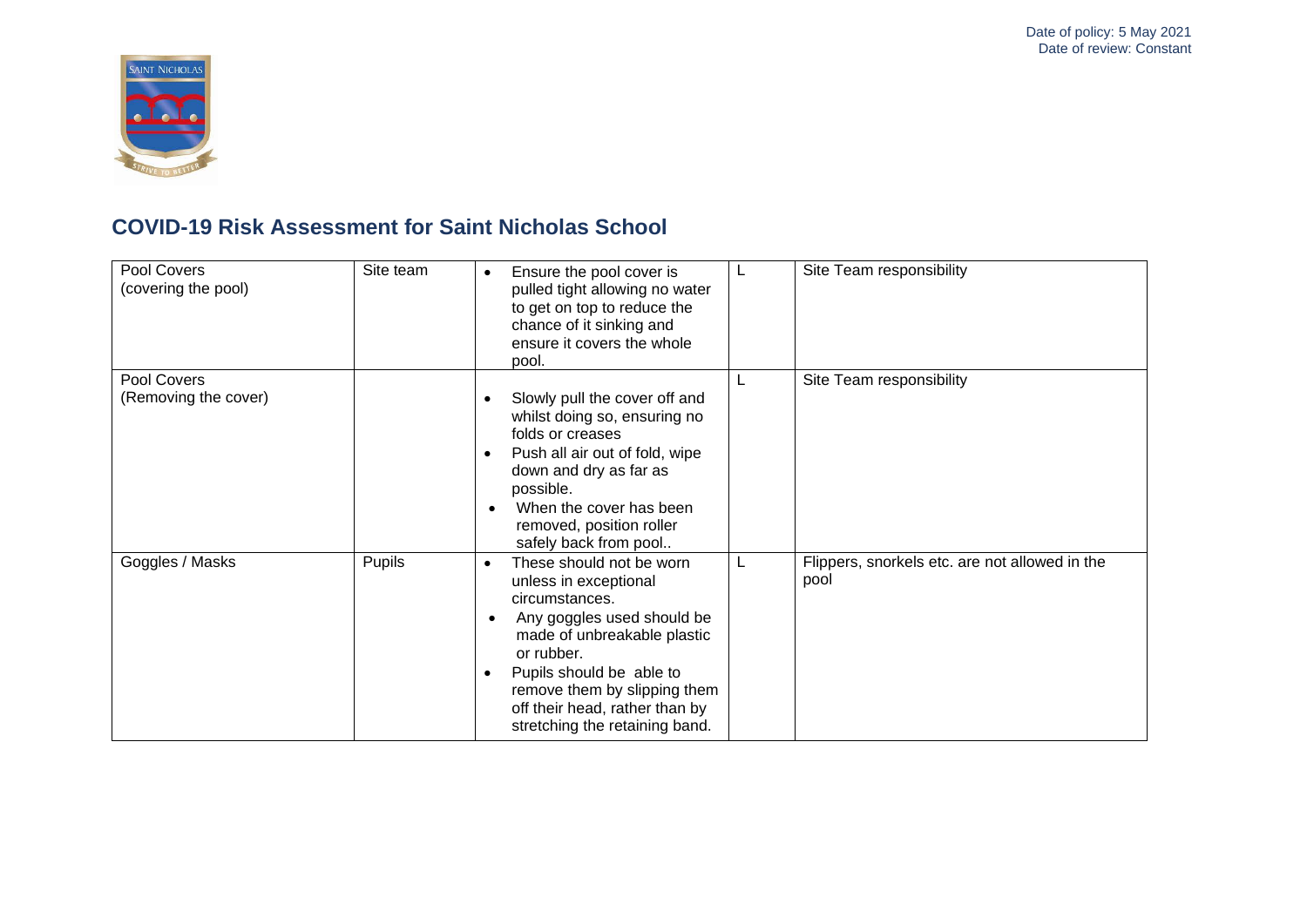

| Pool Covers<br>(covering the pool)  | Site team | Ensure the pool cover is<br>$\bullet$<br>pulled tight allowing no water<br>to get on top to reduce the<br>chance of it sinking and<br>ensure it covers the whole<br>pool.                                                                                                                   |    | Site Team responsibility                               |
|-------------------------------------|-----------|---------------------------------------------------------------------------------------------------------------------------------------------------------------------------------------------------------------------------------------------------------------------------------------------|----|--------------------------------------------------------|
| Pool Covers<br>(Removing the cover) |           | Slowly pull the cover off and<br>whilst doing so, ensuring no<br>folds or creases<br>Push all air out of fold, wipe<br>down and dry as far as<br>possible.<br>When the cover has been<br>removed, position roller<br>safely back from pool                                                  |    | Site Team responsibility                               |
| Goggles / Masks                     | Pupils    | These should not be worn<br>$\bullet$<br>unless in exceptional<br>circumstances.<br>Any goggles used should be<br>made of unbreakable plastic<br>or rubber.<br>Pupils should be able to<br>remove them by slipping them<br>off their head, rather than by<br>stretching the retaining band. | L. | Flippers, snorkels etc. are not allowed in the<br>pool |